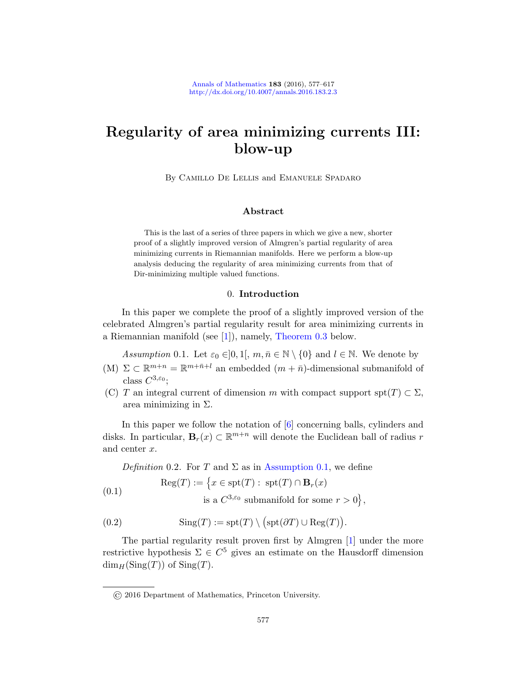# Regularity of area minimizing currents III: blow-up

By Camillo De Lellis and Emanuele Spadaro

# Abstract

This is the last of a series of three papers in which we give a new, shorter proof of a slightly improved version of Almgren's partial regularity of area minimizing currents in Riemannian manifolds. Here we perform a blow-up [a](#page-39-0)nalysis ded[ucing the regula](#page-1-0)rity of area minimizing currents from that of Dir-minimizing multiple valued functions.

# 0. Introduction

<span id="page-0-0"></span>In this paper we complete the proof of a slightly improved version of the celebrated Almgren's partial regularity result for area minimizing currents in a Riemannian manifold (see [1]), namely, Theorem 0.3 below.

Assumption 0.1. [L](#page-40-0)et  $\varepsilon_0 \in ]0,1[$ ,  $m, \bar{n} \in \mathbb{N} \setminus \{0\}$  and  $l \in \mathbb{N}$ . We denote by

- (M)  $\Sigma \subset \mathbb{R}^{m+n} = \mathbb{R}^{m+\bar{n}+l}$  an embedded  $(m+\bar{n})$ -dimensional submanifold of class  $C^{3,\varepsilon_0}$ ;
- (C) T an integ[ral current of dim](#page-0-0)ension m with compact support spt(T)  $\subset \Sigma$ , area minimizing in  $\Sigma$ .

In this paper we follow the notation of [6] concerning balls, cylinders and disks. In particular,  $\mathbf{B}_r(x) \subset \mathbb{R}^{m+n}$  will denote the Euclidean ball of radius r and center x.

Definition 0.2. For T and  $\Sigma$  as [in](#page-39-0) Assumption 0.1, we define

(0.1) 
$$
Reg(T) := \left\{ x \in spt(T) : spt(T) \cap B_r(x) \right\}
$$
  
is a  $C^{3,\varepsilon_0}$  submanifold for some  $r > 0$ ,

(0.2) 
$$
\text{Sing}(T) := \text{spt}(T) \setminus \big(\text{spt}(\partial T) \cup \text{Reg}(T)\big).
$$

The partial regularity result proven first by Almgren [1] under the more restrictive hypothesis  $\Sigma \in C^5$  gives an estimate on the Hausdorff dimension  $\dim_H(\text{Sing}(T))$  of  $\text{Sing}(T)$ .

<sup>©</sup> 2016 Department of Mathematics, Princeton University.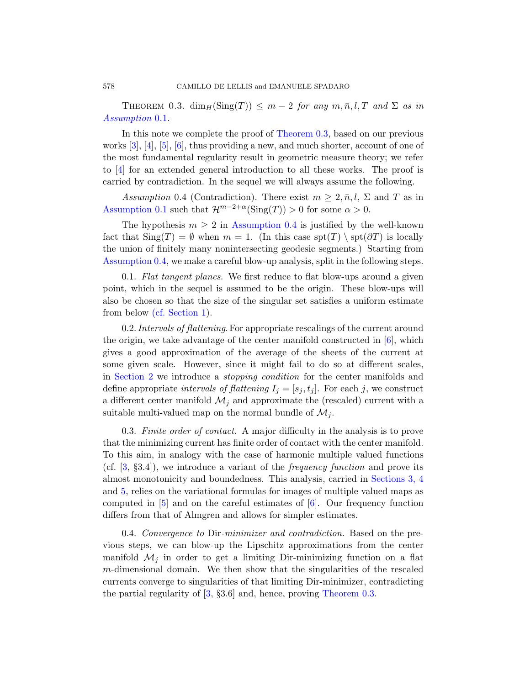<span id="page-1-1"></span><span id="page-1-0"></span>THEOREM 0.3.  $\dim_H(\text{Sing}(T)) \leq m-2$  for any  $m, \bar{n}, l, T$  and  $\Sigma$  as in Assumption 0.1.

In this note we complete the proof of Theorem 0.3, based on our previous works  $[3], [4], [5], [6],$  thus providing a new, and much shorter, account of one of the most fundamental regularity result in geometric measure theory; we refer to [4] for an extended general introduction to all these works. The proof is carried by contradiction. In the sequel we will always assume the following.

Assumption 0.4 (Contradiction). There exist  $m \geq 2, \bar{n}, l, \Sigma$  and T as in Assumption 0.1 such that  $\mathcal{H}^{m-2+\alpha}(\mathrm{Sing}(T)) > 0$  for some  $\alpha > 0$ .

The hypothesis  $m \geq 2$  in Assumption 0.4 is justified by the well-known [fac](#page-2-0)t that  $\text{Sing}(T) = \emptyset$  when  $m = 1$ . (In this case  $\text{spt}(T) \setminus \text{spt}(\partial T)$  is locally the union of finitely many nonintersecting geodesic segments.) Starting from Assumption 0.4, we make a careful blow-up an[aly](#page-40-0)sis, split in the following steps.

0.1. Flat tangent planes. We first reduce to flat blow-ups around a given point, which in the sequel is assumed to be the origin. These blow-ups will also be chosen so that the size of the singular set satisfies a uniform estimate from below (cf. Section 1).

0.2. Intervals of flattening. For appropriate rescalings of the current around the origin, we take advantage of the center manifold constructed in  $[6]$ , which gives a good approximation of the average of the sheets of the current at some given scale. However, since it might fail to do so at different scales, in Section 2 we introduce a stopping condition for the center manifolds and define appropriate intervals of flattening  $I_j = [s_j, t_j]$ . For each j, we construct a different center manifold  $\mathcal{M}_i$  and appro[ximate the \(r](#page-13-0)escaled) current with a suitable multi-valued map on the normal bundle of  $\mathcal{M}_j$ .

0.3. Finite order of co[nt](#page-40-0)act. A major difficulty in the analysis is to prove that the minimizing current has finite order of contact with the center manifold. To this aim, in analogy with the case of harmonic multiple valued functions (cf.  $[3, §3.4]$ ), we introduce a variant of the *frequency function* and prove its almost monotonicity and boundedness. This analysis, carried in Sections 3, 4 and 5, relies on the variational formulas for images of multiple valued maps as computed in  $\overline{5}$  and on the careful estimates of  $\overline{6}$ . Our frequency function d[iff](#page-40-1)ers from that of Almgren [and allows for](#page-1-0) simpler estimates.

0.4. Convergence to Dir-minimizer and contradiction. Based on the previous steps, we can blow-up the Lipschitz approximations from the center manifold  $\mathcal{M}_i$  in order to get a limiting Dir-minimizing function on a flat m-dimensional domain. We then show that the singularities of the rescaled currents converge to singularities of that limiting Dir-minimizer, contradicting the partial regularity of [3, §3.6] and, hence, proving Theorem 0.3.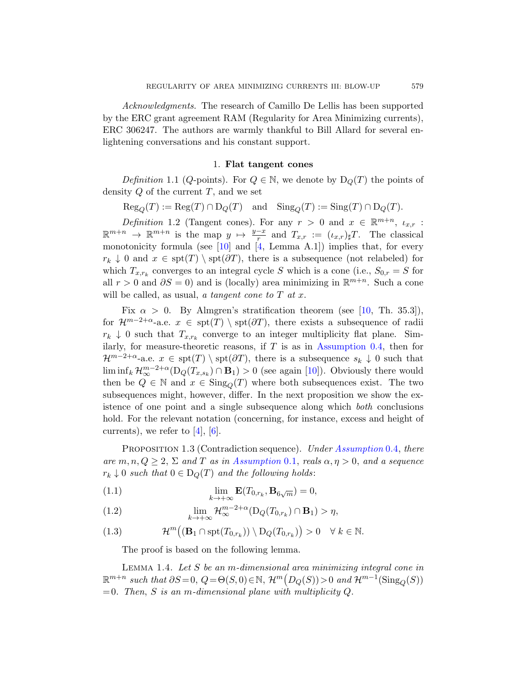<span id="page-2-0"></span>Acknowledgments. The research of Camillo De Lellis has been supported by the ERC grant agreement RAM (Regularity for Area Minimizing currents), ERC 306247. The authors are warmly thankful to Bill Allard for several enlightening conversations and his constant support.

## 1. Flat tangent cones

*[Defi](#page-40-2)nition* [1](#page-40-3).1 (*Q*-points). For  $Q \in \mathbb{N}$ , we denote by  $D_Q(T)$  the points of density  $Q$  of the current  $T$ , and we set

 $\text{Reg}_{\mathcal{O}}(T) := \text{Reg}(T) \cap \text{D}_{\mathcal{Q}}(T)$  and  $\text{Sing}_{\mathcal{O}}(T) := \text{Sing}(T) \cap \text{D}_{\mathcal{Q}}(T)$ .

Definition 1.2 (Tangent cones). For any  $r > 0$  and  $x \in \mathbb{R}^{m+n}$ ,  $\iota_{x,r}$ :  $\mathbb{R}^{m+n} \to \mathbb{R}^{m+n}$  $\mathbb{R}^{m+n} \to \mathbb{R}^{m+n}$  $\mathbb{R}^{m+n} \to \mathbb{R}^{m+n}$  is the map  $y \mapsto \frac{y-x}{r}$  and  $T_{x,r} := (\iota_{x,r})_{\sharp}T$ . The classical monotonicity formula (see  $[10]$  and  $[4,$  Lemma A.1]) implies that, for every  $r_k \downarrow 0$  and  $x \in \text{spt}(T) \setminus \text{spt}(\partial T)$ , there is a subsequence (not relabeled) for which  $T_{x,r_k}$  converges to an [integral cycle](#page-1-1) S which is a cone (i.e.,  $S_{0,r} = S$  for all  $r > 0$  and  $\partial S = 0$ ) and is (locally) area minimizing in  $\mathbb{R}^{m+n}$ . Such a cone will be called, as usual, a [tan](#page-40-2)gent cone to  $T$  at  $x$ .

<span id="page-2-1"></span>Fix  $\alpha > 0$ . By Almgren's stratification theorem (see [10, Th. 35.3]), for  $\mathcal{H}^{m-2+\alpha}$ -a.e.  $x \in \text{spt}(T) \setminus \text{spt}(\partial T)$ , there exists a subsequence of radii  $r_k \downarrow 0$  such that  $T_{x,r_k}$  converge to an integer multiplicity flat plane. Similarly, for measure-theoretic reasons, if  $T$  is as in Assumption 0.4, then for  $\mathcal{H}^{m-2+\alpha}$  $\mathcal{H}^{m-2+\alpha}$  $\mathcal{H}^{m-2+\alpha}$ -a.e.  $x \in \text{spt}(T) \setminus \text{spt}(\partial T)$ , there is a subsequence  $s_k \downarrow 0$  such that  $\liminf_k \mathcal{H}_{\infty}^{m-2+\alpha}(\mathrm{D}_Q(T_{x,s_k}) \cap \mathbf{B}_1) > 0$  (see again [10]). Obviously there would then be  $Q \in \mathbb{N}$  [and](#page-0-0)  $x \in Sing_Q(T)$  where both subsequences exist. The two subsequences might, however, differ. In the next proposition we show the existence of one point and a single subsequence along which both conclusions hold. For the relevant notation (concerning, for instance, excess and height of currents), we refer to  $[4]$ ,  $[6]$ .

<span id="page-2-3"></span>PROPOSITION 1.3 (Contradiction sequence). Under Assumption 0.4, there are  $m, n, Q \geq 2$ ,  $\Sigma$  and T as in Assumption 0.1, reals  $\alpha, \eta > 0$ , and a sequence  $r_k \downarrow 0$  such that  $0 \in D_Q(T)$  and the following holds:

<span id="page-2-2"></span>(1.1) 
$$
\lim_{k \to +\infty} \mathbf{E}(T_{0,r_k}, \mathbf{B}_{6\sqrt{m}}) = 0,
$$

(1.2) 
$$
\lim_{k \to +\infty} \mathcal{H}^{m-2+\alpha}_{\infty}(\mathcal{D}_{Q}(T_{0,r_k}) \cap \mathbf{B}_1) > \eta,
$$

(1.3) 
$$
\mathcal{H}^m((\mathbf{B}_1 \cap \operatorname{spt}(T_{0,r_k})) \setminus D_Q(T_{0,r_k})) > 0 \quad \forall \ k \in \mathbb{N}.
$$

The proof is based on the following lemma.

LEMMA 1.4. Let  $S$  be an m-dimensional area minimizing integral cone in  $\mathbb{R}^{m+n}$  such that  $\partial S = 0$ ,  $Q = \Theta(S, 0) \in \mathbb{N}$ ,  $\mathcal{H}^m(D_Q(S)) > 0$  and  $\mathcal{H}^{m-1}(\text{Sing}_Q(S))$  $= 0$ . Then, S is an m-dimensional plane with multiplicity Q.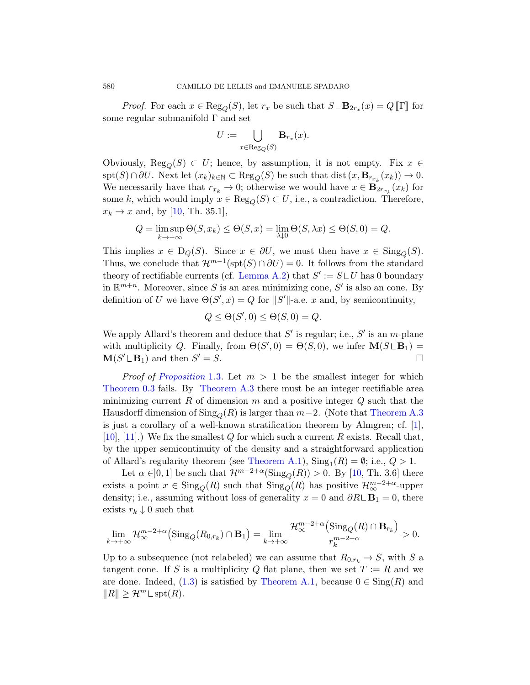*Proof.* For each  $x \in \text{Reg}_Q(S)$ , let  $r_x$  be such that  $S \sqcup \mathbf{B}_{2r_x}(x) = Q \llbracket \Gamma \rrbracket$  for some regular submanifold Γ and set

$$
U:=\bigcup_{x\in \text{Reg}_Q(S)} \mathbf{B}_{r_x}(x).
$$

Obviously,  $\text{Reg}_O(S) \subset U$ ; hence, by assumption, it is not empty. Fix  $x \in$  $spt(S) \cap \partial U$ . Next let  $(x_k)_{k \in \mathbb{N}} \subset \text{Reg}_Q(S)$  be such that dist  $(x, \mathbf{B}_{r_{x_k}}(x_k)) \to 0$ . We necessarily have that  $r_{x_k} \to 0$ ; otherwise we would have  $x \in \mathbf{B}_{2r_{x_k}}(x_k)$  for some k, [which would i](#page-37-0)mply  $x \in \text{Reg}_O(S) \subset U$ , i.e., a contradiction. Therefore,  $x_k \rightarrow x$  and, by [10, Th. 35.1],

$$
Q = \limsup_{k \to +\infty} \Theta(S, x_k) \le \Theta(S, x) = \lim_{\lambda \downarrow 0} \Theta(S, \lambda x) \le \Theta(S, 0) = Q.
$$

This implies  $x \in D_Q(S)$ . Since  $x \in \partial U$ , we must then have  $x \in Sing_Q(S)$ . Thus, we conclude that  $\mathcal{H}^{m-1}(\text{spt}(S) \cap \partial U) = 0$ . It follows from the standard theory of rectifiable currents (cf. Lemma A.2) that  $S' := S \cup U$  has 0 boundary in  $\mathbb{R}^{m+n}$ . Moreover, since S is an area minimizing cone, S' is also an cone. By [definit](#page-2-1)ion of U we have  $\Theta(S', x) = Q$  for  $||S'||$ -a.e. x and, by semicontinuity,

$$
Q \leq \Theta(S', 0) \leq \Theta(S, 0) = Q.
$$

We apply Allard's theorem and deduce that  $S'$  [is regula](#page-37-1)r; i.e.,  $S'$  is an m-plane with multiplicity Q. Finally, from  $\Theta(S', 0) = \Theta(S, 0)$  $\Theta(S', 0) = \Theta(S, 0)$  $\Theta(S', 0) = \Theta(S, 0)$ , we infer  $\mathbf{M}(S \cup \mathbf{B}_1) =$  $\mathbf{M}(S' \sqcup \mathbf{B}_1)$  and then S  $\mathcal{O}' = S$ .

*Proof of Proposition* 1.3. Let  $m > 1$  be the smallest integer for which Theorem 0.3 [fails. By](#page-36-0) Theorem A.3 there must be an integer rectifiable area minimizing current R of dimension m [a](#page-40-2)nd a positive integer  $Q$  such that the Hausdorff dimension of  $\text{Sing}_Q(R)$  is larger than  $m-2$ . (Note that Theorem A.3 is just a corollary of a well-known stratification theorem by Almgren; cf. [1], [10], [11].) We fix the smallest  $Q$  for which such a current  $R$  exists. Recall that, by the upper semicontinuity of the density and a straightforward application of Allard's regularity theorem (see Theorem A.1),  $\text{Sing}_1(R) = \emptyset$ ; i.e.,  $Q > 1$ .

Let  $\alpha \in ]0,1]$  be such that  $\mathcal{H}^{m-2+\alpha}(\text{Sing}_{Q}(R)) > 0$ . By [10, Th. 3.6] there exists a point  $x \in Sing_Q(R)$  such that  $Sing_Q(R)$  has positive  $\mathcal{H}_{\infty}^{m-2+\alpha}$ -upper density; i.e., assuming without loss of generality  $x = 0$  and  $\partial R \mathcal{L} \mathbf{B}_1 = 0$ , there exists  $r_k \downarrow 0$  su[ch that](#page-36-0)

$$
\lim_{k \to +\infty} \mathcal{H}_{\infty}^{m-2+\alpha} \left( \text{Sing}_{Q}(R_{0,r_k}) \cap \mathbf{B}_1 \right) = \lim_{k \to +\infty} \frac{\mathcal{H}_{\infty}^{m-2+\alpha} \left( \text{Sing}_{Q}(R) \cap \mathbf{B}_{r_k} \right)}{r_k^{m-2+\alpha}} > 0.
$$

Up to a subsequence (not relabeled) we can assume that  $R_{0,r_k} \to S$ , with S a tangent cone. If S is a multiplicity Q flat plane, then we set  $T := R$  and we are done. Indeed, (1.3) is satisfied by Theorem A.1, because  $0 \in Sing(R)$  and  $||R|| \geq \mathcal{H}^m \text{Lspt}(R).$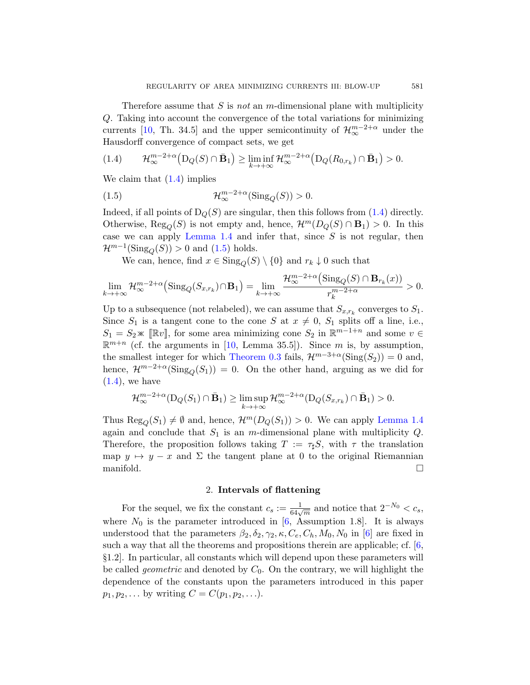<span id="page-4-1"></span><span id="page-4-0"></span>Therefore assume that S is *not* an m-dimensional plane with multiplicity Q. Taking into account the convergence of the total variations for minimizing currents [10, Th. 34.5] and the upper semicontinuity of  $\mathcal{H}_{\infty}^{m-2+\alpha}$  under the Hausdorff convergence of compact sets, w[e ge](#page-4-0)t

$$
(1.4) \qquad \mathcal{H}_{\infty}^{m-2+\alpha}\big(D_Q(S)\cap \bar{\mathbf{B}}_1\big) \geq \liminf_{k\to+\infty}\mathcal{H}_{\infty}^{m-2+\alpha}\big(D_Q(R_{0,r_k})\cap \bar{\mathbf{B}}_1\big) > 0.
$$

We [clai](#page-4-1)m that (1.4) implies

(1.5) 
$$
\mathcal{H}_{\infty}^{m-2+\alpha}(\text{Sing}_{Q}(S)) > 0.
$$

Indeed, if all points of  $D_Q(S)$  are singular, then this follows from (1.4) directly. Otherwise,  $\text{Reg}_O(S)$  is not empty and, hence,  $\mathcal{H}^m(D_O(S) \cap \mathbf{B}_1) > 0$ . In this case we can apply Lemma 1.4 and infer that, since  $S$  is not regular, then  $\mathcal{H}^{m-1}(\mathrm{Sing}_Q(S)) > 0$  and  $(1.5)$  holds.

We can, hence, find  $x \in Sing_0(S) \setminus \{0\}$  and  $r_k \downarrow 0$  such that

$$
\lim_{k \to +\infty} \mathcal{H}^{m-2+\alpha}_{\infty}\left(\text{Sing}_Q(S_{x,r_k}) \cap \mathbf{B}_1\right) = \lim_{k \to +\infty} \frac{\mathcal{H}^{m-2+\alpha}_{\infty}\left(\text{Sing}_Q(S) \cap \mathbf{B}_{r_k}(x)\right)}{r_k^{m-2+\alpha}} > 0.
$$

Up to a subsequence (not relabeled), we can assume that  $S_{x,r_k}$  converges to  $S_1$ . Since  $S_1$  is a tangent cone to the cone S at  $x \neq 0$ ,  $S_1$  splits off a line, i.e.,  $S_1 = S_2 \times [\mathbb{R}v]$ , for some area minimizing cone  $S_2$  in  $\mathbb{R}^{m-1+n}$  and some  $v \in \mathbb{R}^{m+n}$  (of the enguncies in [10, I graps  $255$ ]). Since  $m$  is hy equiparties  $\mathbb{R}^{m+n}$  (cf. the arguments in [10, Lemma [35.5\]\). Since](#page-2-2) m is, by assumption, the smallest integer for which Theorem 0.3 fails,  $\mathcal{H}^{m-3+\alpha}(\text{Sing}(S_2)) = 0$  and, hence,  $\mathcal{H}^{m-2+\alpha}(\text{Sing}_{Q}(S_1)) = 0$ . On the other hand, arguing as we did for  $(1.4)$ , we have

$$
\mathcal{H}_{\infty}^{m-2+\alpha}(\mathrm{D}_Q(S_1) \cap \bar{\mathbf{B}}_1) \geq \limsup_{k \to +\infty} \mathcal{H}_{\infty}^{m-2+\alpha}(\mathrm{D}_Q(S_{x,r_k}) \cap \bar{\mathbf{B}}_1) > 0.
$$

Thus  $\text{Reg}_O(S_1) \neq \emptyset$  and, hence,  $\mathcal{H}^m(D_Q(S_1)) > 0$ . We can apply Lemma 1.4 again and conclude that  $S_1$  is an m-dimensional plane with multiplicity  $Q$ . Therefore, the prop[os](#page-40-0)ition follows taking  $T := \tau_{\sharp} S$ , with  $\tau$  the translation map  $y \mapsto y - x$  [an](#page-40-0)d  $\Sigma$  the tangent plane at 0 to the original Riemannian manifold. □

# 2. Intervals of flattening

For the sequel, we fix the constant  $c_s := \frac{1}{64\sqrt{m}}$  and notice that  $2^{-N_0} < c_s$ , where  $N_0$  is the parameter introduced in [6, Assumption 1.8]. It is always understood that the parameters  $\beta_2, \delta_2, \gamma_2, \kappa, C_e, C_h, M_0, N_0$  in [6] are fixed in such a way that all the theorems and propositions therein are applicable; cf. [6, §1.2]. In particular, all constants which will depend upon these parameters will be called *geometric* and denoted by  $C_0$ . On the contrary, we will highlight the dependence of the constants upon the parameters introduced in this paper  $p_1, p_2, \ldots$  by writing  $C = C(p_1, p_2, \ldots)$ .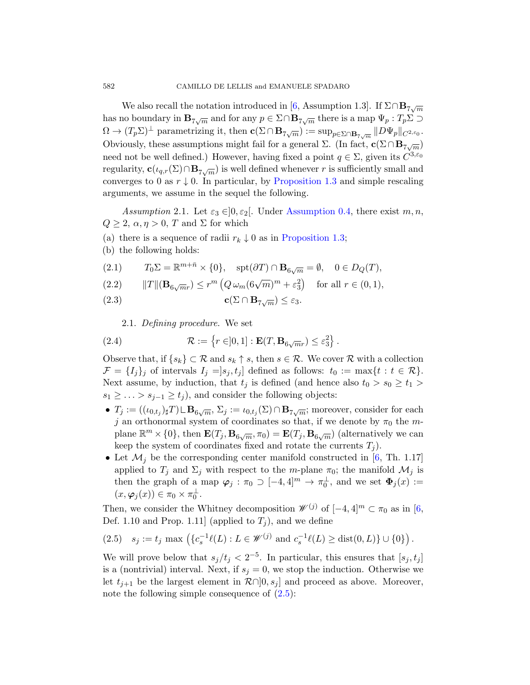<span id="page-5-1"></span>We also recal[l the notation int](#page-2-1)roduced in [6, Assumption 1.3]. If  $\Sigma \cap \mathbf{B}_{7\sqrt{m}}$ has no boundary in  $\mathbf{B}_{7\sqrt{m}}$  and for any  $p \in \Sigma \cap \mathbf{B}_{7\sqrt{m}}$  there is a map  $\Psi_p : T_p \Sigma \supset$  $\Omega \to (T_p \Sigma)^{\perp}$  parame[trizing it, then](#page-1-1)  $\mathbf{c}(\Sigma \cap \mathbf{B}_{7\sqrt{m}}) := \sup_{p \in \Sigma \cap \mathbf{B}_{7\sqrt{m}}} ||D\Psi_p||_{C^{2,\varepsilon_0}}$ . Obviously, these assumptions might fail for a general  $\Sigma$ . (In fact,  $\mathbf{c}(\Sigma \cap \mathbf{B}_{7\sqrt{m}})$ need not be well de[fined.\) However,](#page-2-1) having fixed a point  $q \in \Sigma$ , given its  $C^{3,\varepsilon_0}$ regularity,  $\mathbf{c}(\iota_{q,r}(\Sigma) \cap \mathbf{B}_{7\sqrt{m}})$  is well defined whenever r is sufficiently small and converges to 0 as  $r \downarrow 0$ . In particular, by Proposition 1.3 and simple rescaling arguments, we assume in the sequel the following.

Assumption 2.1. Let  $\varepsilon_3 \in ]0, \varepsilon_2[$ . Under Assumption 0.4, there exist  $m, n$ ,  $Q \geq 2$ ,  $\alpha, \eta \geq 0$ , T and  $\Sigma$  for which

- (a) there is a sequence of radii  $r_k \downarrow 0$  as in Proposition 1.3;
- (b) the following holds:

(2.1) 
$$
T_0 \Sigma = \mathbb{R}^{m+\bar{n}} \times \{0\}, \quad \text{spt}(\partial T) \cap \mathbf{B}_{6\sqrt{m}} = \emptyset, \quad 0 \in D_Q(T),
$$

(2.2) 
$$
||T||(\mathbf{B}_{6\sqrt{m}r}) \leq r^m \left(Q \omega_m (6\sqrt{m})^m + \varepsilon_3^2\right) \text{ for all } r \in (0,1),
$$

(2.3) 
$$
\mathbf{c}(\Sigma \cap \mathbf{B}_{7\sqrt{m}}) \leq \varepsilon_3.
$$

2.1. Defining procedure. We set

(2.4) 
$$
\mathcal{R} := \left\{ r \in ]0,1] : \mathbf{E}(T,\mathbf{B}_{6\sqrt{m}r}) \leq \varepsilon_3^2 \right\}.
$$

Observe that, if  $\{s_k\} \subset \mathcal{R}$  and  $s_k \uparrow s$ , then  $s \in \mathcal{R}$ . We cover  $\mathcal{R}$  with a collection  $\mathcal{F} = \{I_i\}_i$  of intervals  $I_i = |s_i, t_i|$  defined as follows:  $t_0 := \max\{t : t \in \mathcal{R}\}.$ Next assume, by induction, that  $t_j$  is defi[ned](#page-40-0) (and hence also  $t_0 > s_0 \geq t_1 >$  $s_1 \geq \ldots > s_{j-1} \geq t_j$ , and consider the following objects:

- $T_j := ((\iota_{0,t_j})_{\sharp}T) \sqcup \mathbf{B}_{6\sqrt{m}}, \Sigma_j := \iota_{0,t_j}(\Sigma) \cap \mathbf{B}_{7\sqrt{m}};$  moreover, consider for each j an orthonormal system of coordinates so that, if we denote by  $\pi_0$  the mplane  $\mathbb{R}^m \times \{0\}$ , then  $\mathbf{E}(T_j, \mathbf{B}_{6\sqrt{m}}, \pi_0) = \mathbf{E}(T_j, \mathbf{B}_{6\sqrt{m}})$  (alternatively we can keep the system of coordinates fixed and rotate the currents  $T_j$ ).
- <span id="page-5-0"></span>• Let  $\mathcal{M}_i$  be the corresponding center manifold constructed in [6, Th. 1.17] applied to  $T_j$  and  $\Sigma_j$  with respect to the m-plane  $\pi_0$ ; the manifold  $\mathcal{M}_j$  is then the graph of a map  $\varphi_j : \pi_0 \supset [-4, 4]^m \to \pi_0^{\perp}$ , and we set  $\Phi_j(x) :=$  $(x, \varphi_j(x)) \in \pi_0 \times \pi_0^{\perp}.$

Then, we consider the Whitney decomposition  $\mathscr{W}^{(j)}$  of  $[-4, 4]^m \subset \pi_0$  as in [6, Def[. 1.1](#page-5-0)0 and Prop. 1.11] (applied to  $T_j$ ), and we define

$$
(2.5) \quad s_j := t_j \text{ max } \left( \{ c_s^{-1}\ell(L) : L \in \mathscr{W}^{(j)} \text{ and } c_s^{-1}\ell(L) \geq \text{dist}(0, L) \} \cup \{0\} \right).
$$

We will prove below that  $s_j/t_j < 2^{-5}$ . In particular, this ensures that  $[s_j, t_j]$ is a (nontrivial) interval. Next, if  $s_j = 0$ , we stop the induction. Otherwise we let  $t_{i+1}$  be the largest element in  $\mathcal{R}\cap\,0,s_i]$  and proceed as above. Moreover, note the following simple consequence of  $(2.5)$ :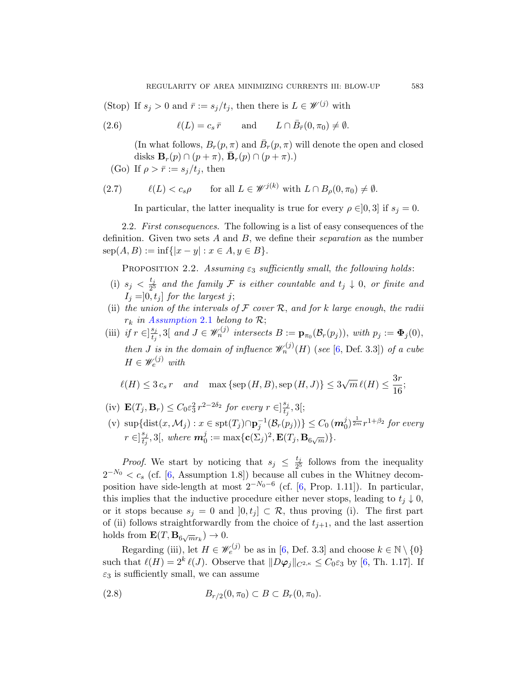(Stop) If  $s_j > 0$  and  $\bar{r} := s_j/t_j$ , then there is  $L \in \mathcal{W}^{(j)}$  with

(2.6) 
$$
\ell(L) = c_s \bar{r} \quad \text{and} \quad L \cap \bar{B}_{\bar{r}}(0, \pi_0) \neq \emptyset.
$$

(In what follows,  $B_r(p, \pi)$  and  $\bar{B}_r(p, \pi)$  will denote the open and closed disks  $\mathbf{B}_r(p) \cap (p + \pi)$ ,  $\bar{\mathbf{B}}_r(p) \cap (p + \pi)$ .

(Go) If 
$$
\rho > \overline{r} := s_j/t_j
$$
, then

<span id="page-6-0"></span>(2.7) 
$$
\ell(L) < c_s \rho \qquad \text{for all } L \in \mathscr{W}^{j(k)} \text{ with } L \cap B_{\rho}(0, \pi_0) \neq \emptyset.
$$

In particular, the latter inequality is true for every  $\rho \in ]0,3]$  if  $s_j = 0$ .

2.2. First consequences. The following is a list of easy consequences of the definition. Given two sets  $A$  and  $B$ , we define their separation as the number  $\text{sep}(A, B) := \inf\{|x - y| : x \in A, y \in B\}.$ 

PROPOSITION 2.2. Assumin[g](#page-40-0)  $\varepsilon_3$  sufficiently small, the following holds:

- (i)  $s_j < \frac{t_j}{25}$  $\frac{t_j}{2^5}$  and the family F is either countable and  $t_j \downarrow 0$ , or finite and  $I_i = ]0, t_i]$  for the largest j;
- (ii) the union of the intervals of  $\mathcal F$  cover  $\mathcal R$ , and for k large enough, the radii  $r_k$  in Assumption 2.1 belong to  $\mathcal{R}$ ;
- (iii) if  $r \in \left[\frac{s_j}{t}\right]$  $\mathcal{L}_{t_j}^{s_j},$  3[ and  $J \in \mathscr{W}_n^{(j)}$  intersects  $B := \mathbf{p}_{\pi_0}(\mathcal{B}_r(p_j)),$  with  $p_j := \mathbf{\Phi}_j(0),$ then *J* is in the domain of influence  $\mathscr{W}_n^{(j)}(H)$  (see [6, Def. 3.3]) of a cube  $H \in \mathscr{W}_e^{(j)}$  with

$$
\ell(H) \le 3c_s r \quad and \quad \max\left\{\text{sep}\left(H, B\right), \text{sep}\left(H, J\right)\right\} \le 3\sqrt{m} \,\ell(H) \le \frac{3r}{16};
$$

- (iv)  $\mathbf{E}(T_j, \mathbf{B}_r) \leq C_0 \varepsilon_3^2 r^{2-2\delta_2}$  $\mathbf{E}(T_j, \mathbf{B}_r) \leq C_0 \varepsilon_3^2 r^{2-2\delta_2}$  $\mathbf{E}(T_j, \mathbf{B}_r) \leq C_0 \varepsilon_3^2 r^{2-2\delta_2}$  for every  $r \in ]\frac{s_j}{t_i}$  $\frac{s_j}{t_j}, 3[;$
- (v)  $\sup\{\text{dist}(x, \mathcal{M}_j) : x \in \text{spt}(T_j) \cap \mathbf{p}_j^{-1}(\mathcal{B}_r(p_j))\} \leq C_0 \left(\mathbf{m}_0^j\right)^{\frac{1}{2m}} r^{1+\beta_2}$  for every  $r \in ]\frac{s_j}{t}$  $\frac{s_j}{t_j}, 3[,$  where  $\boldsymbol{m}_0^j := \max\{\mathbf{c}(\Sigma_j)^2, \mathbf{E}(T_j,\mathbf{B}_{6\sqrt{m}})\}.$

*Proof.* We start by noticing that  $s_j \leq \frac{t_j}{2^5}$  $\frac{l_j}{2^5}$  follows from the inequality  $2^{-N_0} < c_s$  (cf. [6, A[ss](#page-40-0)umption 1.8]) because all cubes in the Whitney decomposition have side-length at most  $2^{-N_0-6}$  (cf. [6, Prop. 1.11]). In particular, this implies that the inductive procedure either never stops, leading to  $t_j \downarrow 0$ , or it stops because  $s_j = 0$  and  $[0, t_j] \subset \mathcal{R}$ , thus proving (i). The first part of (ii) follows straightforwardly from the choice of  $t_{j+1}$ , and the last assertion holds from  $\mathbf{E}(T, \mathbf{B}_{6\sqrt{m}r_k}) \to 0$ .

Regarding (iii), let  $H \in \mathscr{W}_e^{(j)}$  be as in [6, Def. 3.3] and choose  $k \in \mathbb{N} \setminus \{0\}$ such that  $\ell(H) = 2^k \ell(J)$ . Observe that  $||D\varphi_j||_{C^{2,\kappa}} \leq C_0 \varepsilon_3$  by [6, Th. 1.17]. If  $\varepsilon_3$  is sufficiently small, we can assume

(2.8) 
$$
B_{r/2}(0, \pi_0) \subset B \subset B_r(0, \pi_0).
$$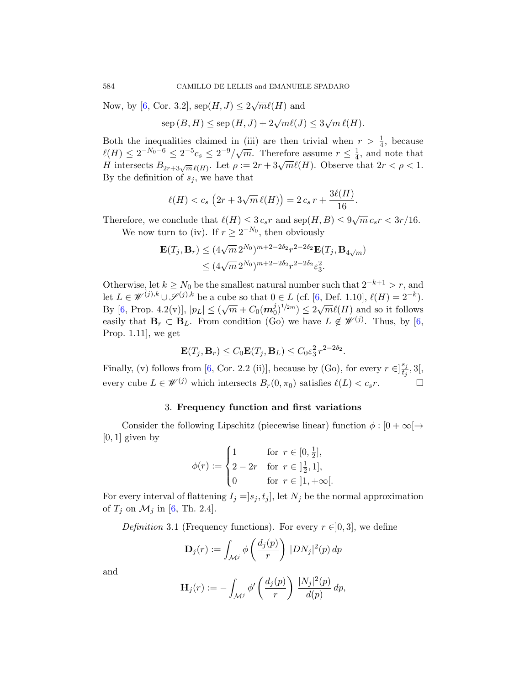Now, by [6, Cor. 3.2],  $\text{sep}(H, J) \leq 2\sqrt{m}\ell(H)$  and

 $\text{sep}(B, H) \leq \text{sep}(H, J) + 2\sqrt{m}\ell(J) \leq 3$ √  $\overline{m}\,\ell(H).$ 

Both the inequalities claimed in (iii) are then trivial when  $r > \frac{1}{4}$ , because  $\ell(H) \leq 2^{-N_0-6} \leq 2^{-5}c_s \leq 2^{-9}/\sqrt{m}$ . Therefore assume  $r \leq \frac{1}{4}$  $\frac{1}{4}$ , and note that H intersects  $B_{2r+3\sqrt{m}\ell(H)}$ . Let  $\rho := 2r + 3\sqrt{m}\ell(H)$ . Observe that  $2r < \rho < 1$ . By the definition of  $s_i$ , we have that

$$
\ell(H) < c_s \left(2r + 3\sqrt{m}\,\ell(H)\right) = 2\,c_s\,r + \frac{3\ell(H)}{16}.
$$

Therefore, we conclude that  $\ell(H) \leq 3 c_s r$  and  $\text{sep}(H, B) \leq 9\sqrt{m} c_s r < 3r/16$ .

We now turn to (iv). If  $r \geq 2^{-N_0}$ , then obviously

$$
\mathbf{E}(T_j, \mathbf{B}_r) \leq (4\sqrt{m} 2^{N_0})^{m+2-2\delta_2} r^{2-2\delta_2} \mathbf{E}(T_j, \mathbf{B}_{4\sqrt{m}})
$$
  
 
$$
\leq (4\sqrt{m} 2^{N_0})^{m+2-2\delta_2} r^{2-2\delta_2} \varepsilon_3^2.
$$

Otherwise, let  $k \geq N_0$  be the smallest natural number such that  $2^{-k+1} > r$ , and le[t](#page-40-0)  $L \in \mathscr{W}^{(j),k} \cup \mathscr{S}^{(j),k}$  be a cube so that  $0 \in L$  (cf. [6, Def. 1.10],  $\ell(H) = 2^{-k}$ ). By [6, Prop. 4.2(v)],  $|p_L| \le (\sqrt{m} + C_0(m_0^j)^{1/2m}) \le 2\sqrt{m}\ell(H)$  and so it follows easily that  $\mathbf{B}_r \subset \mathbf{B}_L$ . From condition (Go) we have  $L \notin \mathcal{W}^{(j)}$ . Thus, by [6, Prop. 1.11], we get

$$
\mathbf{E}(T_j, \mathbf{B}_r) \le C_0 \mathbf{E}(T_j, \mathbf{B}_L) \le C_0 \varepsilon_3^2 r^{2-2\delta_2}.
$$

<span id="page-7-0"></span>Finally, (v) follows from [6, Cor. 2.2 (ii)], because by (Go), for every  $r \in \left[\frac{s_j}{t}\right]$  $\frac{s_j}{t_j}, 3[,$ every cube  $L \in \mathscr{W}^{(j)}$  which intersects  $B_r(0, \pi_0)$  satisfies  $\ell(L) < c_s r$ .

## 3. Frequency function and first variations

Consider the following Lipschitz (piecewise linear) function  $\phi : [0 + \infty] \rightarrow$  $[0, 1]$  given by

$$
\phi(r) := \begin{cases} 1 & \text{for } r \in [0, \frac{1}{2}], \\ 2 - 2r & \text{for } r \in ]\frac{1}{2}, 1], \\ 0 & \text{for } r \in ]1, +\infty[. \end{cases}
$$

For every interval of flattening  $I_j = ]s_j, t_j]$ , let  $N_j$  be the normal approximation of  $T_j$  on  $\mathcal{M}_j$  in [6, Th. 2.4].

Definition 3.1 (Frequency functions). For every  $r \in ]0,3]$ , we define

$$
\mathbf{D}_{j}(r) := \int_{\mathcal{M}^{j}} \phi\left(\frac{d_{j}(p)}{r}\right) |DN_{j}|^{2}(p) dp
$$

and

$$
\mathbf{H}_j(r) := -\int_{\mathcal{M}^j} \phi' \left( \frac{d_j(p)}{r} \right) \frac{|N_j|^2(p)}{d(p)} dp,
$$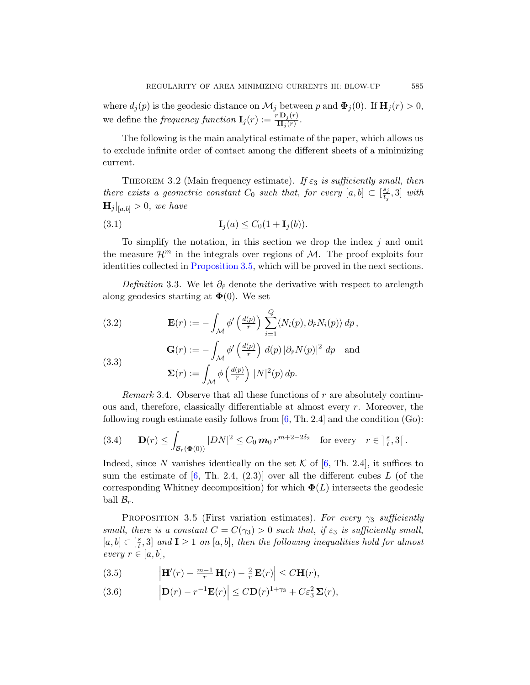<span id="page-8-3"></span>where  $d_j(p)$  is the geodesic distance on  $\mathcal{M}_j$  between p and  $\mathbf{\Phi}_j(0)$ . If  $\mathbf{H}_j(r) > 0$ , we define the *frequency function*  $\mathbf{I}_j(r) := \frac{r \mathbf{D}_j(r)}{\mathbf{H}_j(r)}$ .

The following is the main analytical estimate of the paper, which allows us to exclude infinite order of contact among the different sheets of a minimizing current.

THEOREM 3.2 (Main frequency estimate). If  $\varepsilon_3$  is sufficiently small, then [there exists a](#page-8-0) geometric constant  $C_0$  such that, for every  $[a, b] \subset \left[\frac{s_j}{t_b}\right]$  $\frac{s_j}{t_j}, 3]$  with  $\mathbf{H}_j|_{[a,b]} > 0$ , we have

$$
\mathbf{I}_j(a) \le C_0(1 + \mathbf{I}_j(b)).
$$

To simplify the notation, in this section we drop the index  $j$  and omit the measure  $\mathcal{H}^m$  in the integrals over regions of M. The proof exploits four identities collected in Proposition 3.5, which will be proved in the next sections.

Definition 3.3. We let  $\partial_{\hat{r}}$  denote the derivative with respect to arclength along geodesics starting at  $\mathbf{\Phi}(0)$ . We set

(3.2) 
$$
\mathbf{E}(r) := -\int_{\mathcal{M}} \phi' \left(\frac{d(p)}{r}\right) \sum_{i=1}^{Q} \langle N_i(p), \partial_{\hat{r}} N_i(p) \rangle dp,
$$

(3.3)  
\n
$$
\mathbf{G}(r) := -\int_{\mathcal{M}} \phi' \left(\frac{d(p)}{r}\right) d(p) |\partial_{\hat{r}} N(p)|^2 dp \text{ and}
$$
\n
$$
\mathbf{\Sigma}(r) := \int_{\mathcal{M}} \phi \left(\frac{d(p)}{r}\right) |N|^2(p) dp.
$$

Remark 3.4. Observe tha[t a](#page-40-0)ll these functions of  $r$  are absolutely continu[o](#page-40-0)us and, therefore, classically differentiable at almost every r. Moreover, the following rough estimate easily follows from  $[6, Th. 2.4]$  and the condition  $(Go)$ :

<span id="page-8-0"></span>
$$
(3.4) \qquad \mathbf{D}(r) \leq \int_{\mathcal{B}_r(\Phi(0))} |DN|^2 \leq C_0 \, m_0 \, r^{m+2-2\delta_2} \quad \text{for every} \quad r \in ]\,^s_t, 3[.
$$

<span id="page-8-2"></span>Indeed, since N vanishes identically on the set K of [6, Th. 2.4], it suffices to sum the estimate of  $[6, Th. 2.4, (2.3)]$  over all the different cubes L (of the corresponding Whitney decomposition) for which  $\Phi(L)$  intersects the geodesic ball  $\mathcal{B}_r$ .

<span id="page-8-1"></span>PROPOSITION 3.5 (First variation estimates). For every  $\gamma_3$  sufficiently small, there is a constant  $C = C(\gamma_3) > 0$  such that, if  $\varepsilon_3$  is sufficiently small,  $[a, b] \subset \lbrack \frac{s}{t} \rbrack$  $\left\{ \frac{s}{t},3\right\}$  and  $\mathbf{I}\geq1$  on  $[a,b],$  then the following inequalities hold for almost every  $r \in [a, b],$ 

(3.5) 
$$
\left|\mathbf{H}'(r)-\frac{m-1}{r}\mathbf{H}(r)-\frac{2}{r}\mathbf{E}(r)\right|\leq C\mathbf{H}(r),
$$

(3.6) 
$$
\left|\mathbf{D}(r)-r^{-1}\mathbf{E}(r)\right|\leq C\mathbf{D}(r)^{1+\gamma_3}+C\varepsilon_3^2\,\mathbf{\Sigma}(r),
$$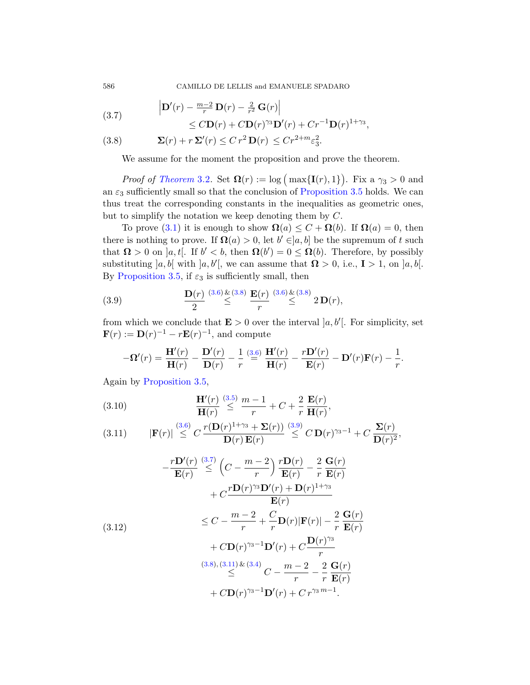<span id="page-9-2"></span><span id="page-9-0"></span>586 CAMILLO DE LELLIS and EMANUELE SPADARO

(3.7) 
$$
\left| \mathbf{D}'(r) - \frac{m-2}{r} \mathbf{D}(r) - \frac{2}{r^2} \mathbf{G}(r) \right|
$$
  
 
$$
\leq C \mathbf{D}(r) + C \mathbf{D}(r)^{\gamma_3} \mathbf{D}'(r) + C r^{-1} \mathbf{D}(r)^{1+\gamma_3},
$$

(3.8) 
$$
\mathbf{\Sigma}(r) + r \mathbf{\Sigma}'(r) \leq C r^2 \mathbf{D}(r) \leq C r^{2+m} \varepsilon_3^2.
$$

We assume for the moment the proposition and prove the theorem.

*Proof of Theorem* 3.2. Set  $\mathbf{\Omega}(r) := \log \left( \max\{ \mathbf{I}(r), 1 \} \right)$ . Fix a  $\gamma_3 > 0$  and an  $\varepsilon_3$  sufficiently small so that the conclusion of Proposition 3.5 holds. We can thus treat the corresponding constants in the inequalities as geometric ones, bu[t to](#page-8-1) si[mp](#page-9-0)lify th[e no](#page-8-1)ta[tion](#page-9-0) we keep denoting them by C.

<span id="page-9-1"></span>To prove (3.1) it is enough to show  $\Omega(a) \leq C + \Omega(b)$ . If  $\Omega(a) = 0$ , then there is nothing to prove. If  $\Omega(a) > 0$ , let  $b' \in ]a, b]$  be the supremum of t such that  $\Omega > 0$  on  $[a, t]$ . If  $b' < b$ , then  $\Omega(b') = 0 \leq \Omega(b)$ . Therefore, by possibly substituting  $[a, b]$  with  $[a, b']$ , we can assume that  $\Omega > 0$ , i.e.,  $I > 1$ , on  $[a, b]$ . By Proposit[ion](#page-8-1) 3.5, if  $\varepsilon_3$  is sufficiently small, then

(3.9) 
$$
\frac{\mathbf{D}(r)}{2} \stackrel{(3.6)}{\leq} \stackrel{(3.8)}{\leq} \frac{\mathbf{E}(r)}{r} \stackrel{(3.6)}{\leq} \stackrel{(3.8)}{\leq} 2\mathbf{D}(r),
$$

from [whic](#page-8-2)h we conclude that  $\mathbf{E} > 0$  over the interval  $[a, b']$ . For simplicity, set  $\mathbf{F}(r) := \mathbf{D}(r)^{-1} - r\mathbf{E}(r)^{-1}$ , and compute

$$
-\mathbf{\Omega}'(r) = \frac{\mathbf{H}'(r)}{\mathbf{H}(r)} - \frac{\mathbf{D}'(r)}{\mathbf{D}(r)} - \frac{1}{r} \stackrel{(3.6)}{=} \frac{\mathbf{H}'(r)}{\mathbf{H}(r)} - \frac{r\mathbf{D}'(r)}{\mathbf{E}(r)} - \mathbf{D}'(r)\mathbf{F}(r) - \frac{1}{r}.
$$

[Agai](#page-9-2)n by Proposition 3.5,

(3.10) 
$$
\frac{\mathbf{H}'(r)}{\mathbf{H}(r)} \stackrel{(3.5)}{\leq} \frac{m-1}{r} + C + \frac{2}{r} \frac{\mathbf{E}(r)}{\mathbf{H}(r)},
$$

(3.11) 
$$
|\mathbf{F}(r)| \stackrel{(3.6)}{\leq} C \frac{r(\mathbf{D}(r)^{1+\gamma_3} + \mathbf{\Sigma}(r))}{\mathbf{D}(r)\mathbf{E}(r)} \stackrel{(3.9)}{\leq} C \mathbf{D}(r)^{\gamma_3-1} + C \frac{\mathbf{\Sigma}(r)}{\mathbf{D}(r)^2},
$$

$$
-\frac{r\mathbf{D}'(r)}{\mathbf{E}(r)} \stackrel{(3.7)}{\leq} \left(C - \frac{m-2}{r}\right) \frac{r\mathbf{D}(r)}{\mathbf{E}(r)} - \frac{2}{r} \frac{\mathbf{G}(r)}{\mathbf{E}(r)} \n+ C \frac{r\mathbf{D}(r)^{3} \mathbf{D}'(r) + \mathbf{D}(r)^{1+\gamma_3}}{\mathbf{E}(r)} \n\leq C - \frac{m-2}{r} + \frac{C}{r} \mathbf{D}(r) |\mathbf{F}(r)| - \frac{2}{r} \frac{\mathbf{G}(r)}{\mathbf{E}(r)} \n+ C \mathbf{D}(r)^{\gamma_3-1} \mathbf{D}'(r) + C \frac{\mathbf{D}(r)^{\gamma_3}}{r} \n\stackrel{(3.8), (3.11) \& (3.4)}{\leq} C - \frac{m-2}{r} - \frac{2}{r} \frac{\mathbf{G}(r)}{\mathbf{E}(r)} \n+ C \mathbf{D}(r)^{\gamma_3-1} \mathbf{D}'(r) + C r^{\gamma_3 m-1}.
$$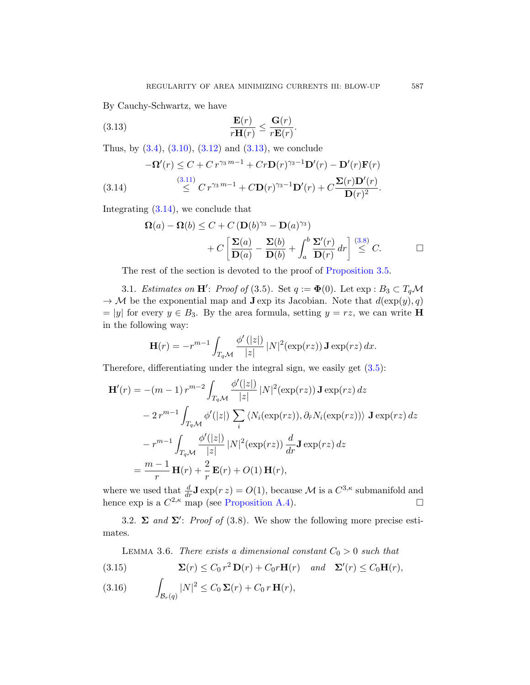By Cauchy-Schwartz, we have

(3.13) 
$$
\frac{\mathbf{E}(r)}{r\mathbf{H}(r)} \leq \frac{\mathbf{G}(r)}{r\mathbf{E}(r)}.
$$

Thus, by  $(3.4)$ ,  $(3.10)$ ,  $(3.12)$  and  $(3.13)$ , we conclude

$$
-\Omega'(r) \le C + Cr^{\gamma_3 m - 1} + Cr\mathbf{D}(r)^{\gamma_3 - 1}\mathbf{D}'(r) - \mathbf{D}'(r)\mathbf{F}(r)
$$
  
(3.14)  

$$
\le C r^{\gamma_3 m - 1} + C\mathbf{D}(r)^{\gamma_3 - 1}\mathbf{D}'(r) + C\frac{\Sigma(r)\mathbf{D}'(r)}{\mathbf{D}(r)^2}.
$$

Integrating (3.14), we conclude that

$$
\Omega(a) - \Omega(b) \le C + C \left( \mathbf{D}(b)^{\gamma_3} - \mathbf{D}(a)^{\gamma_3} \right) + C \left[ \frac{\Sigma(a)}{\mathbf{D}(a)} - \frac{\Sigma(b)}{\mathbf{D}(b)} + \int_a^b \frac{\Sigma'(r)}{\mathbf{D}(r)} dr \right] \stackrel{(3.8)}{\le} C.
$$

The rest of the section is devoted to the proof of Proposition 3.5.

3.1. Estimates on  $\mathbf{H}'$ : Proof of (3.5)[. Se](#page-8-2)t  $q := \mathbf{\Phi}(0)$ . Let  $\exp : B_3 \subset T_q \mathcal{M}$  $\rightarrow M$  be the exponential map and **J** exp its Jacobian. Note that  $d(\exp(y), q)$  $= |y|$  for every  $y \in B_3$ . By the area formula, setting  $y = rz$ , we can write **H** in the following way:

$$
\mathbf{H}(r) = -r^{m-1} \int_{T_q \mathcal{M}} \frac{\phi'(|z|)}{|z|} |N|^2(\exp(rz)) \mathbf{J} \exp(rz) dx.
$$

Therefore, differentiating under the integral sign, we easily get (3.5):

$$
\mathbf{H}'(r) = -(m-1) r^{m-2} \int_{T_q \mathcal{M}} \frac{\phi'(|z|)}{|z|} |N|^2(\exp(rz)) \mathbf{J} \exp(rz) dz
$$
  

$$
- 2 r^{m-1} \int_{T_q \mathcal{M}} \phi'(|z|) \sum_i \langle N_i(\exp(rz)), \partial_r N_i(\exp(rz)) \rangle \mathbf{J} \exp(rz) dz
$$
  

$$
- r^{m-1} \int_{T_q \mathcal{M}} \frac{\phi'(|z|)}{|z|} |N|^2(\exp(rz)) \frac{d}{dr} \mathbf{J} \exp(rz) dz
$$
  

$$
= \frac{m-1}{r} \mathbf{H}(r) + \frac{2}{r} \mathbf{E}(r) + O(1) \mathbf{H}(r),
$$

<span id="page-10-2"></span><span id="page-10-0"></span>where we used that  $\frac{d}{dr} \mathbf{J} \exp(r z) = O(1)$ , because M is a  $C^{3,\kappa}$  submanifold and hence  $\exp$  is a  $C^{2,\kappa}$  map (see Proposition A.4).

<span id="page-10-1"></span>3.2.  $\Sigma$  and  $\Sigma'$ : Proof of (3.8). We show the following more precise estimates.

LEMMA 3.6. There exists a dimensional constant  $C_0 > 0$  such that

(3.15) 
$$
\mathbf{\Sigma}(r) \leq C_0 r^2 \mathbf{D}(r) + C_0 r \mathbf{H}(r) \quad and \quad \mathbf{\Sigma}'(r) \leq C_0 \mathbf{H}(r),
$$

Z  $\mathcal{B}_r(q)$ (3.16)  $|N|^2 \leq C_0 \Sigma(r) + C_0 r \mathbf{H}(r),$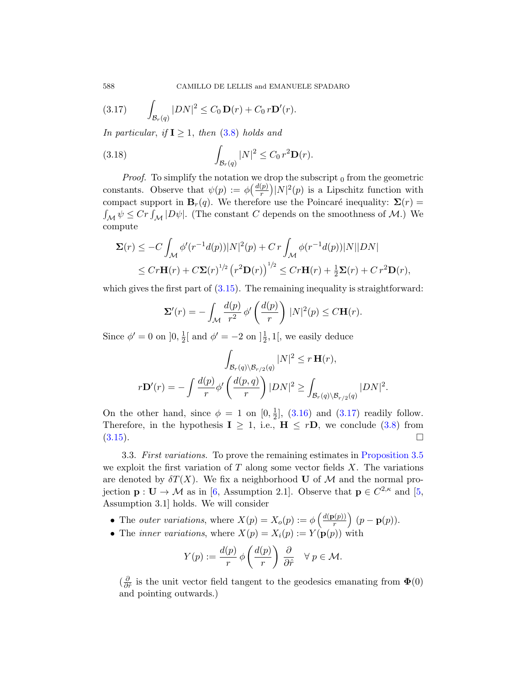(3.17) 
$$
\int_{\mathcal{B}_r(q)} |DN|^2 \leq C_0 \mathbf{D}(r) + C_0 r \mathbf{D}'(r).
$$

In particular, if  $I \geq 1$ , then (3.8) holds and

(3.18) 
$$
\int_{\mathcal{B}_r(q)} |N|^2 \leq C_0 r^2 \mathbf{D}(r).
$$

*Proof.* To simplify the notation we drop the subscript  $_0$  from the geometric constants. Observe that  $\psi(p) := \phi\left(\frac{d(p)}{r}\right)$  $\binom{p}{r} |N|^2(p)$  is a Lipschitz function with compact support in  $B_r(q)$ . We therefore use the Poincaré inequality:  $\Sigma(r)$  =  $\int_{\mathcal{M}} \psi \leq C r \int_{\mathcal{M}} |D\psi|$ . (The constant C depends on the smoothness of M.) We compute

$$
\Sigma(r) \leq -C \int_{\mathcal{M}} \phi'(r^{-1}d(p))|N|^2(p) + Cr \int_{\mathcal{M}} \phi(r^{-1}d(p))|N||DN|
$$
  

$$
\leq Cr\mathbf{H}(r) + C\mathbf{\Sigma}(r)^{1/2} (r^2\mathbf{D}(r))^{1/2} \leq Cr\mathbf{H}(r) + \frac{1}{2}\mathbf{\Sigma}(r) + Cr^2\mathbf{\Sigma}(r),
$$

which gives the first part of  $(3.15)$ . The remaining inequality is straightforward:

$$
\Sigma'(r) = -\int_{\mathcal{M}} \frac{d(p)}{r^2} \phi'\left(\frac{d(p)}{r}\right) |N|^2(p) \le C \mathbf{H}(r).
$$

Since  $\phi' = 0$  on  $\left[0, \frac{1}{2}\right]$  $\frac{1}{2}$ [ [and](#page-10-1)  $\phi' = -2$  on  $]\frac{1}{2}$ , 1[, we easily deduce

$$
\int_{\mathcal{B}_r(q)\backslash\mathcal{B}_{r/2}(q)} |N|^2 \le r \mathbf{H}(r),
$$
  

$$
r\mathbf{D}'(r) = -\int \frac{d(p)}{r} \phi'\left(\frac{d(p,q)}{r}\right) |DN|^2 \ge \int_{\mathcal{B}_r(q)\backslash\mathcal{B}_{r/2}(q)} |DN|^2.
$$

On [t](#page-40-0)he other hand, since  $\phi = 1$  on  $[0, \frac{1}{2}]$  $\frac{1}{2}$ , (3.16) [and](#page-40-4) (3.17) readily follow. Therefore, in the hypothesis  $I \geq 1$ , i.e.,  $H \leq rD$ , we conclude (3.8) from  $(3.15).$ 

3.3. First variations. To prove the remaining estimates in Proposition 3.5 we exploit the first variation of  $T$  along some vector fields  $X$ . The variations are denoted by  $\delta T(X)$ . We fix a neighborhood U of M and the normal projection  $\mathbf{p}: \mathbf{U} \to \mathcal{M}$  as in [6, Assumption 2.1]. Observe that  $\mathbf{p} \in C^{2,\kappa}$  and [5, Assumption 3.1] holds. We will consider

- The *outer variations*, where  $X(p) = X_o(p) := \phi\left(\frac{d(p(p))}{r}\right)$  $\left(p(p)\right)\left(p-\mathbf{p}(p)\right).$
- The *inner variations*, where  $X(p) = X_i(p) := Y(p(p))$  with

$$
Y(p) := \frac{d(p)}{r} \phi\left(\frac{d(p)}{r}\right) \frac{\partial}{\partial \hat{r}} \quad \forall \ p \in \mathcal{M}.
$$

 $(\frac{\partial}{\partial \theta}$  $\frac{\partial}{\partial \hat{r}}$  is the unit vector field tangent to the geodesics emanating from  $\Phi(0)$ and pointing outwards.)

<span id="page-11-1"></span><span id="page-11-0"></span>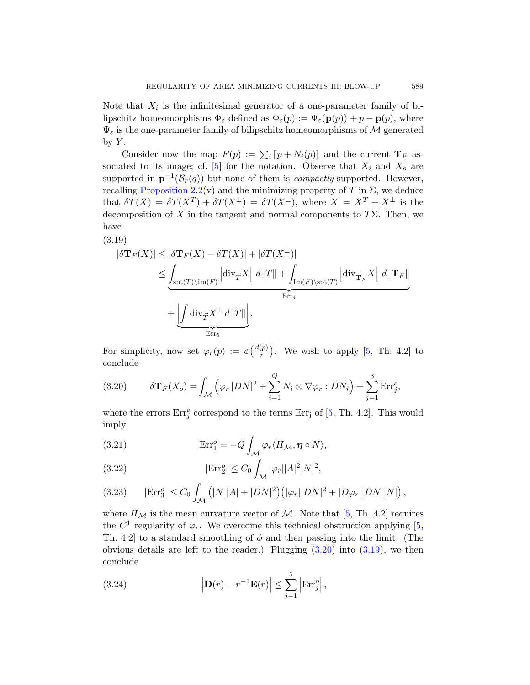Note that  $X_i$  is the infinitesimal generator of a one-parameter family of bi[lip](#page-6-0)schitz homeomorphisms  $\Phi_{\varepsilon}$  defined as  $\Phi_{\varepsilon}(p) := \Psi_{\varepsilon}(\mathbf{p}(p)) + p - \mathbf{p}(p)$ , where  $\Psi_{\varepsilon}$  is the one-parameter family of bilipschitz homeomorphisms of M generated by  $Y$ .

Consider now the map  $F(p) := \sum_i [p + N_i(p)]$  and the current  $\mathbf{T}_F$  associated to its image; cf. [5] for the notation. Observe that  $X_i$  and  $X_o$  are supported in  $\mathbf{p}^{-1}(\mathcal{B}_r(q))$  but none of them is *compactly* supported. However, recalling Proposition 2.2(v) and the minimizing property of T in  $\Sigma$ , we deduce that  $\delta T(X) = \delta T(X^T) + \delta T(X^{\perp}) = \delta T(X^{\perp}),$  where  $X = X^T + X^{\perp}$  is the decomposition of X in the tangent and normal components to  $T\Sigma$ . Then, we have

<span id="page-12-1"></span>(3.19)

$$
\begin{aligned} |\delta \mathbf{T}_F(X)| &\leq |\delta \mathbf{T}_F(X) - \delta T(X)| + |\delta T(X^{\perp})| \\ &\leq \underbrace{\int_{\text{spt}(T)\backslash \text{Im}(F)} \left| \text{div}_{\vec{T}} X \right| d\|T\|}_{\text{Err}_4} + \underbrace{\int_{\text{div}_{\vec{T}} X^{\perp}} d\|T\|}_{\text{Err}_5} . \end{aligned}
$$

<span id="page-12-0"></span>For simplicity, now set  $\varphi_r(p) := \phi\left(\frac{d(p)}{r}\right)$  $\binom{(p)}{r}$ . We wish to apply [5, Th. 4.2] to conclude

(3.20) 
$$
\delta \mathbf{T}_F(X_o) = \int_{\mathcal{M}} \left( \varphi_r |DN|^2 + \sum_{i=1}^Q N_i \otimes \nabla \varphi_r : DN_i \right) + \sum_{j=1}^3 \text{Err}_j^o,
$$

where the errors  $Err_j^o$  correspond to the terms  $Err_j$  of [5, Th. 4.2]. This would imply

(3.21) 
$$
\operatorname{Err}_1^o = -Q \int_{\mathcal{M}} \varphi_r \langle H_{\mathcal{M}}, \eta \circ N \rangle,
$$

(3.22) 
$$
|\text{Err}_2^o| \leq C_0 \int_{\mathcal{M}} |\varphi_r| |A|^2 |N|^2,
$$

(3.23) 
$$
|\text{Err}_3^o| \le C_0 \int_{\mathcal{M}} (|N||A| + |DN|^2) (|\varphi_r||DN|^2 + |D\varphi_r||DN||N|),
$$

where  $H_{\mathcal{M}}$  is the mean curvature vector of M. Note that [5, Th. 4.2] requires the  $C^1$  regularity of  $\varphi_r$ . We overcome this technical obstruction applying [5, Th. 4.2] to a standard smoothing of  $\phi$  and then passing into the limit. (The obvious details are left to the reader.) Plugging  $(3.20)$  into  $(3.19)$ , we then conclude

(3.24) 
$$
\left|\mathbf{D}(r)-r^{-1}\mathbf{E}(r)\right|\leq \sum_{j=1}^{5}\left|\text{Err}_j^o\right|,
$$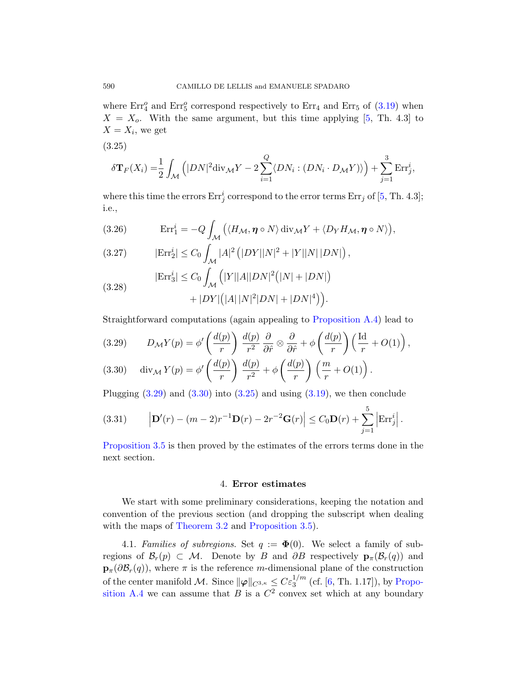<span id="page-13-2"></span>where  $Err_4^o$  and  $Err_5^o$  correspond respectively to  $Err_4$  and  $Err_5$  of  $(3.19)$  when  $X = X<sub>o</sub>$ . With [th](#page-40-4)e same argument, but this time applying [5, Th. 4.3] to  $X=X_i$ , we get

$$
(3.25)
$$

$$
\delta \mathbf{T}_F(X_i) = \frac{1}{2} \int_{\mathcal{M}} \left( |DN|^2 \mathrm{div}_{\mathcal{M}} Y - 2 \sum_{i=1}^Q \langle DN_i : (DN_i \cdot D_{\mathcal{M}} Y) \rangle \right) + \sum_{j=1}^3 \mathrm{Err}_j^i,
$$

where this time the errors  $Err_j^i$  correspond to the error terms  $Err_j$  of [5, Th. 4.3]; i.e.,

(3.26) 
$$
\operatorname{Err}_1^i = -Q \int_{\mathcal{M}} \left( \langle H_{\mathcal{M}}, \eta \circ N \rangle \operatorname{div}_{\mathcal{M}} Y + \langle D_Y H_{\mathcal{M}}, \eta \circ N \rangle \right),
$$

(3.27) 
$$
|\text{Err}_2^i| \le C_0 \int_{\mathcal{M}} |A|^2 (|DY||N|^2 + |Y||N||DN|),
$$

$$
|\text{Err}_2^i| \le C_0 \int_{\mathcal{M}} |Y||A||DN|^2 (|N| + |DN|).
$$

<span id="page-13-1"></span>(3.28) 
$$
|\text{Err}_3^i| \le C_0 \int_{\mathcal{M}} (|Y||A||DN|^2(|N|+|DN|)) + |DY|(|A||N|^2|DN|+|DN|^4)).
$$

[Str](#page-13-1)aightf[orwar](#page-13-2)d computati[ons \(](#page-12-1)again appealing to Proposition A.4) lead to

(3.29) 
$$
D_{\mathcal{M}}Y(p) = \phi' \left(\frac{d(p)}{r}\right) \frac{d(p)}{r^2} \frac{\partial}{\partial \hat{r}} \otimes \frac{\partial}{\partial \hat{r}} + \phi \left(\frac{d(p)}{r}\right) \left(\frac{\mathrm{Id}}{r} + O(1)\right),
$$
  
(3.29) 
$$
\lim_{n \to \infty} Y(\cdot) = \psi \left(\frac{d(p)}{r}\right) \frac{d(p)}{d(p)} \dots \left(\frac{d(p)}{r}\right) \left(\frac{m}{r} + O(1)\right),
$$

(3.30) 
$$
\operatorname{div}_{\mathcal{M}} Y(p) = \phi' \left( \frac{d(p)}{r} \right) \frac{d(p)}{r^2} + \phi \left( \frac{d(p)}{r} \right) \left( \frac{m}{r} + O(1) \right).
$$

<span id="page-13-0"></span>Plugging  $(3.29)$  and  $(3.30)$  into  $(3.25)$  and using  $(3.19)$ , we then conclude

(3.31) 
$$
\left| \mathbf{D}'(r) - (m-2)r^{-1} \mathbf{D}(r) - 2r^{-2} \mathbf{G}(r) \right| \leq C_0 \mathbf{D}(r) + \sum_{j=1}^5 \left| \mathrm{Err}_j^i \right|.
$$

<span id="page-13-3"></span>[Proposi](#page-8-3)tion 3.5 [is then prove](#page-8-0)d by the estimates of the errors terms done in the next section.

## 4. Error estimates

We start with some prelim[in](#page-40-0)ary considerat[ions, ke](#page-37-2)eping the notation and convention of the previous section (and dropping the subscript when dealing with the maps of Theorem 3.2 and Proposition 3.5).

4.1. Families of subregions. Set  $q := \Phi(0)$ . We select a family of subregions of  $\mathcal{B}_r(p) \subset \mathcal{M}$ . Denote by B and  $\partial B$  respectively  $\mathbf{p}_{\pi}(\mathcal{B}_r(q))$  and  $\mathbf{p}_{\pi}(\partial \mathcal{B}_r(q))$ , where  $\pi$  is the reference m-dimensional plane of the construction of the center manifold M. Since  $\|\varphi\|_{C^{3,\kappa}} \leq C \varepsilon_3^{1/m}$  (cf. [6, Th. 1.17]), by Proposition A.4 we can assume that B is a  $\mathbb{C}^2$  convex set which at any boundary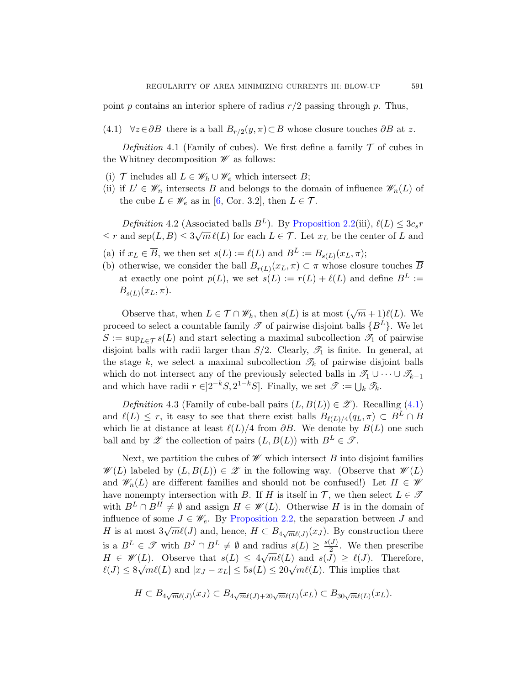<span id="page-14-0"></span>point p contains an interior sphere of radius  $r/2$  passing through p. Thus,

(4.1[\)](#page-40-0)  $\forall z \in \partial B$  there is a ball  $B_{r/2}(y, \pi) \subset B$  whose closure touches  $\partial B$  at z.

Definition 4.1 (F[amily of cubes\).](#page-6-0) We first define a family  $\mathcal T$  of cubes in the Whitney decomposition  $\mathscr W$  as follows:

- (i)  $\mathcal T$  includes all  $L \in \mathscr W_h \cup \mathscr W_e$  which intersect  $B$ ;
- (ii) if  $L' \in \mathscr{W}_n$  intersects B and belongs to the domain of influence  $\mathscr{W}_n(L)$  of the cube  $L \in \mathscr{W}_e$  as in [6, Cor. 3.2], then  $L \in \mathcal{T}$ .

Definition 4.2 (Associated balls  $B^L$ ). By Proposition 2.2(iii),  $\ell(L) \leq 3c_s r$  $\leq r$  and sep $(L, B) \leq 3\sqrt{m} \ell(L)$  for each  $L \in \mathcal{T}$ . Let  $x_L$  be the center of L and

- (a) if  $x_L \in \overline{B}$ , we then set  $s(L) := \ell(L)$  and  $B^L := B_{s(L)}(x_L, \pi);$
- (b) otherwise, we consider the ball  $B_{r(L)}(x_L, \pi) \subset \pi$  whose closure touches B at exactly one point  $p(L)$ , we set  $s(L) := r(L) + \ell(L)$  and define  $B^L :=$  $B_{s(L)}(x_L, \pi)$ .

Observe that, when  $L \in \mathcal{T} \cap \mathscr{W}_h$ , then  $s(L)$  is at most  $(\sqrt{m} + 1)\ell(L)$ . We proceed to select a countable family  $\mathscr T$  of pairwise [disj](#page-14-0)oint balls  $\{B^L\}$ . We let  $S := \sup_{L \in \mathcal{T}} s(L)$  and start selecting a maximal subcollection  $\mathcal{T}_1$  of pairwise disjoint balls with radii larger than  $S/2$ . Clearly,  $\mathcal{T}_1$  is finite. In general, at the stage k, we select a maximal subcollection  $\mathcal{T}_k$  of pairwise disjoint balls which do not intersect any of the previously selected balls in  $\mathscr{T}_1 \cup \cdots \cup \mathscr{T}_{k-1}$ and which have radii  $r \in ]2^{-k}S, 2^{1-k}S]$ . Finally, we set  $\mathscr{T} := \bigcup_k \mathscr{T}_k$ .

Definition 4.3 (Family of cube-ball pairs  $(L, B(L)) \in \mathscr{Z}$ ). Recalling (4.1) and  $\ell(L) \leq r$ , it easy to see that there exist balls  $B_{\ell(L)/4}(q_L, \pi) \subset B^L \cap B$ which lie at distance at least  $\ell(L)/4$  from  $\partial B$ . We denote by  $B(L)$  one such ball and by  $\mathscr{Z}$  [the colle](#page-6-0)ction of pairs  $(L, B(L))$  with  $B^L \in \mathscr{T}$ .

Next, we partition the cubes of  $\mathscr W$  which intersect B into disjoint families  $\mathscr{W}(L)$  labeled by  $(L, B(L)) \in \mathscr{Z}$  in the following way. (Observe that  $\mathscr{W}(L)$ and  $\mathscr{W}_n(L)$  are different families and should not be confused!) Let  $H \in \mathscr{W}$ have nonempty intersection with B. If H is itself in  $\mathcal{T}$ , we then select  $L \in \mathcal{T}$ with  $B^L \cap B^H \neq \emptyset$  and assign  $H \in \mathscr{W}(L)$ . Otherwise H is in the domain of influence of some  $J \in \mathscr{W}_{e}$ . By Proposition 2.2, the separation between J and H is at most  $3\sqrt{m}\ell(J)$  and, hence,  $H \subset B_{4\sqrt{m}\ell(J)}(x_J)$ . By construction there is a  $B^L \in \mathscr{T}$  with  $B^J \cap B^L \neq \emptyset$  and radius  $s(L) \geq \frac{s(J)}{2}$ radius  $s(L) \geq \frac{s(J)}{2}$ . We then prescribe  $H \in \mathscr{W}(L)$ . Observe that  $s(L) \leq 4\sqrt{m}\ell(L)$  and  $s(J) \geq \ell(J)$ . Therefore,  $\ell(J) \leq 8\sqrt{m}\ell(L)$  and  $|x_J - x_L| \leq 5s(L) \leq 20\sqrt{m}\ell(L)$ . This implies that

$$
H \subset B_{4\sqrt{m}\ell(J)}(x_J) \subset B_{4\sqrt{m}\ell(J)+20\sqrt{m}\ell(L)}(x_L) \subset B_{30\sqrt{m}\ell(L)}(x_L).
$$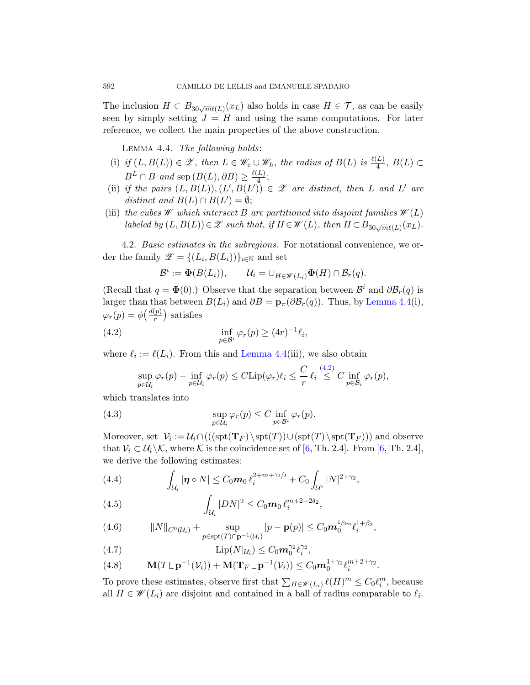<span id="page-15-0"></span>The inclusion  $H \subset B_{30\sqrt{m}\ell(L)}(x_L)$  also holds in case  $H \in \mathcal{T}$ , as can be easily seen by simply setting  $J = H$  and using the same computations. For later reference, we collect the main properties of the above construction.

Lemma 4.4. The following holds:

- (i) if  $(L, B(L)) \in \mathscr{Z}$ , then  $L \in \mathscr{W}_e \cup \mathscr{W}_h$ , the radius of  $B(L)$  is  $\frac{\ell(L)}{4}$ ,  $B(L) \subset$  $B^L \cap B$  and sep  $(B(L), \partial B) \geq \frac{\ell(L)}{4}$  $\frac{L}{4}$ ;
- (ii) if the pairs  $(L, B(L)), (L', B(L')) \in \mathscr{Z}$  are distinct, then L and L' are distinct and  $B(L) \cap B(L') = \emptyset;$
- (iii) the cubes  $\mathscr W$  which intersect B are partitioned into disjoint families  $\mathscr W(L)$ labeled by  $(L, B(L)) \in \mathscr{Z}$  such that, if  $H \in \mathscr{W}(L)$  $H \in \mathscr{W}(L)$  $H \in \mathscr{W}(L)$ , then  $H \subset B_{30\sqrt{m}\ell(L)}(x_L)$ .

<span id="page-15-1"></span>4.2. Basic estimates in the subregions. For notational convenience, we order the family  $\mathscr{Z} = \{(L_i, B(L_i))\}_{i \in \mathbb{N}}$  and set

$$
\mathcal{B}^i := \mathbf{\Phi}(B(L_i)), \qquad \mathcal{U}_i = \cup_{H \in \mathscr{W}(L_i)} \mathbf{\Phi}(H) \cap \mathcal{B}_r(q).
$$

(Recall that  $q = \Phi(0)$ .) Obser[ve](#page-15-1) that the separation between  $\mathcal{B}^i$  and  $\partial \mathcal{B}_r(q)$  is larger than that between  $B(L_i)$  and  $\partial B = \mathbf{p}_{\pi}(\partial \mathcal{B}_r(q))$ . Thus, by Lemma 4.4(i),  $\varphi_r(p) = \phi\left(\frac{d(p)}{r}\right)$  $\binom{(p)}{r}$  satisfies

(4.2) 
$$
\inf_{p \in \mathcal{B}^i} \varphi_r(p) \ge (4r)^{-1} \ell_i,
$$

where  $\ell_i := \ell(L_i)$ . From this and Lemma 4.4(iii), we also obtain

$$
\sup_{p\in\mathcal{U}_i}\varphi_r(p)-\inf_{p\in\mathcal{U}_i}\varphi_r(p)\leq C\mathrm{Lip}(\varphi_r)\ell_i\leq \frac{C}{r}\ell_i\overset{(4.2)}{\leq}C\inf_{p\in\mathcal{B}_i}\varphi_r(p),
$$

which translates into

(4.3) 
$$
\sup_{p\in\mathcal{U}_i}\varphi_r(p)\leq C\inf_{p\in\mathcal{B}^i}\varphi_r(p).
$$

<span id="page-15-2"></span>Moreover, set  $\mathcal{V}_i := \mathcal{U}_i \cap (((\text{spt}(\mathbf{T}_F) \setminus \text{spt}(T)) \cup (\text{spt}(\mathbf{T}_F)))$  and observe that  $V_i \subset \mathcal{U}_i \setminus \mathcal{K}$ , where K is the coincidence set of [6, Th. 2.4]. From [6, Th. 2.4], we derive the following estimates:

<span id="page-15-3"></span>(4.4) 
$$
\int_{\mathcal{U}_i} |\boldsymbol{\eta} \circ N| \leq C_0 m_0 \, \ell_i^{2 + m + \gamma_2/2} + C_0 \int_{\mathcal{U}^i} |N|^{2 + \gamma_2},
$$

(4.5) 
$$
\int_{\mathcal{U}_i} |DN|^2 \leq C_0 m_0 \, \ell_i^{m+2-2\delta_2},
$$

(4.6) 
$$
||N||_{C^{0}(\mathcal{U}_{i})} + \sup_{p \in \text{spt}(T) \cap \mathbf{p}^{-1}(\mathcal{U}_{i})} |p - \mathbf{p}(p)| \leq C_{0} m_{0}^{1/2m} \ell_{i}^{1 + \beta_{2}},
$$

(4.7) 
$$
\mathrm{Lip}(N|_{\mathcal{U}_i}) \leq C_0 m_0^{\gamma_2} \ell_i^{\gamma_2},
$$

(4.8) 
$$
\mathbf{M}(T \sqcup \mathbf{p}^{-1}(\mathcal{V}_i)) + \mathbf{M}(\mathbf{T}_F \sqcup \mathbf{p}^{-1}(\mathcal{V}_i)) \leq C_0 m_0^{1+\gamma_2} \ell_i^{m+2+\gamma_2}.
$$

To prove these estimates, observe first that  $\sum_{H \in \mathscr{W}(L_i)} \ell(H)^m \leq C_0 \ell_i^m$ , because all  $H \in \mathscr{W}(L_i)$  are disjoint and contained in a ball of radius comparable to  $\ell_i$ .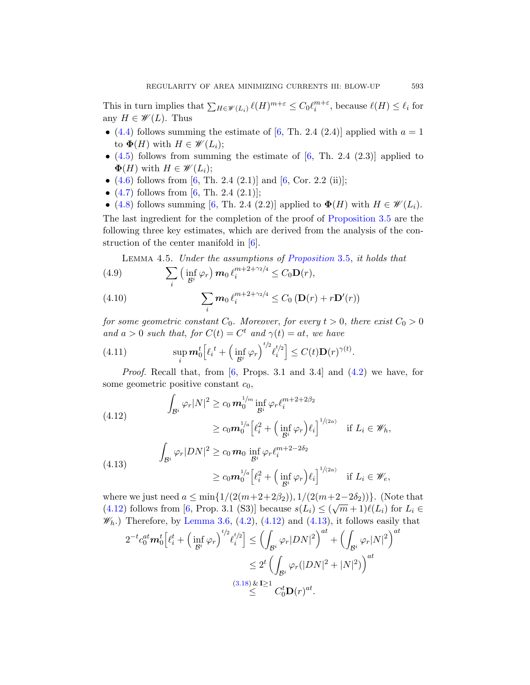[T](#page-40-0)his in turn implies [th](#page-40-0)at  $\sum_{H \in \mathscr{W}(L_i)} \ell(H)^{m+\varepsilon} \leq C_0 \ell_i^{m+\varepsilon}$ , because  $\ell(H) \leq \ell_i$  for [a](#page-40-0)ny  $H \in \mathscr{W}(L)$ . Thus

- [\(4](#page-40-0).4) follows summing the estimate of [6, Th. 2.4 (2.4)] applied with  $a = 1$ to  $\Phi(H)$  with  $H \in \mathscr{W}(L_i);$
- $(4.5)$  follows from summing the estimate of  $[6, Th. 2.4 (2.3)]$  applied to  $\Phi(H)$  $\Phi(H)$  $\Phi(H)$  with  $H \in \mathscr{W}(L_i);$
- $(4.6)$  follows from  $[6, Th. 2.4 (2.1)]$  and  $[6, Cor. 2.2 (ii)];$
- <span id="page-16-3"></span>•  $(4.7)$  follows from [6, Th. 2.4  $(2.1)$ ];
- (4.8) follows summing [6, Th. 2.4 (2.2)] applied to  $\Phi(H)$  with  $H \in \mathscr{W}(L_i)$ .

The last ingredient for the completion of the proof of Proposition 3.5 are the following three key estimates, which are derived from the analysis of the construction of the center manifold in [6].

Lemma 4.5. Under the assumptions of Proposition 3.5, it holds that

<span id="page-16-2"></span>(4.9) 
$$
\sum_{i} \left( \inf_{\mathcal{B}^i} \varphi_r \right) \mathbf{m}_0 \, \ell_i^{m+2+\gamma_2/4} \leq C_0 \mathbf{D}(r),
$$

(4.10) 
$$
\sum_{i} m_0 \ell_i^{m+2+\gamma_2/4} \leq C_0 \left( \mathbf{D}(r) + r \mathbf{D}'(r) \right)
$$

<span id="page-16-0"></span>for some geometric constant  $C_0$ . Moreover, for every  $t > 0$ , there exist  $C_0 > 0$ and  $a > 0$  such that, for  $C(t) = C^t$  and  $\gamma(t) = at$ , we have

(4.11) 
$$
\sup_i \mathbf{m}_0^t \Big[ \ell_i^t + \Big( \inf_{\mathcal{B}^i} \varphi_r \Big)^{t/2} \ell_i^{t/2} \Big] \leq C(t) \mathbf{D}(r)^{\gamma(t)}.
$$

<span id="page-16-1"></span>*Proof.* Recall that, from [6, Props. 3.1 and 3.4] and  $(4.2)$  we have, for some geometric positive constant  $c_0$ ,

(4.12)  
\n
$$
\int_{\mathcal{B}^i} \varphi_r |N|^2 \ge c_0 m_0^{1/m} \inf_{\mathcal{B}^i} \varphi_r \ell_i^{m+2+2\beta_2}
$$
\n
$$
\ge c_0 m_0^{1/a} \left[ \ell_i^2 + \left( \inf_{\mathcal{B}^i} \varphi_r \right) \ell_i \right]^{1/(2a)} \quad \text{if } L_i \in \mathcal{W}_h,
$$
\n
$$
\int_{\mathcal{B}^i} \varphi_r |DN|^2 \ge c_0 m_0 \inf_{\mathcal{B}^i} \varphi_r \ell_i^{m+2-2\delta_2}
$$
\n
$$
\ge c_0 m_0^{1/a} \left[ \ell_i^2 + \left( \inf_{\mathcal{B}^i} \varphi_r \right) \ell_i \right]^{1/(2a)} \quad \text{if } L_i \in \mathcal{W}_e,
$$

where we just need  $a \le \min\{1/(2(m+2+2\beta_2)), 1/(2(m+2-2\delta_2))\}$ . (Note that where we just need  $a \le \min\{1/(2(m+2+2p_2)), 1/(2(m+2-2p_2))\}$ . (For  $L_i \in (4.12)$  fo[llows](#page-11-1) from [6, Prop. 3.1 (S3)] because  $s(L_i) \le (\sqrt{m}+1)\ell(L_i)$  for  $L_i \in$  $\mathscr{W}_h$ .) Therefore, by Lemma 3.6, (4.2), (4.12) and (4.13), it follows easily that

$$
2^{-t}c_0^{at}\boldsymbol{m}_0^t \Big[\ell_i^t + \Big(\inf_{\mathcal{B}^i} \varphi_r\Big)^{t/2} \ell_i^{t/2}\Big] \leq \Big(\int_{\mathcal{B}^i} \varphi_r |DN|^2\Big)^{at} + \Big(\int_{\mathcal{B}^i} \varphi_r |N|^2\Big)^{at}
$$

$$
\leq 2^t \Big(\int_{\mathcal{B}^i} \varphi_r (|DN|^2 + |N|^2)\Big)^{at}
$$

$$
\leq \frac{(3.18) \& \mathbf{I} \geq 1}{\leq C_0^t \mathbf{D}(r)^{at}}.
$$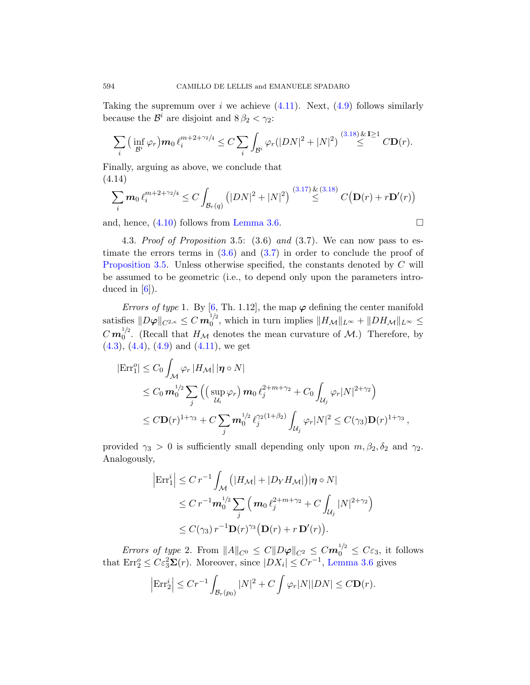<span id="page-17-0"></span>Taking the supremum over i we achieve  $(4.11)$ . Next,  $(4.9)$  follows similarly because the  $\mathcal{B}^i$  are disj[oint](#page-11-0) and  $8\,\beta_2 < \gamma_2$ :

$$
\sum_{i} \left( \inf_{\mathcal{B}^i} \varphi_r \right) m_0 \ell_i^{m+2+\gamma_2/4} \leq C \sum_{i} \int_{\mathcal{B}^i} \varphi_r(|DN|^2 + |N|^2) \stackrel{(3.18) \& \mathbf{I} \geq 1}{\leq} CD(r).
$$

Finally, arguing as above, we conclude that (4.14[\)](#page-8-1)

$$
\sum_{i} m_0 \ell_i^{m+2+\gamma_2/4} \le C \int_{\mathcal{B}_r(q)} \left( |DN|^2 + |N|^2 \right) \stackrel{(3.17) \& (3.18)}{\le} C(D(r) + rD'(r))
$$

and, hence,  $(4.10)$  follows from Lemma 3.6.

4.3. Proof of Proposition 3.5: (3.6) and (3.7). We can now pass to estimate the errors terms in  $(3.6)$  and  $(3.7)$  in order to conclude the proof of Proposition 3.5. Unless otherwise specified, the constants denoted by C will [be a](#page-16-2)ssumed to be geometric (i.e., to depend only upon the parameters introduced in  $[6]$ ).

Errors of type 1. By [6, Th. 1.12], the map  $\varphi$  defining the center manifold satisfies  $\|D\boldsymbol{\varphi}\|_{C^{2,\kappa}} \leq C\, \boldsymbol{m}_0^{1\!2}$  $\int_0^{1/2}$ , which in turn implies  $||H_{\mathcal{M}}||_{L^{\infty}} + ||DH_{\mathcal{M}}||_{L^{\infty}} \le$  $C \, \bm{m}_{0}^{1/2}$  $\int_0^{1/2}$ . (Recall that  $H_{\mathcal{M}}$  denotes the mean curvature of  $\mathcal{M}$ .) Therefore, by  $(4.3)$ ,  $(4.4)$ ,  $(4.9)$  and  $(4.11)$ , we get

$$
|\text{Err}_1^o| \leq C_0 \int_{\mathcal{M}} \varphi_r |H_{\mathcal{M}}| |\eta \circ N|
$$
  
\n
$$
\leq C_0 m_0^{1/2} \sum_j \left( \left( \sup_{\mathcal{U}_i} \varphi_r \right) m_0 \ell_j^{2+m+\gamma_2} + C_0 \int_{\mathcal{U}_j} \varphi_r |N|^{2+\gamma_2} \right)
$$
  
\n
$$
\leq C \mathbf{D}(r)^{1+\gamma_3} + C \sum_j m_0^{1/2} \ell_j^{\gamma_2(1+\beta_2)} \int_{\mathcal{U}_j} \varphi_r |N|^2 \leq C(\gamma_3) \mathbf{D}(r)^{1+\gamma_3},
$$

provided  $\gamma_3 > 0$  is sufficiently small depending only upon  $m, \beta_2, \delta_2$  and  $\gamma_2$ . Analogously,

$$
\begin{aligned} \left| \text{Err}_1^i \right| &\leq C \, r^{-1} \int_{\mathcal{M}} \left( |H_{\mathcal{M}}| + |D_Y H_{\mathcal{M}}| \right) & |\eta \circ N| \\ &\leq C \, r^{-1} \mathbf{m}_0^{1/2} \sum_j \left( \mathbf{m}_0 \, \ell_j^{2+m+\gamma_2} + C \int_{\mathcal{U}_j} |N|^{2+\gamma_2} \right) \\ &\leq C(\gamma_3) \, r^{-1} \mathbf{D}(r)^{\gamma_3} \big( \mathbf{D}(r) + r \, \mathbf{D}'(r) \big). \end{aligned}
$$

Errors of type 2. From  $||A||_{C^0} \le C||D\varphi||_{C^2} \le Cm_0^{1/2} \le C\varepsilon_3$ , it follows that  $\text{Err}_2^o \leq C \varepsilon_3^2 \mathbf{\Sigma}(r)$ . Moreover, since  $|DX_i| \leq Cr^{-1}$ , Lemma 3.6 gives

$$
\left|\operatorname{Err}_2^i\right| \le Cr^{-1} \int_{\mathcal{B}_r(p_0)} |N|^2 + C \int \varphi_r |N| |DN| \le C \mathbf{D}(r).
$$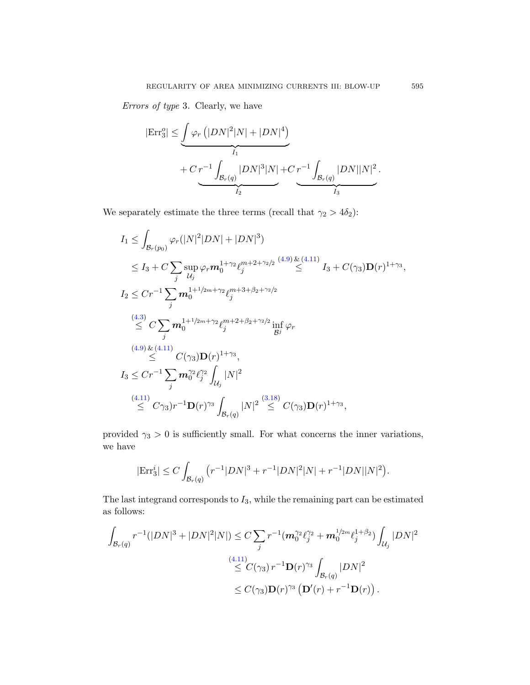Errors of type 3. Clearly, we have

$$
|\text{Err}_{3}^{o}| \leq \underbrace{\int \varphi_{r} (|DN|^{2}|N| + |DN|^{4})}_{I_{1}} + C \underbrace{r^{-1} \int_{\mathcal{B}_{r}(q)} |DN|^{3}|N|}_{I_{2}} + C \underbrace{r^{-1} \int_{\mathcal{B}_{r}(q)} |DN||N|^{2}}_{I_{3}}.
$$

We separately estimate the three terms (recall that  $\gamma_2 > 4\delta_2$ ):

$$
I_{1} \leq \int_{\mathcal{B}_{r}(p_{0})} \varphi_{r}(|N|^{2}|DN|+|DN|^{3})
$$
  
\n
$$
\leq I_{3} + C \sum_{j} \sup_{\mathcal{U}_{j}} \varphi_{r} m_{0}^{1+\gamma_{2}} \ell_{j}^{m+2+\gamma_{2}/2} \stackrel{(4.9) \& (4.11)}{\leq} I_{3} + C(\gamma_{3}) \mathbf{D}(r)^{1+\gamma_{3}},
$$
  
\n
$$
I_{2} \leq C r^{-1} \sum_{j} m_{0}^{1+1/2m+\gamma_{2}} \ell_{j}^{m+3+\beta_{2}+\gamma_{2}/2}
$$
  
\n
$$
\stackrel{(4.3) \leq}{\leq} C \sum_{j} m_{0}^{1+1/2m+\gamma_{2}} \ell_{j}^{m+2+\beta_{2}+\gamma_{2}/2} \inf_{\mathcal{B}^{j}} \varphi_{r}
$$
  
\n
$$
\stackrel{(4.9) \& (4.11) \leq}{\leq} C(\gamma_{3}) \mathbf{D}(r)^{1+\gamma_{3}},
$$
  
\n
$$
I_{3} \leq C r^{-1} \sum_{j} m_{0}^{\gamma_{2}} \ell_{j}^{\gamma_{2}} \int_{\mathcal{U}_{j}} |N|^{2}
$$
  
\n
$$
\stackrel{(4.11) \leq}{\leq} C\gamma_{3}) r^{-1} \mathbf{D}(r)^{\gamma_{3}} \int_{\mathcal{B}_{r}(q)} |N|^{2} \stackrel{(3.18)}{\leq} C(\gamma_{3}) \mathbf{D}(r)^{1+\gamma_{3}},
$$

provided  $\gamma_3 > 0$  is sufficiently small. For what concerns the inner variations, we have

$$
|\text{Err}_3^i| \le C \int_{\mathcal{B}_r(q)} (r^{-1}|DN|^3 + r^{-1}|DN|^2|N| + r^{-1}|DN||N|^2).
$$

The last integrand corresponds to  $I_3$ , while the remaining part can be estimated as follows:

$$
\int_{\mathcal{B}_r(q)} r^{-1}(|DN|^3 + |DN|^2|N|) \le C \sum_j r^{-1} (m_0^{\gamma_2} \ell_j^{\gamma_2} + m_0^{1/2m} \ell_j^{1+\beta_2}) \int_{\mathcal{U}_j} |DN|^2
$$
  

$$
\le C(\gamma_3) r^{-1} \mathbf{D}(r)^{\gamma_3} \int_{\mathcal{B}_r(q)} |DN|^2
$$
  

$$
\le C(\gamma_3) \mathbf{D}(r)^{\gamma_3} \left( \mathbf{D}'(r) + r^{-1} \mathbf{D}(r) \right).
$$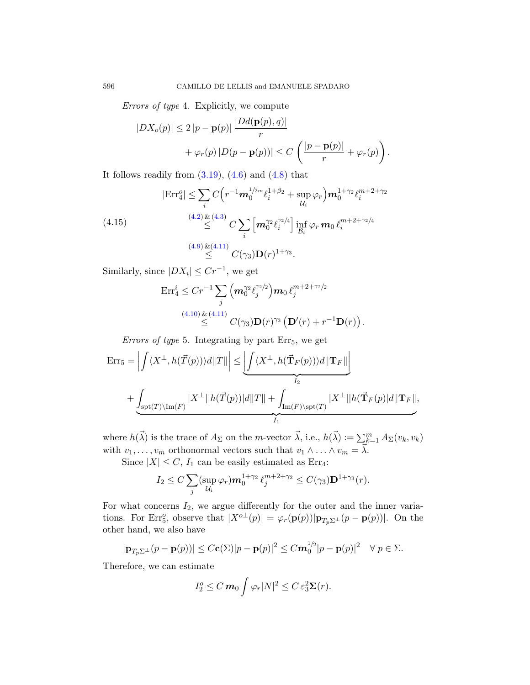[E](#page-12-1)r[rors](#page-15-2) of type [4.](#page-15-3) Explicitly, we compute

$$
|DX_o(p)| \le 2 |p - \mathbf{p}(p)| \frac{|Dd(\mathbf{p}(p), q)|}{r} + \varphi_r(p) |D(p - \mathbf{p}(p))| \le C \left( \frac{|p - \mathbf{p}(p)|}{r} + \varphi_r(p) \right).
$$

[It](#page-16-3)f[ollow](#page-16-2)s readily from  $(3.19)$ ,  $(4.6)$  and  $(4.8)$  that

(4.15)  
\n
$$
|\text{Err}_4^0| \le \sum_i C\left(r^{-1}\mathbf{m}_0^{1/2m} \ell_i^{1+\beta_2} + \sup_{\mathcal{U}_i} \varphi_r\right) \mathbf{m}_0^{1+\gamma_2} \ell_i^{m+2+\gamma_2}
$$
\n
$$
\leq \sum_{i} \left[\mathbf{m}_0^{22} \ell_i^{2/4}\right] \inf_{\mathcal{B}_i} \varphi_r \mathbf{m}_0 \ell_i^{m+2+\gamma_2/4}
$$
\n
$$
\leq \sum_{i} (4.9) \underbrace{\& (4.11)}_{\leq} C(\gamma_3) \mathbf{D}(r)^{1+\gamma_3}.
$$

Similarly, since  $|DX_i| \leq Cr^{-1}$ , we get

$$
\begin{aligned} \text{Err}_{4}^{i} &\leq C r^{-1} \sum_{j} \left( \mathbf{m}_{0}^{\gamma_{2}} \ell_{j}^{\gamma_{2}/2} \right) \mathbf{m}_{0} \, \ell_{j}^{m+2+\gamma_{2}/2} \\ &\leq \qquad \qquad ^{(4.10) \& (4.11)} \leq C (\gamma_{3}) \mathbf{D}(r)^{\gamma_{3}} \left( \mathbf{D}'(r) + r^{-1} \mathbf{D}(r) \right). \end{aligned}
$$

Errors of type 5. Integrating by part  $Err_5$ , we get

$$
\begin{aligned} \textup{Err}_5 &= \left| \int \langle X^\perp, h(\vec{T}(p)) \rangle d\|T\| \right| \le \underbrace{\left| \int \langle X^\perp, h(\vec{\mathbf{T}}_F(p)) \rangle d\| \mathbf{T}_F \|}_{I_2} \\ &+ \underbrace{\int_{\textup{spt}(T) \backslash \textup{Im}(F)} |X^\perp| |h(\vec{T}(p))| d\| T\|}_{I_1} + \underbrace{\int_{\textup{Im}(F) \backslash \textup{spt}(T)} |X^\perp| |h(\vec{\mathbf{T}}_F(p))| d\| \mathbf{T}_F \|}_{I_1}, \end{aligned}
$$

where  $h(\vec{\lambda})$  is the trace of  $A_{\Sigma}$  on the m-vector  $\vec{\lambda}$ , i.e.,  $h(\vec{\lambda}) := \sum_{k=1}^{m} A_{\Sigma}(v_k, v_k)$ with  $v_1, \ldots, v_m$  orthonormal vectors such that  $v_1 \wedge \ldots \wedge v_m = \overline{\lambda}$ .

Since  $|X| \leq C$ ,  $I_1$  can be easily estimated as Err<sub>4</sub>:

$$
I_2 \leq C \sum_j (\sup_{\mathcal{U}_i} \varphi_r) \mathbf{m}_0^{1+\gamma_2} \ell_j^{m+2+\gamma_2} \leq C(\gamma_3) \mathbf{D}^{1+\gamma_3}(r).
$$

For what concerns  $I_2$ , we argue differently for the outer and the inner variations. For Err<sub>5</sub><sup>o</sup>, observe that  $|X^{o\perp}(p)| = \varphi_r(\mathbf{p}(p)) |\mathbf{p}_{T_p \Sigma^{\perp}}(p - \mathbf{p}(p))|$ . On the other hand, we also have

$$
|\mathbf{p}_{T_p\Sigma^{\perp}}(p-\mathbf{p}(p))| \leq C\mathbf{c}(\Sigma)|p-\mathbf{p}(p)|^2 \leq C\mathbf{m}_0^{1/2}|p-\mathbf{p}(p)|^2 \quad \forall \ p \in \Sigma.
$$

Therefore, we can estimate

$$
I_2^o \leq C m_0 \int \varphi_r |N|^2 \leq C \varepsilon_3^2 \Sigma(r).
$$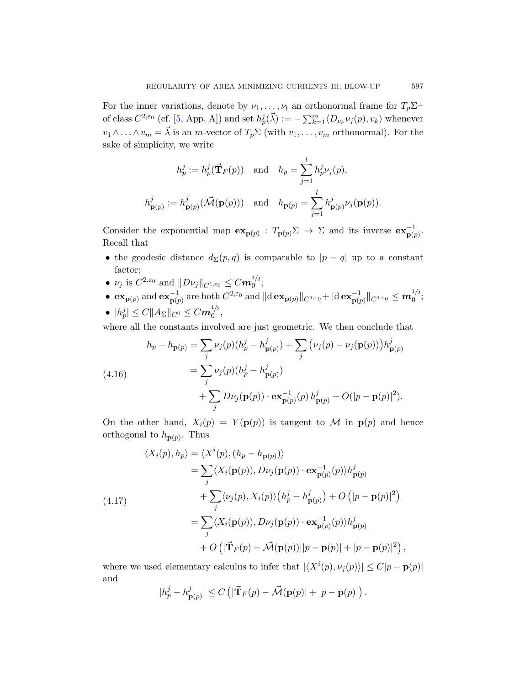For the inner variations, denote by  $\nu_1, \ldots, \nu_l$  an orthonormal frame for  $T_p \Sigma^{\perp}$ of class  $C^{2,\varepsilon_0}$  (cf. [5, App. A]) and set  $h_p^j(\vec{\lambda}) := -\sum_{k=1}^m \langle D_{v_k} \nu_j(p), v_k \rangle$  whenever  $v_1 \wedge \ldots \wedge v_m = \vec{\lambda}$  is an m-vector of  $T_p \Sigma$  (with  $v_1, \ldots, v_m$  orthonormal). For the sake of simplicity, we write

$$
h_p^j := h_p^j(\vec{\mathbf{T}}_F(p)) \text{ and } h_p = \sum_{j=1}^l h_p^j \nu_j(p),
$$
  

$$
h_{\mathbf{p}(p)}^j := h_{\mathbf{p}(p)}^j(\vec{\mathcal{M}}(\mathbf{p}(p))) \text{ and } h_{\mathbf{p}(p)} = \sum_{j=1}^l h_{\mathbf{p}(p)}^j \nu_j(\mathbf{p}(p)).
$$

Consider the exponential map  $\mathbf{ex}_{\mathbf{p}(p)} : T_{\mathbf{p}(p)} \Sigma \to \Sigma$  and its inverse  $\mathbf{ex}_{\mathbf{p}(p)}^{-1}$ . Recall that

- the geodesic distance  $d_{\Sigma}(p,q)$  is comparable to  $|p-q|$  up to a constant factor;
- $\nu_j$  is  $C^{2, \varepsilon_0}$  and  $||D\nu_j||_{C^{1, \varepsilon_0}} \leq C m_0^{1/2}$  $\big\{0^{1/2};\,$
- $\mathbf{ex}_{\mathbf{p}(p)}$  and  $\mathbf{ex}_{\mathbf{p}(p)}^{-1}$  are both  $C^{2,\varepsilon_0}$  and  $\|\mathrm{d}\mathbf{ex}_{\mathbf{p}(p)}\|_{C^{1,\varepsilon_0}} + \|\mathrm{d}\mathbf{ex}_{\mathbf{p}(p)}^{-1}\|_{C^{1,\varepsilon_0}} \leq m_0^{1/2}$  $\big\{0^{1/2}\big\}$
- $\bullet \hspace{0.2cm} |h_p^j| \leq C \|A_\Sigma\|_{C^0} \leq C m_0^{1/2}$  $\frac{1}{2}$ ,

where all the constants involved are just geometric. We then conclude that

(4.16)  
\n
$$
h_p - h_{\mathbf{p}(p)} = \sum_j \nu_j(p)(h_p^j - h_{\mathbf{p}(p)}^j) + \sum_j (\nu_j(p) - \nu_j(\mathbf{p}(p)))h_{\mathbf{p}(p)}^j
$$
\n
$$
= \sum_j \nu_j(p)(h_p^j - h_{\mathbf{p}(p)}^j)
$$
\n
$$
+ \sum_j D\nu_j(\mathbf{p}(p)) \cdot \mathbf{ex}_{\mathbf{p}(p)}^{-1}(p) h_{\mathbf{p}(p)}^j + O(|p - \mathbf{p}(p)|^2).
$$

On the other hand,  $X_i(p) = Y(\mathbf{p}(p))$  is tangent to M in  $\mathbf{p}(p)$  and hence orthogonal to  $h_{\mathbf{p}(p)}$ . Thus

$$
\langle X_i(p), h_p \rangle = \langle X^i(p), (h_p - h_{\mathbf{p}(p)}) \rangle
$$
  
\n
$$
= \sum_j \langle X_i(\mathbf{p}(p)), D\nu_j(\mathbf{p}(p)) \cdot \mathbf{ex}_{\mathbf{p}(p)}^{-1}(p) \rangle h_{\mathbf{p}(p)}^j
$$
  
\n
$$
+ \sum_j \langle \nu_j(p), X_i(p) \rangle (h_p^j - h_{\mathbf{p}(p)}^j) + O(|p - \mathbf{p}(p)|^2)
$$
  
\n
$$
= \sum_j \langle X_i(\mathbf{p}(p)), D\nu_j(\mathbf{p}(p)) \cdot \mathbf{ex}_{\mathbf{p}(p)}^{-1}(p) \rangle h_{\mathbf{p}(p)}^j
$$
  
\n
$$
+ O(|\vec{\mathbf{T}}_F(p) - \vec{\mathcal{M}}(\mathbf{p}(p))||p - \mathbf{p}(p)| + |p - \mathbf{p}(p)|^2),
$$

where we used elementary calculus to infer that  $|\langle X^i(p), \nu_j(p)\rangle| \leq C|p - \mathbf{p}(p)|$ and

$$
|h_p^j - h_{\mathbf{p}(p)}^j| \le C \left( |\vec{\mathbf{T}}_F(p) - \vec{\mathcal{M}}(\mathbf{p}(p)| + |p - \mathbf{p}(p)| \right).
$$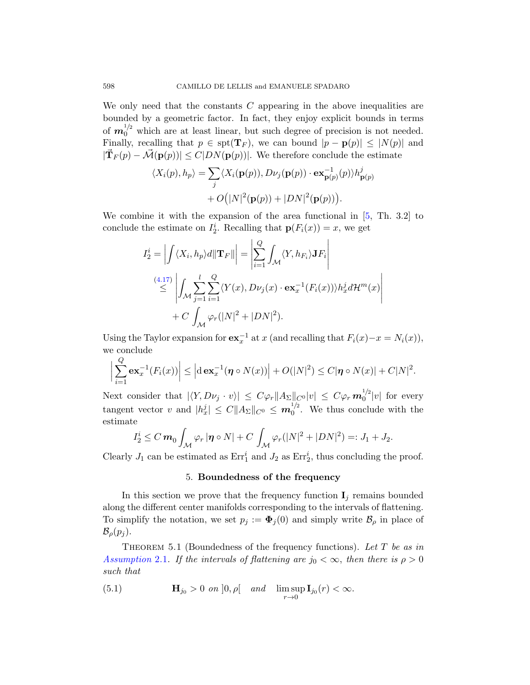We only need that the constants  $C$  appearing in the above inequalities are bounded by a geometric factor. In fact, they enjoy explicit bounds in terms of  $m_0^{1/2}$  which are at least linear, but such degree of precision is not needed. Finally, recalling that  $p \in \text{spt}(\mathbf{T}_F)$ , we [c](#page-40-4)an bound  $|p - \mathbf{p}(p)| \leq |N(p)|$  and  $|\vec{\mathbf{T}}_F(p) - \vec{\mathcal{M}}(\mathbf{p}(p))| \leq C|DN(\mathbf{p}(p))|$ . We therefore conclude the estimate

$$
\langle X_i(p), h_p \rangle = \sum_j \langle X_i(\mathbf{p}(p)), D\nu_j(\mathbf{p}(p)) \cdot \mathbf{ex}_{\mathbf{p}(p)}^{-1}(p) \rangle h_{\mathbf{p}(p)}^j
$$
  
+  $O(|N|^2(\mathbf{p}(p)) + |DN|^2(\mathbf{p}(p))).$ 

We combine it with the expansion of the area functional in  $[5, Th. 3.2]$  to conclude the estimate on  $I_2^i$ . Recalling that  $\mathbf{p}(F_i(x)) = x$ , we get

$$
I_2^i = \left| \int \langle X_i, h_p \rangle d\|\mathbf{T}_F\| \right| = \left| \sum_{i=1}^Q \int_{\mathcal{M}} \langle Y, h_{F_i} \rangle \mathbf{J} F_i \right|
$$
  
\n
$$
\leq \left| \int_{\mathcal{M}} \sum_{j=1}^l \sum_{i=1}^Q \langle Y(x), D\nu_j(x) \cdot \mathbf{ex}_x^{-1}(F_i(x)) \rangle h_x^j d\mathcal{H}^m(x) \right|
$$
  
\n
$$
+ C \int_{\mathcal{M}} \varphi_r(|N|^2 + |DN|^2).
$$

Using the Taylor expansion for  $ex_x^{-1}$  at x (and recalling that  $F_i(x)-x = N_i(x)$ ), we conclude

$$
\left|\sum_{i=1}^Q \mathbf{ex}_x^{-1}(F_i(x))\right| \leq \left|\mathrm{d}\,\mathbf{ex}_x^{-1}(\boldsymbol{\eta}\circ N(x))\right| + O(|N|^2) \leq C|\boldsymbol{\eta}\circ N(x)| + C|N|^2.
$$

Next consider that  $|\langle Y, D\nu_j\cdot v\rangle| \leq C\varphi_r ||A_\Sigma||_{C^0} |v| \leq C\varphi_r m_0^{1/2}$  $\int_0^{1/2} |v|$  for every tangent vector v and  $|h_x^j| \leq C ||A_{\Sigma}||_{C^0} \leq m_0^{1/2}$  $_{0}^{1/2}$ . We thus conclude with the estimate

$$
I_2^i \leq C m_0 \int_{\mathcal{M}} \varphi_r |\eta \circ N| + C \int_{\mathcal{M}} \varphi_r(|N|^2 + |DN|^2) =: J_1 + J_2.
$$

<span id="page-21-1"></span>Clearly  $J_1$  can be estimated as  $Err_1^i$  and  $J_2$  as  $Err_2^i$ , thus concluding the proof.

## 5. Boundedness of the frequency

<span id="page-21-0"></span>In this section we prove that the frequency function  $\mathbf{I}_j$  remains bounded along the different center manifolds corresponding to the intervals of flattening. To simplify the notation, we set  $p_j := \mathbf{\Phi}_j(0)$  and simply write  $\mathcal{B}_{\rho}$  in place of  $\mathcal{B}_{\rho}(p_j)$ .

THEOREM 5.1 (Boundedness of the frequency functions). Let  $T$  be as in Assumption 2.1. If the intervals of flattening are  $j_0 < \infty$ , then there is  $\rho > 0$ such that

(5.1) 
$$
\mathbf{H}_{j_0} > 0 \text{ on } ]0, \rho[ \text{ and } \limsup_{r \to 0} \mathbf{I}_{j_0}(r) < \infty.
$$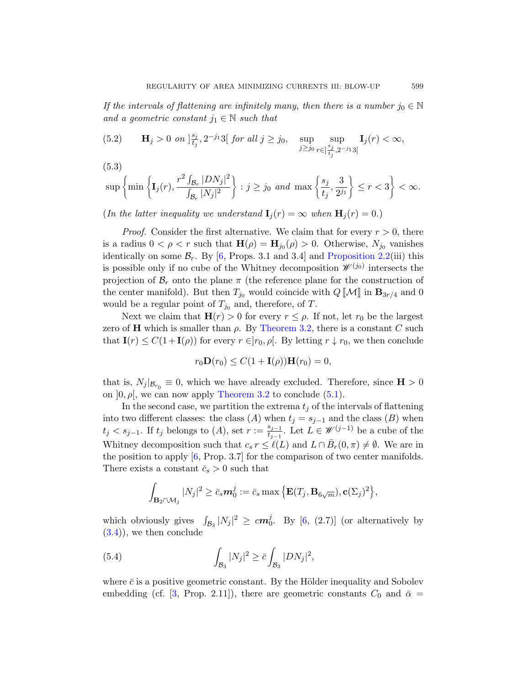<span id="page-22-0"></span>If the intervals of flattening are infinitely many, then there is a number  $j_0 \in \mathbb{N}$ and a geometric constant  $j_1 \in \mathbb{N}$  such that

(5.2) 
$$
\mathbf{H}_{j} > 0 \text{ on } \left| \frac{s_{j}}{t_{j}}, 2^{-j_{1}}3\right[ \text{ for all } j \geq j_{0}, \text{ } \sup_{j \geq j_{0}} \sup_{r \in \left| \frac{s_{j}}{t_{j}}, 2^{-j_{1}}3\right[} \mathbf{I}_{j}(r) < \infty,
$$

$$
(5.3)
$$

$$
\sup\left\{\min\left\{{\bf I}_j(r),\frac{r^2\int_{\mathcal{B}_r}|DN_j|^2}{\int_{\mathcal{B}_r}|N_j|^2}\right\}:j\ge j_0\enskip\text{and}\enskip\max\left\{\frac{s_j}{t_j},\frac{3}{2^{j_1}}\right\}\le r<3\right\}<\infty.
$$

(In the latter inequality we understand  $I_i(r) = \infty$  when  $H_i(r) = 0$ .)

*Proof.* Consider the first alternative. We claim that for every  $r > 0$ , there is a radius  $0 < \rho < r$  such that  $\mathbf{H}(\rho) = \mathbf{H}_{j_0}(\rho) > 0$ . Otherwise,  $N_{j_0}$  vanishes identically on some  $\mathcal{B}_r$ [. By \[](#page-8-3)6, Props. 3.1 and 3.4] and Proposition 2.2(iii) this is possible only if no cube of the Whitney decomposition  $\mathscr{W}^{(j_0)}$  intersects the projection of  $\mathcal{B}_r$  onto the plane  $\pi$  (the reference plane for the construction of the center manifold). But then  $T_{j_0}$  would coincide with  $Q \llbracket \mathcal{M} \rrbracket$  in  $\mathbf{B}_{3r/4}$  and 0 would be a regular point of  $T_{j_0}$  and, therefore, of T.

[Next we claim](#page-8-3) that  $H(r) > 0$  $H(r) > 0$  for every  $r \leq \rho$ . If not, let  $r_0$  be the largest zero of H which is smaller than  $\rho$ . By Theorem 3.2, there is a constant C such that  $\mathbf{I}(r) \leq C(1+\mathbf{I}(\rho))$  for every  $r \in ]r_0, \rho[$ . By letting  $r \downarrow r_0$ , we then conclude

$$
r_0 \mathbf{D}(r_0) \le C(1 + \mathbf{I}(\rho)) \mathbf{H}(r_0) = 0,
$$

[t](#page-40-0)hat is,  $N_j |_{\mathcal{B}_{r_0}} \equiv 0$ , which we have already excluded. Therefore, since  $\mathbf{H} > 0$ on  $]0, \rho[$ , we can now apply Theorem 3.2 to conclude (5.1).

In the second case, we partition the extrema  $t_i$  of the intervals of flattening into two different classes: the class (A) when  $t_j = s_{j-1}$  and the class (B) when  $t_j < s_{j-1}$ . If  $t_j$  belongs to  $(A)$ , set  $r := \frac{s_{j-1}}{t_{j-1}}$  $\frac{s_{j-1}}{t_{j-1}}$ . Let  $L \in \mathscr{W}^{(j-1)}$  be a cube of the Whitney decomposition [suc](#page-40-0)h that  $c_s r \leq \ell(L)$  and  $L \cap \bar{B}_r(0,\pi) \neq \emptyset$ . We are in the position to apply [6, Prop. 3.7] for the comparison of two center manifolds. There exists a constant  $\bar{c}_s > 0$  such that

$$
\int_{\mathbf{B}_2 \cap \mathcal{M}_j} |N_j|^2 \ge \bar{c}_s m_0^j := \bar{c}_s \max \left\{ \mathbf{E}(T_j, \mathbf{B}_{6\sqrt{m}}), \mathbf{c}(\Sigma_j)^2 \right\},\,
$$

which obviously gives  $\int_{\mathcal{B}_3} |N_j|^2 \geq c m_0^j$ . By [6, (2.7)] (or alternatively by  $(3.4)$ , we then conclude

(5.4) 
$$
\int_{\mathcal{B}_3} |N_j|^2 \geq \bar{c} \int_{\mathcal{B}_3} |DN_j|^2,
$$

where  $\bar{c}$  is a positive geometric constant. By the Hölder inequality and Sobolev embedding (cf. [3, Prop. 2.11]), there are geometric constants  $C_0$  and  $\bar{\alpha} =$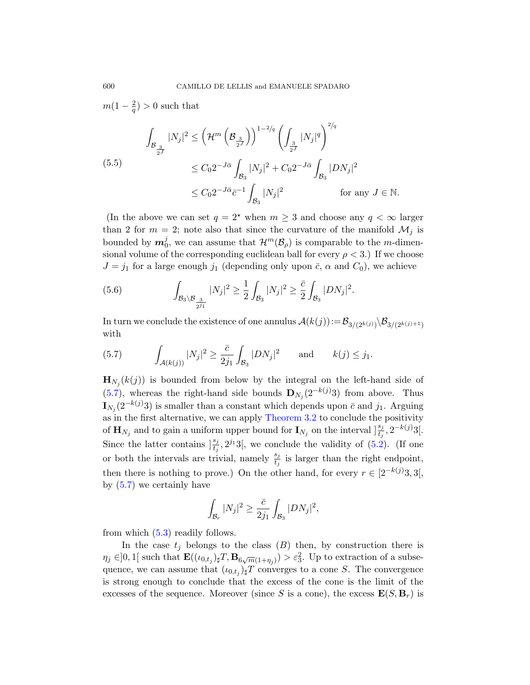$m(1-\frac{2}{a})$  $\frac{2}{q}$ ) > 0 such that

$$
\int_{\mathcal{B}_{\frac{3}{2^J}}}|N_j|^2 \leq \left(\mathcal{H}^m\left(\mathcal{B}_{\frac{3}{2^J}}\right)\right)^{1-2/q} \left(\int_{\frac{3}{2^J}}|N_j|^q\right)^{2/q}
$$
\n
$$
\leq C_0 2^{-J\bar{\alpha}} \int_{\mathcal{B}_3}|N_j|^2 + C_0 2^{-J\bar{\alpha}} \int_{\mathcal{B}_3}|DN_j|^2
$$
\n
$$
\leq C_0 2^{-J\bar{\alpha}} \bar{c}^{-1} \int_{\mathcal{B}_3}|N_j|^2 \qquad \text{for any } J \in \mathbb{N}.
$$

(In the above we can set  $q = 2^*$  when  $m \geq 3$  and choose any  $q < \infty$  larger than 2 for  $m = 2$ ; note also that since the curvature of the manifold  $\mathcal{M}_i$  is bounded by  $m_0^j$ , we can assume that  $\mathcal{H}^m(\mathcal{B}_{\rho})$  is comparable to the *m*-dimensional volume of the corresponding euclidean ball for every  $\rho < 3$ .) If we choose  $J = j_1$  for a large enough  $j_1$  (depending only upon  $\bar{c}$ ,  $\alpha$  and  $C_0$ ), we achieve

(5.6) 
$$
\int_{\mathcal{B}_3 \backslash \mathcal{B}_{\frac{3}{2^{j_1}}}} |N_j|^2 \geq \frac{1}{2} \int_{\mathcal{B}_3} |N_j|^2 \geq \frac{\bar{c}}{2} \int_{\mathcal{B}_3} |DN_j|^2.
$$

In turn we conclude the existence of one annulus  $\mathcal{A}(k(j))\!:=\!\mathcal{B}_{3/(2^{k(j)})}\setminus \mathcal{B}_{3/(2^{k(j)+1})}$ with

(5.7) 
$$
\int_{\mathcal{A}(k(j))} |N_j|^2 \geq \frac{\bar{c}}{2j_1} \int_{\mathcal{B}_3} |DN_j|^2 \quad \text{and} \quad k(j) \leq j_1.
$$

 $\mathbf{H}_{N_j}(k(j))$  is bounded from below by the integral on the left-hand side of (5.7), whereas the right-hand side bounds  $\mathbf{D}_{N_j}(2^{-k(j)}3)$  from above. Thus  $\mathbf{I}_{N_j}(2^{-k(j)}3)$  is smaller than a constant which depends upon  $\bar{c}$  and  $j_1$ . Arguing as in the first alternative, we can apply Theorem 3.2 to conclude the positivity of  $\mathbf{H}_{N_j}$  and to gain a uniform upper bound for  $\mathbf{I}_{N_j}$  on the interval  $\left] \frac{s_j}{t_j}, 2^{-k(j)}3 \right]$ . Since the latter contains  $\frac{s_j}{t_j}, 2^{j_1}3$ , we conclude the validity of  $(5.2)$ . (If one or both the intervals are trivial, namely  $\frac{s_j}{t_j}$  is larger than the right endpoint, then there is nothing to prove.) On the other hand, for every  $r \in [2^{-k(j)}3, 3]$ , by  $(5.7)$  we certainly have

$$
\int_{\mathcal{B}_r} |N_j|^2 \ge \frac{\bar{c}}{2j_1} \int_{\mathcal{B}_3} |DN_j|^2,
$$

from which (5.3) readily follows.

In the case  $t_j$  belongs to the class  $(B)$  then, by construction there is  $\eta_j \in ]0,1[$  such that  $\mathbf{E}((\iota_{0,t_j}) \sharp T, \mathbf{B}_{6\sqrt{m}(1+\eta_j)}) > \varepsilon_3^2$ . Up to extraction of a subsequence, we can assume that  $(\iota_{0,t_j})_{\sharp}T$  converges to a cone S. The convergence is strong enough to conclude that the excess of the cone is the limit of the excesses of the sequence. Moreover (since S is a cone), the excess  $\mathbf{E}(S, \mathbf{B}_r)$  is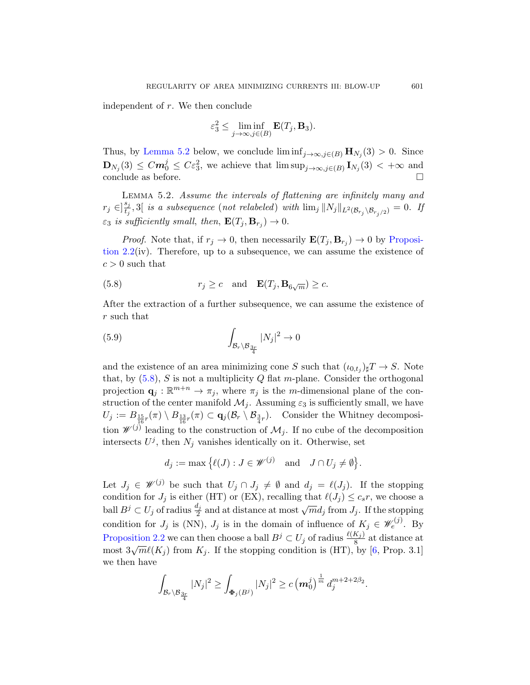independent of r. We then conclude

$$
\varepsilon_3^2 \le \liminf_{j \to \infty, j \in (B)} \mathbf{E}(T_j, \mathbf{B}_3).
$$

Thus, by Lemma 5.2 below, we conclude  $\liminf_{j\to\infty, j\in(B)} \mathbf{H}_{N_j}(3) > 0$ . Since  $\mathbf{D}_{N_j}(3) \leq C m_0^j \leq C \varepsilon_3^2$ , we achieve that  $\limsup_{j\to\infty, j\in(B)} \mathbf{I}_{N_j}(3) < +\infty$  and conclude as before.  $\Box$ 

Lemma 5.2. Assume the intervals of flattening are infinitely many and  $r_j \in ]\frac{s_j}{t_j}$  $\frac{s_j}{t_j}, 3[$  is a subsequence (not relabeled) with  $\lim_j ||N_j||_{L^2(\mathcal{B}_{r_j}\setminus \mathcal{B}_{r_j/2})}=0.$  If  $\varepsilon_3$  is sufficiently small, then,  $\mathbf{E}(T_j, \mathbf{B}_{r_j}) \to 0$ .

*Proof.* Note that, if  $r_j \to 0$ , then necessarily  $\mathbf{E}(T_j, \mathbf{B}_{r_j}) \to 0$  by Proposition 2.2(iv). Therefore, up to a subsequence, we can assume the existence of  $c > 0$  such that

(5.8) 
$$
r_j \ge c
$$
 and  $\mathbf{E}(T_j, \mathbf{B}_{6\sqrt{m}}) \ge c$ .

After the extraction of a further subsequence, we can assume the existence of r such that

$$
\int_{\mathcal{B}_r \backslash \mathcal{B}_{\frac{3r}{4}}} |N_j|^2 \to 0
$$

and the existence of an area minimizing cone S such that  $(\iota_{0,t_j})_{\sharp}T \to S$ . Note that, by  $(5.8)$ , S is not a multiplicity Q flat m-plane. Consider the orthogonal projection  $\mathbf{q}_j : \mathbb{R}^{m+n} \to \pi_j$ , where  $\pi_j$  is the m-dimensional plane of the construction of the center manifold  $\mathcal{M}_j$ . Assuming  $\varepsilon_3$  is sufficiently small, we have  $U_j := B_{\frac{15}{16}r}(\pi) \setminus B_{\frac{13}{16}r}(\pi) \subset \mathbf{q}_j(\mathcal{B}_r \setminus \mathcal{B}_{\frac{3}{4}r}).$  Consider the Whitney decomposition  $\mathscr{W}^{(j)}$  leading to the construction of  $\mathcal{M}_j$ . If no cube of the decomposition intersects  $U^j$ , then  $N_j$  vanishes identically on it. Otherwise, set

$$
d_j := \max \{ \ell(J) : J \in \mathscr{W}^{(j)} \text{ and } J \cap U_j \neq \emptyset \}.
$$

Let  $J_j \in \mathscr{W}^{(j)}$  be such that  $U_j \cap J_j \neq \emptyset$  and  $d_j = \ell(J_j)$ . If the stopping condition for  $J_j$  is either (HT) or (EX), recalling that  $\ell(J_j) \leq c_s r$ , we choose a ball  $B^j \subset U_j$  of radius  $\frac{d_j}{2}$  and at distance at most  $\sqrt{m}d_j$  from  $J_j$ . If the stopping condition for  $J_j$  is (NN),  $J_j$  is in the domain of influence of  $K_j \in \mathscr{W}_e^{(j)}$ . By Proposition 2.2 we can then choose a ball  $B^j \subset U_j$  of radius  $\frac{\ell(K_j)}{8}$  at distance at most  $3\sqrt{m}\ell(K_j)$  from  $K_j$ . If the stopping condition is (HT), by [6, Prop. 3.1] we then have

$$
\int_{\mathcal{B}_r \setminus \mathcal{B}_{\frac{3r}{4}}}|N_j|^2 \geq \int_{\Phi_j(B^j)}|N_j|^2 \geq c \left(m_0^j\right)^{\frac{1}{m}} d_j^{m+2+2\beta_2}.
$$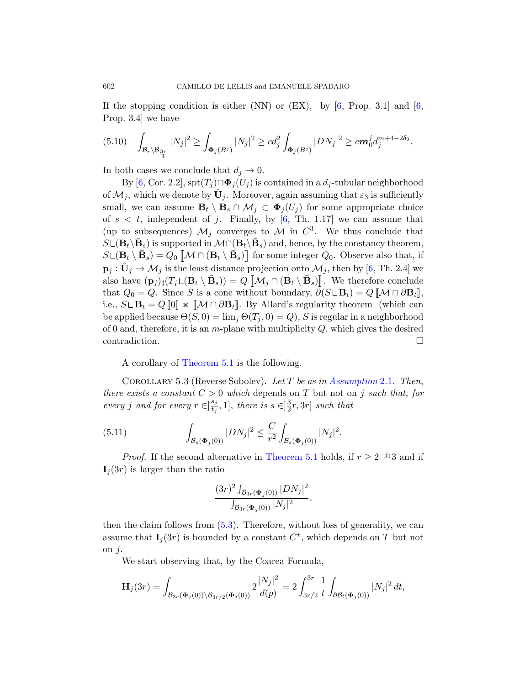If the stopping condition is either (NN) or (EX), by  $[6,$  Prop. 3.1 and  $[6,$ Prop. 3.4] we have

$$
(5.10) \quad \int_{\mathcal{B}_r \backslash \mathcal{B}_{\frac{3r}{4}}} |N_j|^2 \geq \int_{\Phi_j(B^j)} |N_j|^2 \geq c d_j^2 \int_{\Phi_j(B^j)} |DN_j|^2 \geq c m_0^j d_j^{m+4-2\delta_2}.
$$

In both cases we conclude that  $d_j \to 0$ .

By [6, Cor. 2.2],  $\text{spt}(T_i) \cap \Phi_i(U_i)$  is contained in a  $d_i$ -tubular neighborhood of  $\mathcal{M}_j$ , which we denote by  $\hat{\mathbf{U}}_j$ . Moreover[, a](#page-40-0)gain assuming that  $\varepsilon_3$  is sufficiently small, we can assume  $\mathbf{B}_t \setminus \mathbf{B}_s \cap \mathcal{M}_j \subset \Phi_j(U_j)$  for some appropriate choice of  $s < t$ , independent of j. Finally, by [6, Th. 1.17] we can assume that (up to subsequences)  $\mathcal{M}_j$  converges to  $\mathcal M$  in  $C^3$ . We thus conclude that  $S\mathcal{L}(\mathbf{B}_t\backslash\bar{\mathbf{B}}_s)$  is supported in  $\mathcal{M}\cap(\mathbf{B}_t\backslash\bar{\mathbf{B}}_s)$  and, hence, by the constancy theorem,  $S \cup (\mathbf{B}_t \setminus \bar{\mathbf{B}}_s) = Q_0 \left[ \mathcal{M} \cap (\mathbf{B}_t \setminus \bar{\mathbf{B}}_s) \right]$  for some integer  $Q_0$ . Observe also that, if  $\mathbf{p}_j : \hat{\mathbf{U}}_j \to \mathcal{M}_j$  is the least distance projection onto  $\mathcal{M}_j$ , then by [6, Th. 2.4] we also have  $(\mathbf{p}_j)_\sharp(T_j \sqcup (\mathbf{B}_t \setminus \bar{\mathbf{B}}_s)) = Q \left[ \left[ \mathcal{M}_j \cap (\mathbf{B}_t \setminus \bar{\mathbf{B}}_s) \right] \right]$ . We therefore conclude [that](#page-21-1)  $Q_0 = Q$ . Since S is a cone without boundary,  $\partial (S \cup \mathbf{B}_t) = Q \llbracket \mathcal{M} \cap \partial \mathbf{B}_t \rrbracket$ , i.e.,  $S \mathcal{L} \mathbf{B}_t = Q [0] \times [M \cap \partial \mathbf{B}_t].$  By Allard's regularity theorem (which can be applied because  $\Theta(S, 0) = \lim_{i} \Theta(T_i, 0) = Q$ , S is regular in a neighborhood of 0 and, therefore, it is an  $m$ -plane with multiplicity  $Q$ , which gives the desired  $\Box$ contradiction.

A corollary of Theorem 5.1 is the following.

<span id="page-25-1"></span><span id="page-25-0"></span>COROLLARY 5.3 [\(Reverse](#page-21-1) Sobolev). Let T be as in Assumption 2.1. Then, there exists a constant  $C > 0$  which depends on T but not on j such that, for every j and for every  $r \in \left[\frac{s_j}{t}\right]$  $\frac{s_j}{t_j}, 1]$ , there is  $s \in ]\frac{3}{2}$  $\frac{3}{2}r, 3r]$  such that

(5.11) 
$$
\int_{\mathcal{B}_s(\Phi_j(0))} |DN_j|^2 \leq \frac{C}{r^2} \int_{\mathcal{B}_s(\Phi_j(0))} |N_j|^2.
$$

*[Proo](#page-22-0)f.* If the second alternative in Theorem 5.1 holds, if  $r \geq 2^{-j_1}3$  and if  $I_i(3r)$  is larger than the ratio

$$
\frac{(3r)^2 \int_{\mathcal{B}_{3r}(\Phi_j(0))} |DN_j|^2}{\int_{\mathcal{B}_{3r}(\Phi_j(0))} |N_j|^2},
$$

then the claim follows from (5.3). Therefore, without loss of generality, we can assume that  $I_j(3r)$  is bounded by a constant  $C^*$ , which depends on T but not on  $j$ .

We start observing that, by the Coarea Formula,

$$
\mathbf{H}_{j}(3r) = \int_{\mathcal{B}_{3r}(\Phi_{j}(0))\backslash \mathcal{B}_{3r/2}(\Phi_{j}(0))} 2\frac{|N_{j}|^{2}}{d(p)} = 2\int_{3r/2}^{3r} \frac{1}{t} \int_{\partial \mathcal{B}_{t}(\Phi_{j}(0))} |N_{j}|^{2} dt,
$$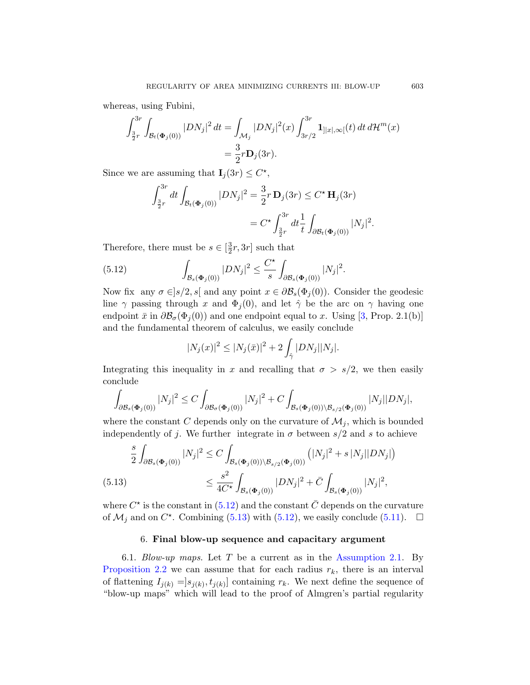whereas, using Fubini,

$$
\int_{\frac{3}{2}r}^{3r} \int_{\mathcal{B}_t(\Phi_j(0))} |DN_j|^2 dt = \int_{\mathcal{M}_j} |DN_j|^2(x) \int_{3r/2}^{3r} \mathbf{1}_{] |x|, \infty[}(t) dt d\mathcal{H}^m(x)
$$
  
=  $\frac{3}{2}r \mathbf{D}_j(3r).$ 

<span id="page-26-0"></span>Since we are assuming that  $\mathbf{I}_j(3r) \leq C^*$ ,

$$
\int_{\frac{3}{2}r}^{3r} dt \int_{\mathcal{B}_t(\Phi_j(0))} |DN_j|^2 = \frac{3}{2}r \mathbf{D}_j(3r) \le C^* \mathbf{H}_j(3r)
$$
  
=  $C^* \int_{\frac{3}{2}r}^{3r} dt \frac{1}{t} \int_{\partial \mathcal{B}_t(\Phi_j(0))} |N_j|^2$ .

Therefore, there must be  $s \in \left[\frac{3}{2}\right]$  $\frac{3}{2}r, 3r$  s[uch](#page-40-1) that

(5.12) 
$$
\int_{\mathcal{B}_s(\Phi_j(0))} |DN_j|^2 \leq \frac{C^{\star}}{s} \int_{\partial \mathcal{B}_s(\Phi_j(0))} |N_j|^2.
$$

Now fix any  $\sigma \in ]s/2, s[$  and any point  $x \in \partial \mathcal{B}_s(\Phi_j(0))$ . Consider the geodesic line  $\gamma$  passing through x and  $\Phi_i(0)$ , and let  $\hat{\gamma}$  be the arc on  $\gamma$  having one endpoint  $\bar{x}$  in  $\partial \mathcal{B}_{\sigma}(\Phi_i(0))$  and one endpoint equal to x. Using [3, Prop. 2.1(b)] and the fundamental theorem of calculus, we easily conclude

$$
|N_j(x)|^2 \le |N_j(\bar{x})|^2 + 2\int_{\hat{\gamma}} |DN_j| |N_j|.
$$

Integrating this inequality in x and recalling that  $\sigma > s/2$ , we then easily conclude

$$
\int_{\partial \mathcal{B}_s(\Phi_j(0))} |N_j|^2 \le C \int_{\partial \mathcal{B}_\sigma(\Phi_j(0))} |N_j|^2 + C \int_{\mathcal{B}_s(\Phi_j(0)) \setminus \mathcal{B}_{s/2}(\Phi_j(0))} |N_j| |DN_j|,
$$

<span id="page-26-1"></span>where the constant C depends only on the curvature of  $\mathcal{M}_j$ , which is bounded inde[pende](#page-26-0)ntly of j. [We](#page-26-0) further integrate in  $\sigma$  [bet](#page-25-0)ween  $s/2$  and s to achieve

$$
\frac{s}{2} \int_{\partial \mathcal{B}_s(\Phi_j(0))} |N_j|^2 \le C \int_{\mathcal{B}_s(\Phi_j(0)) \setminus \mathcal{B}_{s/2}(\Phi_j(0))} \left( |N_j|^2 + s |N_j| |DN_j| \right)
$$
\n
$$
\le \frac{s^2}{4C^*} \int_{\mathcal{B}_s(\Phi_j(0))} |DN_j|^2 + \bar{C} \int_{\mathcal{B}_s(\Phi_j(0))} |N_j|^2,
$$

<span id="page-26-2"></span>where  $C^*$  is the constant in (5.12) and the constant  $\overline{C}$  depends on the curvature of  $\mathcal{M}_j$  and on  $C^*$ . Combining (5.13) with (5.12), we easily conclude (5.11).  $\Box$ 

# 6. Final blow-up sequence and capacitary argument

6.1. *Blow-up maps.* Let T be a current as in the Assumption 2.1. By Proposition 2.2 we can assume that for each radius  $r_k$ , there is an interval of flattening  $I_{j(k)} = [s_{j(k)}, t_{j(k)}]$  containing  $r_k$ . We next define the sequence of "blow-up maps" which will lead to the proof of Almgren's partial regularity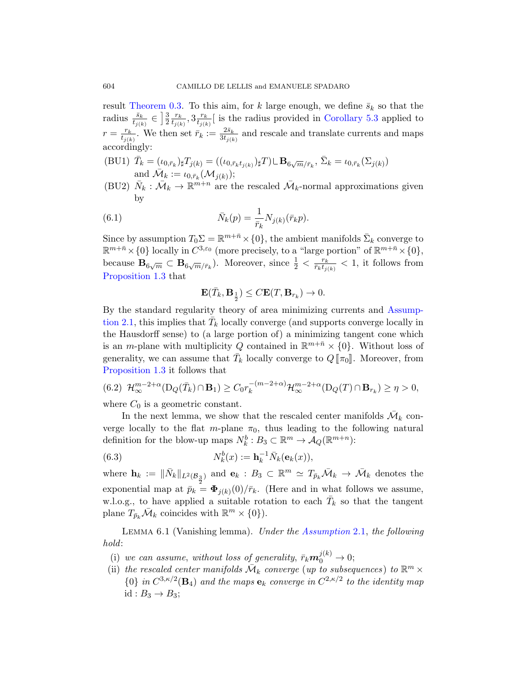result Theorem 0.3. To this aim, for k large enough, we define  $\bar{s}_k$  so that the radius  $\frac{\bar{s}_k}{t_{j(k)}} \in \left[\frac{3}{2}\right]$  $rac{3}{2} \frac{r_k}{t_{i(k)}}$  $\frac{r_k}{t_{j(k)}}, 3 \frac{r_k}{t_{j(k)}}$  $\frac{r_k}{t_{j(k)}}$  is the radius provided in Corollary 5.3 applied to  $r = \frac{r_k}{t_{\text{max}}}$  $\frac{r_k}{t_{j(k)}}$ . We then set  $\bar{r}_k := \frac{2\bar{s}_k}{3t_{j(k)}}$  $\frac{2s_k}{3t_{j(k)}}$  and rescale and translate currents and maps accordingly:

- (BU1)  $\bar{T}_k = (\iota_{0,\bar{r}_k})_\sharp T_{j(k)} = ((\iota_{0,\bar{r}_k t_{j(k)}})_\sharp T) \mathcal{L} \mathbf{B}_{6\sqrt{m}/\bar{r}_k}, \bar{\Sigma}_k = \iota_{0,\bar{r}_k}(\Sigma_{j(k)})$ and  $\overline{\mathcal{M}}_k := \overline{\iota_{0,\overline{r}_k}(\mathcal{M}_{j(k)})};$
- (BU2)  $\bar{N}_k$ :  $\bar{\mathcal{M}}_k \to \mathbb{R}^{m+n}$  are the rescaled  $\bar{\mathcal{M}}_k$ -normal approximations given by

(6.1) 
$$
\bar{N}_k(p) = \frac{1}{\bar{r}_k} N_{j(k)}(\bar{r}_k p).
$$

Since by assumption  $T_0 \Sigma = \mathbb{R}^{m+\bar{n}} \times \{0\}$ , the a[mbient m](#page-5-1)anifolds  $\bar{\Sigma}_k$  converge to  $\mathbb{R}^{m+\bar{n}}\times\{0\}$  locally in  $C^{3,\varepsilon_0}$  (more precisely, to a "large portion" of  $\mathbb{R}^{m+\bar{n}}\times\{0\}$ , because  $\mathbf{B}_{6\sqrt{m}} \subset \mathbf{B}_{6\sqrt{m}/\bar{r}_k}$ . Moreover, since  $\frac{1}{2} < \frac{r_k}{\bar{r}_k t_{ij}}$  $\frac{r_k}{\bar{r}_k t_{j(k)}} < 1$ , it follows from Proposition 1.3 that

$$
\mathbf{E}(\bar{T}_k,\mathbf{B}_{\frac{1}{2}})\leq C\mathbf{E}(T,\mathbf{B}_{r_k})\to 0.
$$

By the standard regularity theory of area minimizing currents and Assumption 2.1, this implies that  $\bar{T}_k$  locally converge (and supports converge locally in the Hausdorff sense) to (a large portion of) a minimizing tangent cone which is an *m*-plane with multiplicity Q contained in  $\mathbb{R}^{m+\bar{n}} \times \{0\}$ . Without loss of generality, we can assume that  $\bar{T}_k$  locally converge to  $Q[\![\pi_0]\!]$ . Moreover, from Proposition 1.3 it follows that

$$
(6.2) \mathcal{H}_{\infty}^{m-2+\alpha}(\mathcal{D}_Q(\bar{T}_k) \cap \mathbf{B}_1) \ge C_0 r_k^{-(m-2+\alpha)} \mathcal{H}_{\infty}^{m-2+\alpha}(\mathcal{D}_Q(T) \cap \mathbf{B}_{r_k}) \ge \eta > 0,
$$

where  $C_0$  is a geometric constant.

In the next lemma, we show that the rescaled center manifolds  $\bar{\mathcal{M}}_k$  converge locally to the flat m-plane  $\pi_0$ , thus leading to the following natural definition for the blow-up maps  $N_k^b : B_3 \subset \mathbb{R}^m \to \mathcal{A}_Q(\mathbb{R}^{m+n})$ :

<span id="page-27-0"></span>(6.3) 
$$
N_k^b(x) := \mathbf{h}_k^{-1} \bar{N}_k(\mathbf{e}_k(x)),
$$

where  $\mathbf{h}_k := \|\bar{N}_k\|_{L^2(\mathcal{B}_3)}$  and  $\mathbf{e}_k : B_3 \subset \mathbb{R}^m \simeq T_{\bar{p}_k} \bar{\mathcal{M}}_k \to \bar{\mathcal{M}}_k$  denotes the exponential map at  $\bar{p}_k = \mathbf{\Phi}_{j(k)}(0)/\bar{r}_k$ . (Here and in what follows we assume, w.l.o.g., to have applied a suitable rotation to each  $\bar{T}_k$  so that the tangent plane  $T_{\bar{p}_k} \overline{\mathcal{M}}_k$  coincides with  $\mathbb{R}^m \times \{0\}$ .

Lemma 6.1 (Vanishing lemma). Under the Assumption 2.1, the following hold:

- (i) we can assume, without loss of generality,  $\bar{r}_k \mathbf{m}_0^{j(k)} \to 0$ ;
- (ii) the rescaled center manifolds  $\bar{\mathcal{M}}_k$  converge (up to subsequences) to  $\mathbb{R}^m \times$  ${0}$  in  $C^{3,\kappa/2}(\mathbf{B}_4)$  and the maps  $\mathbf{e}_k$  converge in  $C^{2,\kappa/2}$  to the identity map id :  $B_3 \rightarrow B_3$ ;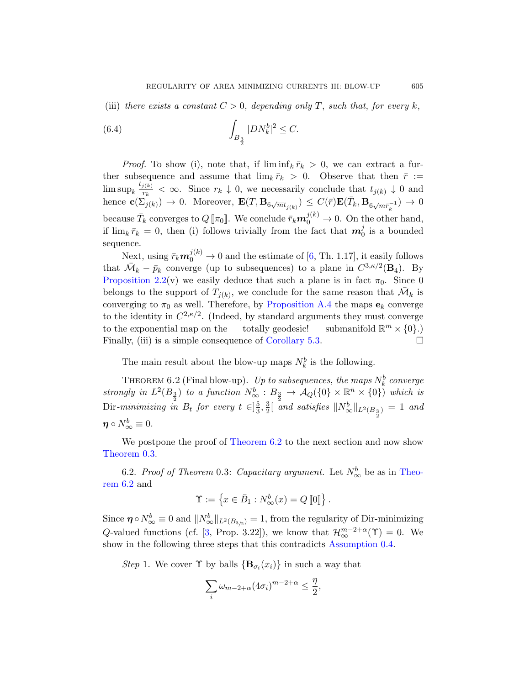<span id="page-28-1"></span>(iii) there exists a constant  $C > 0$ , depending only T, such that, for every k,

(6.4) 
$$
\int_{B_{\frac{3}{2}}} |DN_k^b|^2 \leq C.
$$

*Proof.* To show (i), note that, if  $\liminf_k \overline{r}_k > 0$ , we can extract a further subsequence and ass[um](#page-40-0)e that  $\lim_{k} \bar{r}_k > 0$ . Observe that then  $\bar{r} :=$  $\limsup_k \frac{t_{j(k)}}{r_k}$  $\frac{i(k)}{r_k} < \infty$ . Since  $r_k \downarrow 0$ , we necessarily conclude that  $t_{j(k)} \downarrow 0$  and hence  $\mathbf{c}(\Sigma_{j(k)}^{\uparrow}) \to 0$ . Moreover,  $\mathbf{E}(T, \mathbf{B}_{6\sqrt{m}t_{j(k)}}) \leq C(\bar{r})\mathbf{E}(\bar{T}_k, \mathbf{B}_{6\sqrt{m}\bar{r}_k^{-1}}) \to 0$ because  $\bar{T}_k$  converges to  $Q[\![\pi_0]\!]$ . We conclude  $\bar{r}_k \mathbf{m}_0^{j(k)} \to 0$ . On the other hand, if $\lim_{k} \bar{r}_k = 0$ , t[hen \(i\) follows t](#page-37-2)rivially from the fact that  $\mathbf{m}_0^j$  is a bounded sequence.

<span id="page-28-0"></span>Next, using  $\bar{r}_k \mathbf{m}_0^{j(k)} \to 0$  and the estimate of [6, Th. 1.17], it easily follows that  $\overline{\mathcal{M}}_k - \overline{p}_k$  [converge \(up t](#page-25-1)o subsequences) to a plane in  $C^{3,\kappa/2}(\mathbf{B}_4)$ . By Proposition 2.2(v) we easily deduce that such a plane is in fact  $\pi_0$ . Since 0 belongs to the support of  $T_{j(k)}$ , we conclude for the same reason that  $\overline{\mathcal{M}}_k$  is converging to  $\pi_0$  as well. Therefore, by Proposition A.4 the maps  $e_k$  converge to the identity in  $C^{2,\kappa/2}$ . (Indeed, by standard arguments they must converge to the exponential map on the — totally geodesic! — submanifold  $\mathbb{R}^m \times \{0\}$ .) Finally, (iii) is a simple consequence of Corollary 5.3.

Th[e main result](#page-28-0) about the blow-up maps  $N_k^b$  is the following.

THEOREM 6.2 (Final blow-up). Up to subsequences, the maps  $N_k^b$  converge strongly in  $L^2(B_{\frac{3}{2}})$  to a function  $N^b_{\infty}: B_{\frac{3}{2}} \to \mathcal{A}_Q({0} \times \mathbb{R}^{\bar{n}} \times {0})$  $N^b_{\infty}: B_{\frac{3}{2}} \to \mathcal{A}_Q({0} \times \mathbb{R}^{\bar{n}} \times {0})$  $N^b_{\infty}: B_{\frac{3}{2}} \to \mathcal{A}_Q({0} \times \mathbb{R}^{\bar{n}} \times {0})$  which is Dir-minimizing in  $B_t$  for every  $t \in ]\frac{5}{3}, \frac{3}{2}[$  $\frac{5}{3}, \frac{3}{2}$  $\frac{3}{2}$ [ and satisfies  $\|N^b_{\infty}\|_{L^2(B_{\frac{3}{2}})} = 1$  and  $\boldsymbol{\eta}\circ N^b_{\infty}\equiv 0.$ 

We postpone the proof of Theorem 6.2 to the next section and now show [The](#page-40-1)orem 0.3.

6.2. Proof of Theorem 0.3: [Capacitary argu](#page-1-1)ment. Let  $N^b_{\infty}$  be as in Theorem 6.2 and

$$
\Upsilon := \left\{ x \in \bar{B}_1 : N^b_{\infty}(x) = Q \left[ \hspace{-0.5mm} [0] \right] \right\}.
$$

Since  $\eta \circ N^b_{\infty} \equiv 0$  and  $||N^b_{\infty}||_{L^2(B_{3/2})} = 1$ , from the regularity of Dir-minimizing Q-valued functions (cf. [3, Prop. 3.22]), we know that  $\mathcal{H}_{\infty}^{m-2+\alpha}(\Upsilon) = 0$ . We show in the following three steps that this contradicts Assumption 0.4.

Step 1. We cover  $\Upsilon$  by balls  $\{B_{\sigma_i}(x_i)\}\$ in such a way that

$$
\sum_{i} \omega_{m-2+\alpha} (4\sigma_i)^{m-2+\alpha} \le \frac{\eta}{2},
$$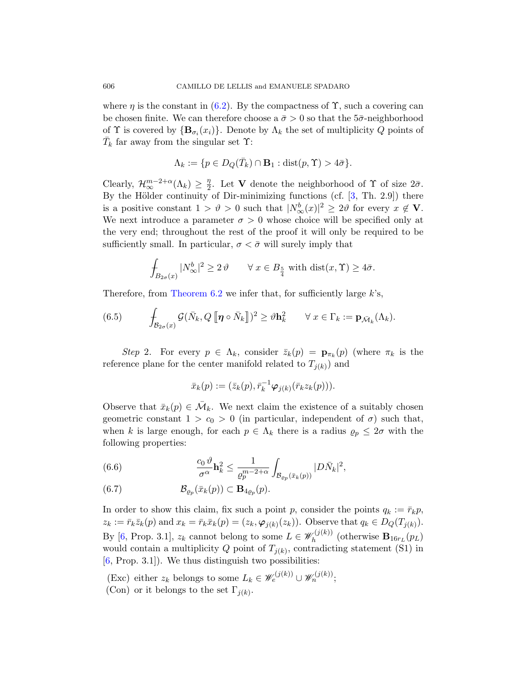where  $\eta$  is the constant in (6.2). By the compactness of  $\Upsilon$ , such a covering can be chosen finite. We can therefore ch[oo](#page-40-1)se a  $\bar{\sigma} > 0$  so that the 5 $\bar{\sigma}$ -neighborhood of  $\Upsilon$  is covered by  $\{B_{\sigma_i}(x_i)\}\$ . Denote by  $\Lambda_k$  the set of multiplicity Q points of  $\bar{T}_k$  far away from the singular set  $\Upsilon$ :

$$
\Lambda_k := \{ p \in D_Q(\bar{T}_k) \cap \mathbf{B}_1 : \text{dist}(p, \Upsilon) > 4\bar{\sigma} \}.
$$

<span id="page-29-2"></span>Clearly,  $\mathcal{H}_{\infty}^{m-2+\alpha}(\Lambda_k) \geq \frac{\eta}{2}$  $\frac{\eta}{2}$ . Let **V** denote the neighborhood of **Y** of size  $2\bar{\sigma}$ . By the Hölder continuity of Dir-minimizing functions (cf.  $[3, Th. 2.9]$ ) there is a positive constant  $1 > \vartheta > 0$  such that  $|N^b_{\infty}(x)|^2 \geq 2\vartheta$  for every  $x \notin V$ . [We ne](#page-28-0)xt introduce a parameter  $\sigma > 0$  whose choice will be specified only at the very end; throughout the rest of the proof it will only be required to be sufficiently small. In particular,  $\sigma < \bar{\sigma}$  will surely imply that

$$
\int_{B_{2\sigma}(x)} |N^b_{\infty}|^2 \ge 2\vartheta \qquad \forall \ x \in B_{\frac{5}{4}} \text{ with } \text{dist}(x, \Upsilon) \ge 4\bar{\sigma}.
$$

Therefore, from Theorem 6.2 we infer that, for sufficiently large  $k$ 's,

(6.5) 
$$
\int_{\mathcal{B}_{2\sigma}(x)} \mathcal{G}(\bar{N}_k, Q \, [\![\boldsymbol{\eta} \circ \bar{N}_k]\!])^2 \geq \vartheta \mathbf{h}_k^2 \qquad \forall \, x \in \Gamma_k := \mathbf{p}_{\bar{\mathcal{M}}_k}(\Lambda_k).
$$

Step 2. For every  $p \in \Lambda_k$ , consider  $\bar{z}_k(p) = \mathbf{p}_{\pi_k}(p)$  (where  $\pi_k$  is the reference plane for the center manifold related to  $T_{j(k)}$  and

$$
\bar{x}_k(p) := (\bar{z}_k(p), \bar{r}_k^{-1} \varphi_{j(k)}(\bar{r}_k z_k(p))).
$$

<span id="page-29-1"></span><span id="page-29-0"></span>Observe that  $\bar{x}_k(p) \in \bar{\mathcal{M}}_k$ . We next claim the existence of a suitably chosen geometric constant  $1 > c_0 > 0$  (in particular, independent of  $\sigma$ ) such that, when k is large enough, for each  $p \in \Lambda_k$  there is a radius  $\rho_p \leq 2\sigma$  with the following properties:

(6.6) 
$$
\frac{c_0 \vartheta}{\sigma^{\alpha}} \mathbf{h}_k^2 \leq \frac{1}{\varrho_p^{m-2+\alpha}} \int_{\mathcal{B}_{\varrho_p}(\bar{x}_k(p))} |D\bar{N}_k|^2,
$$

(6.7) 
$$
\mathcal{B}_{\varrho_p}(\bar{x}_k(p)) \subset \mathbf{B}_{4\varrho_p}(p).
$$

In order to show this claim, fix such a point p, consider the points  $q_k := \bar{r}_k p$ ,  $z_k := \bar{r}_k \bar{z}_k(p)$  and  $x_k = \bar{r}_k \bar{x}_k(p) = (z_k, \varphi_{j(k)}(z_k))$ . Observe that  $q_k \in D_Q(T_{j(k)})$ . By [6, Prop. 3.1],  $z_k$  cannot belong to some  $L \in \mathscr{W}_h^{(j(k))}$  $h_h^{\langle J(K))}$  (otherwise  $\mathbf{B}_{16r_L}(p_L)$ would contain a multiplicity  $Q$  point of  $T_{j(k)}$ , contradicting statement (S1) in  $[6, Prop. 3.1]$ . We thus distinguish two possibilities:

(Exc) either  $z_k$  belongs to some  $L_k \in \mathscr{W}_e^{(j(k))} \cup \mathscr{W}_n^{(j(k))};$ (Con) or it belongs to the set  $\Gamma_{j(k)}$ .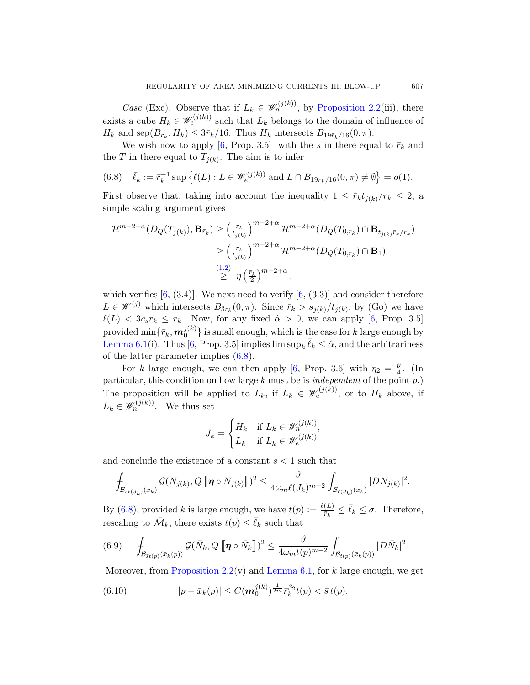*Case* (Exc). Observe that if  $L_k \in \mathcal{W}_n^{(j(k))}$ , by Proposition 2.2(iii), there exists a cube  $H_k \in \mathscr{W}_e^{(j(k))}$  such that  $L_k$  belongs to the domain of influence of  $H_k$  and sep $(B_{\bar{r}_k}, H_k) \leq 3\bar{r}_k/16$ . Thus  $H_k$  intersects  $B_{19\bar{r}_k/16}(0, \pi)$ .

We wish now to apply [6, Prop. 3.5] with the s in there equal to  $\bar{r}_k$  and the T in there equal to  $T_{j(k)}$ . The aim is to infer

(6.8) 
$$
\bar{\ell}_k := \bar{r}_k^{-1} \sup \{ \ell(L) : L \in \mathscr{W}_e^{(j(k))} \text{ and } L \cap B_{19\bar{r}_k/16}(0,\pi) \neq \emptyset \} = o(1).
$$

First [ob](#page-2-3)serve that, taking into account the inequality  $1 \leq \bar{r}_k t_{i(k)}/r_k \leq 2$ , a simple scaling argument gives

$$
\mathcal{H}^{m-2+\alpha}(D_Q(T_{j(k)}), \mathbf{B}_{\bar{r}_k}) \geq \left(\frac{r_k}{t_{j(k)}}\right)^{m-2+\alpha} \mathcal{H}^{m-2+\alpha}(D_Q(T_{0,r_k}) \cap \mathbf{B}_{t_{j(k)}\bar{r}_k/r_k})
$$
  

$$
\geq \left(\frac{r_k}{t_{j(k)}}\right)^{m-2+\alpha} \mathcal{H}^{m-2+\alpha}(D_Q(T_{0,r_k}) \cap \mathbf{B}_1)
$$
  

$$
\overset{(1.2)}{\geq} \eta\left(\frac{\bar{r}_k}{2}\right)^{m-2+\alpha},
$$

which verifies  $[6, (3.4)]$ [. W](#page-40-0)e next need to verify  $[6, (3.3)]$  and consider therefore  $L \in \mathscr{W}^{(j)}$  which intersects  $B_{3\bar{r}_k}(0,\pi)$ . Since  $\bar{r}_k > s_{j(k)}/t_{j(k)}$ , by (Go) we have  $\ell(L) < 3c_s\bar{r}_k \leq \bar{r}_k$ . Now, for any fixed  $\hat{\alpha} > 0$ , we can apply [6, Prop. 3.5] provided  $\min\{\bar{r}_k, \bm{m}_0^{j(k)}\}$  $\{0^{J(K)}\}$  is small enough, which is the case for k large enough by Lemma 6.1(i). Thus [6, Prop. 3.5] implies  $\limsup_k \overline{\ell}_k \leq \hat{\alpha}$ , and the arbitrariness of the latter parameter implies (6.8).

For k large enough, we can then apply [6, Prop. 3.6] with  $\eta_2 = \frac{\vartheta}{4}$  $\frac{\vartheta}{4}$ . (In particular, this condition on how large  $k$  must be is *independent* of the point  $p$ .) The proposition will be applied to  $L_k$ , if  $L_k \in \mathscr{W}_e^{(j(k))}$ , or to  $H_k$  above, if  $L_k \in \mathscr{W}_n^{(j(k))}$ . We thus set

$$
J_k = \begin{cases} H_k & \text{if } L_k \in \mathscr{W}_n^{(j(k))}, \\ L_k & \text{if } L_k \in \mathscr{W}_e^{(j(k))} \end{cases}
$$

<span id="page-30-0"></span>and conclude the existence of a constant  $\bar{s}$  < 1 such that

$$
\int_{\mathcal{B}_{\bar{s}\ell(J_k)}(x_k)}\mathcal{G}(N_{j(k)},Q\left[\!\left[ \boldsymbol{\eta}\circ N_{j(k)}\right]\!\right] )^2\leq \frac{\vartheta}{4\omega_m\ell(J_k)^{m-2}}\int_{\mathcal{B}_{\ell(J_k)}(x_k)}|DN_{j(k)}|^2.
$$

By (6.8), provided k is large enough, we have  $t(p) := \frac{\ell(L)}{\bar{r}_k} \le \bar{\ell}_k \le \sigma$ . Therefore, rescaling to  $\bar{\mathcal{M}}_k$ , there exists  $t(p) \leq \bar{\ell}_k$  such that

$$
(6.9) \qquad \int_{\mathcal{B}_{\bar{s}t(p)}(\bar{x}_k(p))} \mathcal{G}(\bar{N}_k, Q\left[\!\left[ \boldsymbol{\eta} \circ \bar{N}_k \right]\!\right]^2 \leq \frac{\vartheta}{4\omega_m t(p)^{m-2}} \int_{\mathcal{B}_{t(p)}(\bar{x}_k(p))} |D\bar{N}_k|^2.
$$

Moreover, from Proposition 2.2(v) and Lemma 6.1, for  $k$  large enough, we get

(6.10) 
$$
|p - \bar{x}_k(p)| \leq C(m_0^{j(k)})^{\frac{1}{2m}} \bar{r}_k^{\beta_2} t(p) < \bar{s} t(p).
$$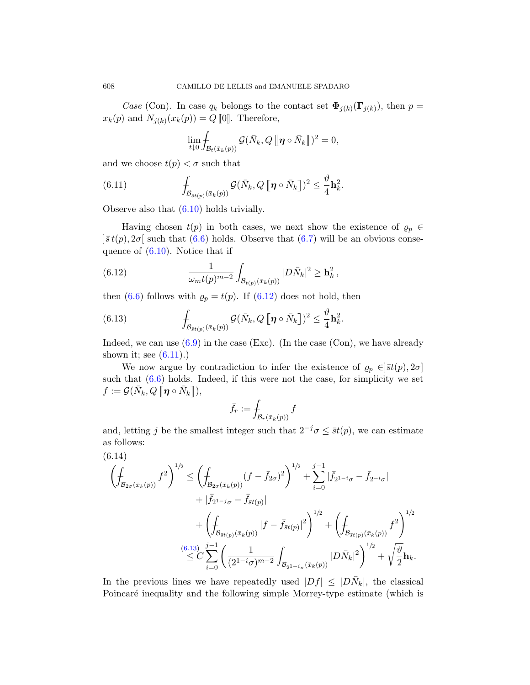Case (Con). In case  $q_k$  belongs to the contact set  $\mathbf{\Phi}_{j(k)}(\mathbf{\Gamma}_{j(k)})$ , then  $p=$  $x_k(p)$  and  $N_{j(k)}(x_k(p)) = Q$  [0]. Therefore,

$$
\lim_{t\downarrow 0} \int_{\mathcal{B}_t(\bar{x}_k(p))} \mathcal{G}(\bar{N}_k, Q\, [\![\boldsymbol{\eta}\circ\bar{N}_k]\!])^2 = 0,
$$

[an](#page-29-0)d we choose  $t(p) < \sigma$  [such](#page-29-1) that

<span id="page-31-0"></span>(6.11) 
$$
\int_{\mathcal{B}_{\bar{s}t(p)}(\bar{x}_k(p))} \mathcal{G}(\bar{N}_k, Q \, [\![\boldsymbol{\eta} \circ \bar{N}_k]\!])^2 \leq \frac{\vartheta}{4} \mathbf{h}_k^2.
$$

Observe also that (6.10) holds trivially.

Havingc[hosen](#page-31-0)  $t(p)$  in both cases, we next show the existence of  $\rho_p \in$  $|\bar{s}t(p), 2\sigma|$  such that (6.6) holds. Observe that (6.7) will be an obvious consequence of (6.10). Notice that if

(6.12) 
$$
\frac{1}{\omega_m t(p)^{m-2}} \int_{\mathcal{B}_{t(p)}(\bar{x}_k(p))} |D\bar{N}_k|^2 \geq \mathbf{h}_k^2,
$$

then (6.6) follows with  $\rho_p = t(p)$ . If (6.12) does not hold, then

(6.13) 
$$
\int_{\mathcal{B}_{\bar{s}t(p)}(\bar{x}_k(p))} \mathcal{G}(\bar{N}_k, Q \, [\![\boldsymbol{\eta} \circ \bar{N}_k]\!])^2 \leq \frac{\vartheta}{4} \mathbf{h}_k^2.
$$

Indeed, we can use  $(6.9)$  in the case (Exc). (In the case (Con), we have already shown it; see  $(6.11)$ .)

We now argue by contradiction to infer the existence of  $\rho_p \in ]\bar{s}t(p), 2\sigma]$ such that  $(6.6)$  holds. Indeed, if this were not the case, for simplicity we set  $f := \mathcal{G}(\bar{N}_k, Q \left[\!\left[ \boldsymbol{\eta} \circ \bar{N}_k \right]\!\right]),$ 

$$
\bar{f}_r := \int_{\mathcal{B}_r(\bar{x}_k(p))} f
$$

<span id="page-31-1"></span>and, letting j be the smallest integer such that  $2^{-j}\sigma \leq \bar{s}t(p)$ , we can estimate as follows:

$$
(6.14)
$$
\n
$$
\left(\oint_{\mathcal{B}_{2\sigma}(\bar{x}_k(p))} f^2 \right)^{1/2} \le \left(\oint_{\mathcal{B}_{2\sigma}(\bar{x}_k(p))} (f - \bar{f}_{2\sigma})^2 \right)^{1/2} + \sum_{i=0}^{j-1} |\bar{f}_{2^{1-i}\sigma} - \bar{f}_{2^{-i}\sigma}| + |\bar{f}_{2^{1-j}\sigma} - \bar{f}_{\bar{s}t(p)}| + \left(\oint_{\mathcal{B}_{\bar{s}t(p)}(\bar{x}_k(p))} |f - \bar{f}_{\bar{s}t(p)}|^2 \right)^{1/2} + \left(\oint_{\mathcal{B}_{\bar{s}t(p)}(\bar{x}_k(p))} f^2 \right)^{1/2} \le C \sum_{i=0}^{(6.13)} \left(\frac{1}{(2^{1-i}\sigma)^{m-2}} \int_{\mathcal{B}_{2^{1-i}\sigma}(\bar{x}_k(p))} |D\bar{N}_k|^2 \right)^{1/2} + \sqrt{\frac{\vartheta}{2}} \mathbf{h}_k.
$$

In the previous lines we have repeatedly used  $|Df| \leq |D\bar{N}_k|$ , the classical Poincaré inequality and the following simple Morrey-type estimate (which is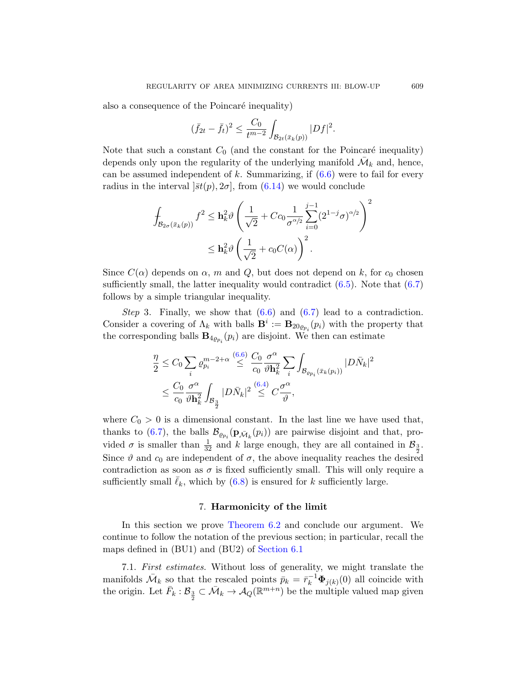also a conseque[nce o](#page-31-1)f the Po[inca](#page-29-0)ré inequality)

$$
(\bar{f}_{2t} - \bar{f}_t)^2 \le \frac{C_0}{t^{m-2}} \int_{\mathcal{B}_{2t}(\bar{x}_k(p))} |Df|^2.
$$

Note that such a constant  $C_0$  (and the constant for the Poincaré inequality) depends only upon the regularity of the underlying manifold  $\overline{\mathcal{M}}_k$  and, hence, can be assumed independent of k. Summarizing, if  $(6.6)$  were to fail for every radius in the interval  $|\bar{s}t(p), 2\sigma|$ , from (6.14) we would conclude

$$
\int_{\mathcal{B}_{2\sigma}(\bar{x}_k(p))} f^2 \leq \mathbf{h}_k^2 \vartheta \left( \frac{1}{\sqrt{2}} + Cc_0 \frac{1}{\sigma^{\alpha/2}} \sum_{i=0}^{j-1} (2^{1-j} \sigma)^{\alpha/2} \right)^2
$$
\n
$$
\leq \mathbf{h}_k^2 \vartheta \left( \frac{1}{\sqrt{2}} + c_0 C(\alpha) \right)^2.
$$

Since  $C(\alpha)$  depends on  $\alpha$ , m and Q, but does not depend on k, for  $c_0$  chosen sufficient[ly s](#page-29-0)mall, the latter inequality would contradict  $(6.5)$ . Note that  $(6.7)$ follows by a simple triangular inequality.

Step 3. [Fin](#page-28-1)ally, we show that  $(6.6)$  and  $(6.7)$  lead to a contradiction. Consider a covering of  $\Lambda_k$  with balls  $\mathbf{B}^i := \mathbf{B}_{20\varrho_{p_i}}(p_i)$  with the property that the corresponding balls  $\mathbf{B}_{4\varrho_{p_i}}(p_i)$  are disjoint. We then can estimate

$$
\frac{\eta}{2} \leq C_0 \sum_i \varrho_{p_i}^{m-2+\alpha} \stackrel{(6.6)}{\leq} \frac{C_0}{c_0} \frac{\sigma^{\alpha}}{\vartheta \mathbf{h}_k^2} \sum_i \int_{\mathcal{B}_{\varrho_{p_i}}(\bar{x}_k(p_i))} |D\bar{N}_k|^2
$$
\n
$$
\leq \frac{C_0}{c_0} \frac{\sigma^{\alpha}}{\vartheta \mathbf{h}_k^2} \int_{\mathcal{B}_{\frac{3}{2}}} |D\bar{N}_k|^2 \stackrel{(6.4)}{\leq} C \frac{\sigma^{\alpha}}{\vartheta},
$$

where  $C_0 > 0$  is a dimensional constant. In the last line we have used that, thanks to (6.7), the balls  $\mathcal{B}_{\varrho_{p_i}}(\mathbf{p}_{\bar{\mathcal{M}}_k}(p_i))$  are pairwise disjoint and that, provided  $\sigma$  [is smaller th](#page-28-0)an  $\frac{1}{32}$  and k large enough, they are all contained in  $\mathcal{B}_{\frac{3}{2}}$ . Since  $\vartheta$  and  $c_0$  are independent of  $\sigma$ , the above inequality reaches the desired contradiction [as soon as](#page-26-2)  $\sigma$  is fixed sufficiently small. This will only require a sufficiently small  $\ell_k$ , which by  $(6.8)$  is ensured for k sufficiently large.

## 7. Harmonicity of the limit

In this section we prove Theorem 6.2 and conclude our argument. We continue to follow the notation of the previous section; in particular, recall the maps defined in (BU1) and (BU2) of Section 6.1

7.1. First estimates. Without loss of generality, we might translate the manifolds  $\bar{\mathcal{M}}_k$  so that the rescaled points  $\bar{p}_k = \bar{r}_k^{-1} \Phi_{j(k)}(0)$  all coincide with the origin. Let  $\bar{F}_k : \mathcal{B}_{\frac{3}{2}} \subset \bar{\mathcal{M}}_k \to \mathcal{A}_Q(\mathbb{R}^{m+n})$  be the multiple valued map given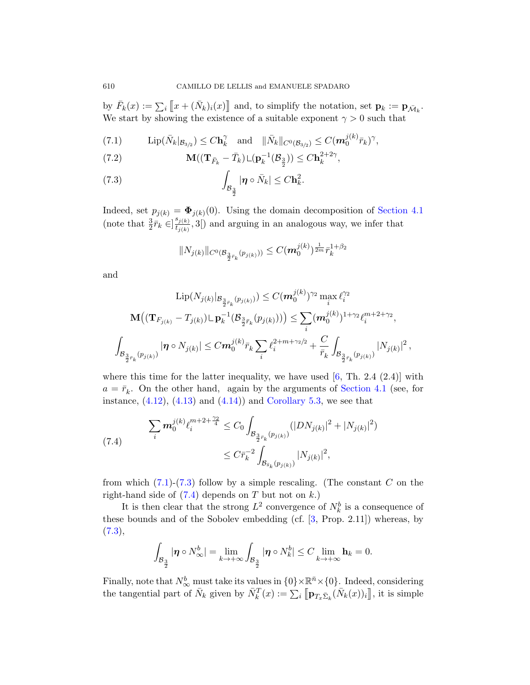by  $\bar{F}_k(x) := \sum_i [x + (\bar{N}_k)_i(x)]$  and, to simplify the notation, set  $\mathbf{p}_k := \mathbf{p}_{\bar{\mathcal{M}}_k}$ . We start by showing the existence of a suitable exponent  $\gamma > 0$  such that

$$
(7.1) \qquad \text{Lip}(\bar{N}_k|_{\mathcal{B}_{3/2}}) \leq C \mathbf{h}_k^{\gamma} \quad \text{and} \quad ||\bar{N}_k||_{C^0(\mathcal{B}_{3/2})} \leq C(\boldsymbol{m}_0^{j(k)} \bar{r}_k)^{\gamma},
$$

(7.2) 
$$
\mathbf{M}((\mathbf{T}_{\bar{F}_k} - \bar{T}_k) \mathbf{L}(\mathbf{p}_k^{-1}(\mathcal{B}_{\frac{3}{2}})) \leq C \mathbf{h}_k^{2+2\gamma},
$$

(7.3) 
$$
\int_{\mathcal{B}_{\frac{3}{2}}} |\boldsymbol{\eta} \circ \bar{N}_k| \leq C \mathbf{h}_k^2.
$$

Indeed, set  $p_{j(k)} = \mathbf{\Phi}_{j(k)}(0)$ . Using the domain decomposition of Section 4.1 (note that  $\frac{3}{2}\bar{r}_k \in ]\frac{s_{j(k)}}{t_{i(k)}}$  $t_{j(k)}^{s_{j(k)}}$ , 3<sup>[</sup>) and arguing in an analogous way, we infer that

$$
||N_{j(k)}||_{C^{0}(\mathcal{B}_{\frac{3}{2}\bar{r}_k}(p_{j(k)}))} \leq C(m_0^{j(k)})^{\frac{1}{2m}}\bar{r}_k^{1+\beta_2}
$$

and

$$
\text{Lip}(N_{j(k)}|_{\mathcal{B}_{\frac{3}{2}\bar{r}_k}(p_{j(k)}))} \leq C(m_0^{j(k)})^{\gamma_2} \max_i \ell_i^{\gamma_2}
$$

$$
\mathbf{M}\big((\mathbf{T}_{F_{j(k)}} - T_{j(k)}) \cup \mathbf{p}_k^{-1}(\mathcal{B}_{\frac{3}{2}\bar{r}_k}(p_{j(k)}))\big) \leq \sum_i (m_0^{j(k)})^{1+\gamma_2} \ell_i^{m+2+\gamma_2},
$$

$$
\int_{\mathcal{B}_{\frac{3}{2}\bar{r}_k}(p_{j(k)})} |\boldsymbol{\eta} \circ N_{j(k)}| \leq Cm_0^{j(k)} \bar{r}_k \sum_i \ell_i^{2+m+\gamma_2/2} + \frac{C}{\bar{r}_k} \int_{\mathcal{B}_{\frac{3}{2}\bar{r}_k}(p_{j(k)})} |N_{j(k)}|^2,
$$

where this time for the latter inequality, we have used  $[6, Th. 2.4 (2.4)]$  with  $a = \bar{r}_k$ . On the other hand, again by the arguments of Section 4.1 (see, for instance,  $(4.12)$ ,  $(4.13)$  and  $(4.14)$  and Corollary 5.3, we see that

$$
(7.4) \qquad \sum_{i} m_{0}^{j(k)} \ell_{i}^{m+2+\frac{\gamma_{2}}{4}} \leq C_{0} \int_{\mathcal{B}_{\frac{3}{2}\bar{r}_{k}}(p_{j(k)})} (|DN_{j(k)}|^{2} + |N_{j(k)}|^{2})
$$

$$
\leq C\bar{r}_{k}^{-2} \int_{\mathcal{B}_{\bar{s}_{k}}(p_{j(k)})} |N_{j(k)}|^{2},
$$

from which  $(7.1)-(7.3)$  follow by a simple rescaling. (The constant C on the right-hand side of  $(7.4)$  depends on T but not on k.)

It is then clear that the strong  $L^2$  convergence of  $N_k^b$  is a consequence of these bounds and of the Sobolev embedding (cf. [3, Prop. 2.11]) whereas, by  $(7.3),$ 

$$
\int_{\mathcal{B}_{\frac{3}{2}}} |\boldsymbol{\eta} \circ N^b_{\infty}| = \lim_{k \to +\infty} \int_{\mathcal{B}_{\frac{3}{2}}} |\boldsymbol{\eta} \circ N^b_k| \leq C \lim_{k \to +\infty} \mathbf{h}_k = 0.
$$

Finally, note that  $N^b_{\infty}$  must take its values in  $\{0\}\times\mathbb{R}^n\times\{0\}$ . Indeed, considering the tangential part of  $\bar{N}_k$  given by  $\bar{N}_k^T(x) := \sum_i \left[ \mathbf{p}_{T_x \bar{\Sigma}_k} (\bar{N}_k(x))_i \right]$ , it is simple

<span id="page-33-2"></span><span id="page-33-1"></span><span id="page-33-0"></span>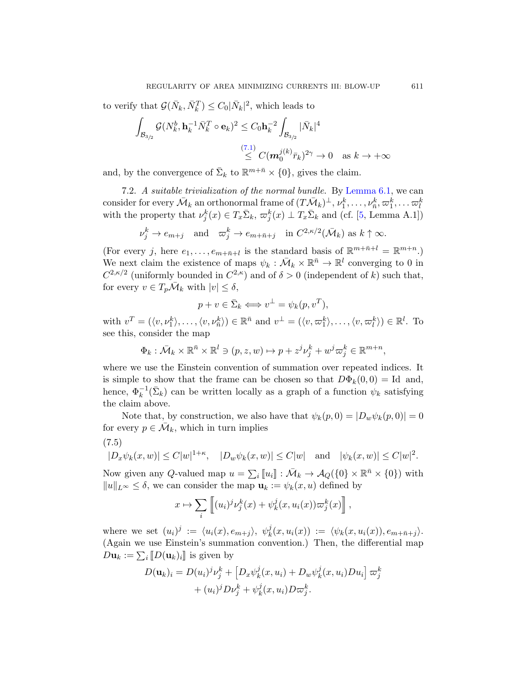to verify that  $\mathcal{G}(\bar{N}_k, \bar{N}_k^T) \leq C_0 |\bar{N}_k|^2$ , which leads to

$$
\int_{\mathcal{B}_{3/2}} \mathcal{G}(N_k^b, \mathbf{h}_k^{-1} \bar{N}_k^T \circ \mathbf{e}_k)^2 \leq C_0 \mathbf{h}_k^{-2} \int_{\mathcal{B}_{3/2}} |\bar{N}_k|^4
$$
\n
$$
\leq \frac{(7.1)}{\leq} C(\mathbf{m}_0^{j(k)} \bar{r}_k)^{2\gamma} \to 0 \quad \text{as } k \to +\infty
$$

and, by the convergence of  $\bar{\Sigma}_k$  to  $\mathbb{R}^{m+\bar{n}} \times \{0\}$ , gives the claim.

7.2. A suitable trivialization of the normal bundle. By Lemma 6.1, we can consider for every  $\bar{\mathcal{M}}_k$  an orthonormal frame of  $(T\bar{\mathcal{M}}_k)^{\perp}, \nu^k_1,\ldots,\nu^k_{\bar{n}}, \varpi^k_1,\ldots \varpi^k_l$ with the property that  $\nu_j^k(x) \in T_x \bar{\Sigma}_k$ ,  $\varpi_j^k(x) \perp T_x \bar{\Sigma}_k$  and (cf. [5, Lemma A.1])

$$
\nu_j^k \to e_{m+j} \quad \text{and} \quad \varpi_j^k \to e_{m+\bar{n}+j} \quad \text{in } C^{2,\kappa/2}(\bar{\mathcal{M}}_k) \text{ as } k \uparrow \infty.
$$

(For every j, here  $e_1, \ldots, e_{m+\bar{n}+l}$  is the standard basis of  $\mathbb{R}^{m+\bar{n}+l} = \mathbb{R}^{m+n}$ .) We next claim the existence of maps  $\psi_k : \overline{\mathcal{M}}_k \times \mathbb{R}^{\overline{n}} \to \mathbb{R}^l$  converging to 0 in  $C^{2,\kappa/2}$  (uniformly bounded in  $C^{2,\kappa}$ ) and of  $\delta > 0$  (independent of k) such that, for every  $v \in T_p\overline{\mathcal{M}}_k$  with  $|v| \leq \delta$ ,

$$
p + v \in \bar{\Sigma}_k \Longleftrightarrow v^{\perp} = \psi_k(p, v^T),
$$

with  $v^T = (\langle v, \nu_1^k \rangle, \ldots, \langle v, \nu_{\bar{n}}^k \rangle) \in \mathbb{R}^{\bar{n}}$  and  $v^{\perp} = (\langle v, \varpi_1^k \rangle, \ldots, \langle v, \varpi_l^k \rangle) \in \mathbb{R}^l$ . To see this, consider the map

$$
\Phi_k: \bar{\mathcal{M}}_k \times \mathbb{R}^{\bar{n}} \times \mathbb{R}^l \ni (p, z, w) \mapsto p + z^j \nu_j^k + w^j \varpi_j^k \in \mathbb{R}^{m+n},
$$

<span id="page-34-0"></span>where we use the Einstein convention of summation over repeated indices. It is simple to show that the frame can be chosen so that  $D\Phi_k(0,0) = \text{Id}$  and, hence,  $\Phi_k^{-1}(\bar{\Sigma}_k)$  can be written locally as a graph of a function  $\psi_k$  satisfying the claim above.

Note that, by construction, we also have that  $\psi_k(p, 0) = |D_w \psi_k(p, 0)| = 0$ for every  $p \in \overline{\mathcal{M}}_k$ , which in turn implies

$$
(7.5)
$$

$$
|D_x \psi_k(x, w)| \le C |w|^{1+\kappa}, \quad |D_w \psi_k(x, w)| \le C |w| \text{ and } |\psi_k(x, w)| \le C |w|^2.
$$

Now given any Q-valued map  $u = \sum_i [u_i] : \overline{\mathcal{M}}_k \to \mathcal{A}_Q({0} \times \mathbb{R}^{\overline{n}} \times {0})$  with  $||u||_{L^{\infty}} \leq \delta$ , we can consider the map  $u_k := \psi_k(x, u)$  defined by

$$
x \mapsto \sum_{i} \left[ (u_i)^j \nu_j^k(x) + \psi_k^j(x, u_i(x)) \varpi_j^k(x) \right],
$$

where we set  $(u_i)^j := \langle u_i(x), e_{m+j} \rangle, \psi_k^j$  $\psi_k^{\jmath}(x, u_i(x)) := \langle \psi_k(x, u_i(x)), e_{m+\bar{n}+j} \rangle.$ (Again we use Einstein's summation convention.) Then, the differential map  $D\mathbf{u}_k := \sum_i [D(\mathbf{u}_k)_i]$  is given by

$$
D(\mathbf{u}_k)_i = D(u_i)^j \nu_j^k + \left[D_x \psi_k^j(x, u_i) + D_w \psi_k^j(x, u_i) D u_i\right] \varpi_j^k
$$

$$
+ (u_i)^j D \nu_j^k + \psi_k^j(x, u_i) D \varpi_j^k.
$$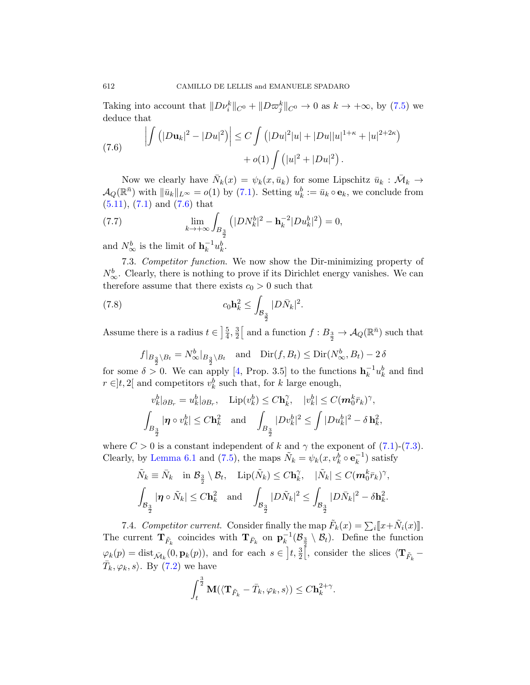Taking into account that  $\|D\nu_i^k\|_{C^0} + \|D\varpi_j^k\|_{C^0} \to 0$  as  $k \to +\infty$ , by (7.5) we deduce th[at](#page-33-0)

(7.6) 
$$
\left| \int (|Du_k|^2 - |Du|^2) \right| \le C \int (|Du|^2|u| + |Du||u|^{1+\kappa} + |u|^{2+2\kappa}) + o(1) \int (|u|^2 + |Du|^2).
$$

Now we clearly have  $\bar{N}_k(x) = \psi_k(x, \bar{u}_k)$  for some Lipschitz  $\bar{u}_k : \bar{\mathcal{M}}_k \to$  $\mathcal{A}_Q(\mathbb{R}^{\bar{n}})$  with  $\|\bar{u}_k\|_{L^\infty} = o(1)$  by  $(7.1)$ . Setting  $u_k^b := \bar{u}_k \circ \mathbf{e}_k$ , we conclude from  $(5.11), (7.1)$  and  $(7.6)$  that

(7.7) 
$$
\lim_{k \to +\infty} \int_{B_{\frac{3}{2}}} (|DN_k^b|^2 - \mathbf{h}_k^{-2} |Du_k^b|^2) = 0,
$$

and  $N^b_{\infty}$  is the limit of  $\mathbf{h}_k^{-1}u_k^b$ .

7.3. Competitor function. We now show the Dir-minimizing property of  $N^b_{\infty}$ . Clearly, there is nothing to prove if its Dirichlet energy vanishes. We can therefore assume that there exists  $c_0 > 0$  such that

(7.8) 
$$
c_0 \mathbf{h}_k^2 \leq \int_{\mathcal{B}_{\frac{3}{2}}} |D\bar{N}_k|^2.
$$

Assume there is a radius  $t \in \frac{5}{4}$  $\frac{5}{4}$ ,  $\frac{3}{2}$  $\frac{3}{2}$  and a function  $f: B_{\frac{3}{2}} \to \mathcal{A}_Q(\mathbb{R}^{\bar{n}})$  such that

$$
f|_{B_{\frac{3}{2}}\setminus B_t} = N^b_{\infty}|_{B_{\frac{3}{2}}\setminus B_t} \quad \text{and} \quad \text{Dir}(f, B_t) \le \text{Dir}(N^b_{\infty}, B_t) - 2\delta
$$

for some  $\delta > 0$ . We can apply [4, Prop. 3.5[\] to](#page-33-0) t[he fu](#page-33-1)nctions  $\mathbf{h}_k^{-1}u_k^b$  and find  $r \in ]t,2[$  and competitors  $v_k^b$  such that, for k large enough,

$$
v_k^b|_{\partial B_r} = u_k^b|_{\partial B_r}, \quad \text{Lip}(v_k^b) \le C\mathbf{h}_k^{\gamma}, \quad |v_k^b| \le C(m_0^k \bar{r}_k)^{\gamma},
$$
  

$$
\int_{B_{\frac{3}{2}}} |\boldsymbol{\eta} \circ v_k^b| \le C\mathbf{h}_k^2 \quad \text{and} \quad \int_{B_{\frac{3}{2}}} |Dv_k^b|^2 \le \int |Du_k^b|^2 - \delta \mathbf{h}_k^2,
$$

where  $C > 0$  is a constant independent of k and  $\gamma$  the exponent of (7.1)-(7.3). Clearly, by Lemma 6.1 and (7.5), the maps  $\tilde{N}_k = \psi_k(x, v_k^b \circ \mathbf{e}_k^{-1})$  satisfy

$$
\tilde{N}_k \equiv \bar{N}_k \quad \text{in } \mathcal{B}_{\frac{3}{2}} \setminus \mathcal{B}_t, \quad \text{Lip}(\tilde{N}_k) \le C \mathbf{h}_k^{\gamma}, \quad |\tilde{N}_k| \le C (\mathbf{m}_0^k \bar{r}_k)^{\gamma},
$$
\n
$$
\int_{\mathcal{B}_{\frac{3}{2}}} |\mathbf{\eta} \circ \tilde{N}_k| \le C \mathbf{h}_k^2 \quad \text{and} \quad \int_{\mathcal{B}_{\frac{3}{2}}} |D\tilde{N}_k|^2 \le \int_{\mathcal{B}_{\frac{3}{2}}} |D\bar{N}_k|^2 - \delta \mathbf{h}_k^2.
$$

7.4. Competitor current. Consider finally the map  $\tilde{F}_k(x) = \sum_i [x + \tilde{N}_i(x)]$ . The current  $\mathbf{T}_{\tilde{F}_k}$  coincides with  $\mathbf{T}_{\bar{F}_k}$  on  $\mathbf{p}_k^{-1}(\mathcal{B}_{\frac{3}{2}} \setminus \mathcal{B}_t)$ . Define the function  $\varphi_k(p) = \text{dist}_{\bar{\mathcal{M}}_k}(0, \mathbf{p}_k(p)),$  and for each  $s \in \left] \underline{t}, \frac{3}{2} \right[$ , consider the slices  $\langle \mathbf{T}_{\tilde{F}_k} \bar{T}_k, \varphi_k, s$ . By  $(7.2)$  we have

$$
\int_t^{\frac{3}{2}} \mathbf{M}(\langle \mathbf{T}_{\tilde{F}_k} - \bar{T}_k, \varphi_k, s \rangle) \leq C \mathbf{h}_k^{2+\gamma}.
$$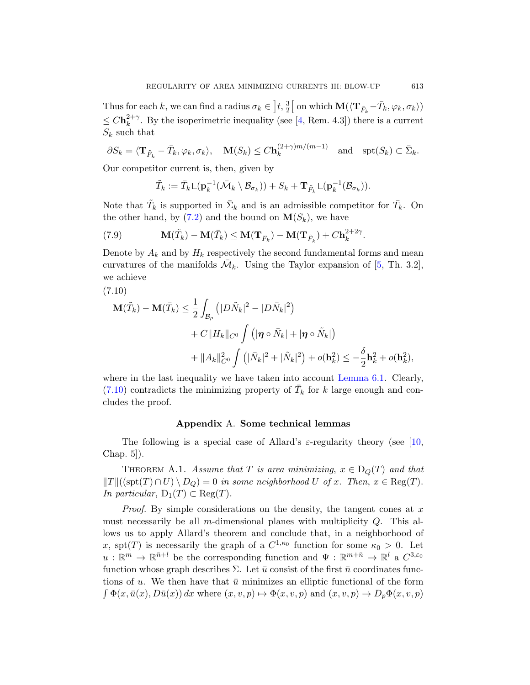Thus for each k, we can find a radius  $\sigma_k \in \left] t, \frac{3}{2} \right[$  on which  $\mathbf{M}(\langle \mathbf{T}_{\tilde{F}_k} - \bar{T}_k, \varphi_k, \sigma_k \rangle)$  $\leq C \mathbf{h}_k^{2+\gamma}$  $k<sup>2+\gamma</sup>$ . By the isoperimetric inequality (see [4, Rem. 4.3]) there is a current  $S_k$  $S_k$  such that

$$
\partial S_k = \langle \mathbf{T}_{\tilde{F}_k} - \bar{T}_k, \varphi_k, \sigma_k \rangle, \quad \mathbf{M}(S_k) \le C \mathbf{h}_k^{(2+\gamma)m/(m-1)} \quad \text{and} \quad \mathrm{spt}(S_k) \subset \bar{\Sigma}_k.
$$

Our competitor current is, then, given by

$$
\tilde{T}_k := \bar{T}_k \mathop{\sqcup} (\mathbf{p}_k^{-1}(\bar{\mathcal{M}}_k \setminus \mathcal{B}_{\sigma_k})) + S_k + \mathbf{T}_{\tilde{F}_k} \mathop{\sqcup} (\mathbf{p}_k^{-1}(\mathcal{B}_{\sigma_k})).
$$

Note that  $\tilde{T}_k$  is supported in  $\bar{\Sigma}_k$  and is an admissible competitor for  $\bar{T}_k$ . On the other hand, by  $(7.2)$  and the bound on  $\mathbf{M}(S_k)$ , we have

(7.9) 
$$
\mathbf{M}(\tilde{T}_k) - \mathbf{M}(\bar{T}_k) \leq \mathbf{M}(\mathbf{T}_{\bar{F}_k}) - \mathbf{M}(\mathbf{T}_{\tilde{F}_k}) + C \mathbf{h}_k^{2+2\gamma}.
$$

Denote by  $A_k$  and by  $H_k$  respectively the second fundamental forms and mean curvatures of the manifolds  $\overline{\mathcal{M}}_k$ . Using the Taylor expansion of [5, Th. 3.2], we achieve

$$
(7.10)
$$

$$
\mathbf{M}(\tilde{T}_k) - \mathbf{M}(\bar{T}_k) \le \frac{1}{2} \int_{\mathcal{B}_{\rho}} \left( |D\tilde{N}_k|^2 - |D\bar{N}_k|^2 \right) \n+ C \|H_k\|_{C^0} \int \left( |\mathbf{\eta} \circ \bar{N}_k| + |\mathbf{\eta} \circ \tilde{N}_k| \right) \n+ \|A_k\|_{C^0}^2 \int \left( |\bar{N}_k|^2 + |\tilde{N}_k|^2 \right) + o(\mathbf{h}_k^2) \le -\frac{\delta}{2} \mathbf{h}_k^2 + o(\mathbf{h}_k^2),
$$

<span id="page-36-0"></span>where in the last inequality we have taken into account Lemma 6.1. Clearly,  $(7.10)$  contradicts the minimizing property of  $\bar{T}_k$  for k large enough and concludes the proof.

# Appendix A. Some technical lemmas

The following is a special case of Allard's  $\varepsilon$ -regularity theory (see [10, Chap. 5]).

THEOREM A.1. Assume that T is area minimizing,  $x \in D_Q(T)$  and that  $||T||((\text{spt}(T) \cap U) \setminus D_Q) = 0$  in some neighborhood U of x. Then,  $x \in \text{Reg}(T)$ . In particular,  $D_1(T) \subset \text{Reg}(T)$ .

*Proof.* By simple considerations on the density, the tangent cones at  $x$ must necessarily be all m-dimensional planes with multiplicity  $Q$ . This allows us to apply Allard's theorem and conclude that, in a neighborhood of x, spt(T) is necessarily the graph of a  $C^{1,\kappa_0}$  function for some  $\kappa_0 > 0$ . Let  $u: \mathbb{R}^m \to \mathbb{R}^{\bar{n}+l}$  be the corresponding function and  $\Psi: \mathbb{R}^{m+\bar{n}} \to \mathbb{R}^l$  a  $C^{3,\varepsilon_0}$ function whose graph describes  $\Sigma$ . Let  $\bar{u}$  consist of the first  $\bar{n}$  coordinates functions of u. We then have that  $\bar{u}$  minimizes an elliptic functional of the form  $\int \Phi(x, \bar{u}(x), D\bar{u}(x)) dx$  where  $(x, v, p) \mapsto \Phi(x, v, p)$  and  $(x, v, p) \to D_p \Phi(x, v, p)$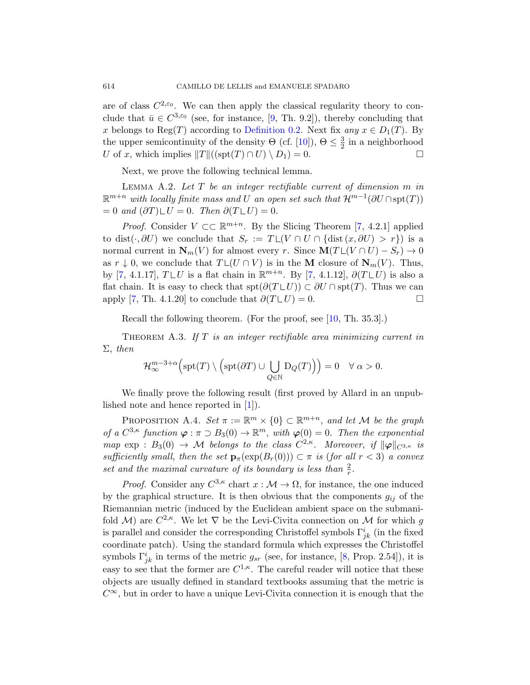<span id="page-37-0"></span>are of class  $C^{2,\epsilon_0}$ . We can then apply the classical regularity theory to conclude that  $\bar{u} \in C^{3,\epsilon_0}$  (see, for instance, [9, Th. 9.2]), thereby concluding that x belongs to Reg(T) according to Definition 0.2. Next fix any  $x \in D_1(T)$ . By the upper semicontinuity of the density  $\Theta$  (cf. [10]),  $\Theta \leq \frac{3}{2}$  $\frac{3}{2}$  in a neighborhood U of x, which implies  $||T||((\text{spt}(T) \cap U) \setminus D_1) = 0.$  $||T||((\text{spt}(T) \cap U) \setminus D_1) = 0.$  $||T||((\text{spt}(T) \cap U) \setminus D_1) = 0.$ 

Next, we prove the following technical lemma.

LEMMA A.2. Let  $T$  be an integer rectifiable current of dimension  $m$  in  $\mathbb{R}^{m+n}$  with locally finite m[as](#page-40-5)s and U an open set such that  $\mathcal{H}^{m-1}(\partial U \cap \text{spt}(T))$  $= 0$  and  $(\partial T) \mathop{\sqcup} U = 0$ . Then  $\partial (T \mathop{\sqcup} U) = 0$ .

<span id="page-37-1"></span>*Proof.* Consider  $V \subset \mathbb{R}^{m+n}$ . By the Slicing Theorem [7, 4.2.1] applied to dist( $\cdot$ , ∂U) we conclude that  $S_r := T \sqcup (V \cap U \cap \{ \text{dist}(x, \partial U) > r \})$  $S_r := T \sqcup (V \cap U \cap \{ \text{dist}(x, \partial U) > r \})$  is a normal current in  $N_m(V)$  for almost every r. Since  $M(T \cup (V \cap U) - S_r) \to 0$ as  $r \downarrow 0$ , we conclude that  $T \sqcup (U \cap V)$  is in the M closure of  $N_m(V)$ . Thus, by [7, 4.1.17],  $T \cup U$  is a flat chain in  $\mathbb{R}^{m+n}$ . By [7, 4.1.12],  $\partial (T \cup U)$  is also a flat chain. It is easy to check that  $spt(\partial(T \cup U)) \subset \partial U \cap spt(T)$ . Thus we can apply [7, Th. 4.1.20] to conclude that  $\partial(T \cup U) = 0$ .

Recall the following theorem. (For the proof, see [10, Th. 35.3].)

<span id="page-37-2"></span>THEOREM A.3. If  $T$  is an integer rectifiable area minimizing current in  $\Sigma$ , then

$$
\mathcal{H}^{m-3+\alpha}_\infty\Big(\mathrm{spt}(T)\setminus\Big(\mathrm{spt}(\partial T)\cup\bigcup_{Q\in\mathbb{N}}\mathrm{D}_Q(T)\Big)\Big)=0\quad\forall\;\alpha>0.
$$

We finally prove the following result (first proved by Allard in an unpublished note and hence reported in [1]).

PROPOSITION A.4. Set  $\pi := \mathbb{R}^m \times \{0\} \subset \mathbb{R}^{m+n}$ , and let M be the graph of a  $C^{3,\kappa}$  function  $\varphi : \pi \supset B_3(0) \to \mathbb{R}^m$ , with  $\varphi(0) = 0$ . Then the exponential map  $\exp : B_3(0) \to \mathcal{M}$  belongs to the class  $C^{2,\kappa}$ . Moreover, if  $\|\varphi\|_{C^{3,\kappa}}$  is sufficiently small, then the set  $\mathbf{p}_{\pi}(\exp(B_r(0))) \subset \pi$  is (for all  $r < 3$ ) a convex set and the maximal curvature of its boundary is less than  $\frac{2}{r}$ .

*Proof.* Consider any  $C^{3,\kappa}$  char[t](#page-40-6)  $x : \mathcal{M} \to \Omega$ , for instance, the one induced by the graphical structure. It is then obvious that the components  $g_{ij}$  of the Riemannian metric (induced by the Euclidean ambient space on the submanifold M) are  $C^{2,\kappa}$ . We let  $\nabla$  be the Levi-Civita connection on M for which g is parallel and consider the corresponding Christoffel symbols  $\Gamma^i_{jk}$  (in the fixed coordinate patch). Using the standard formula which expresses the Christoffel symbols  $\Gamma_{jk}^{i}$  in terms of the metric  $g_{sr}$  (see, for instance, [8, Prop. 2.54]), it is easy to see that the former are  $C^{1,\kappa}$ . The careful reader will notice that these objects are usually defined in standard textbooks assuming that the metric is  $C^{\infty}$ , but in order to have a unique Levi-Civita connection it is enough that the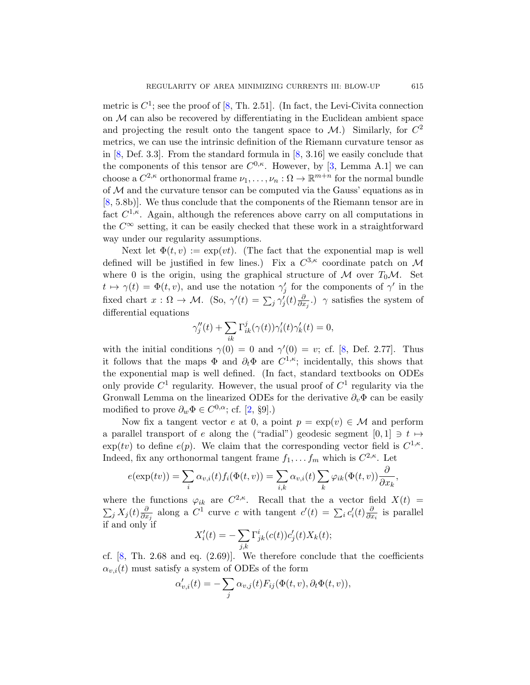metric is  $C^1$ ; see the proof of [8, Th. 2.51]. (In fact, the Levi-Civita connection on  $M$  can also be recovered by differentiating in the Euclidean ambient space and projecting the result onto the tangent space to  $\mathcal{M}$ .) Similarly, for  $C^2$ metrics, we can use the intrinsic definition of the Riemann curvature tensor as in  $[8,$  Def. 3.3]. From the standard formula in  $[8, 3.16]$  we easily conclude that the components of this tensor are  $C^{0,\kappa}$ . However, by [3, Lemma A.1] we can choose a  $C^{2,\kappa}$  orthonormal frame  $\nu_1,\ldots,\nu_n:\Omega\to\mathbb{R}^{m+n}$  for the normal bundle of  $M$  and the curvature tensor can be computed via the Gauss' equations as in [8, 5.8b)]. We thus conclude that the components of the Riemann tensor are in fact  $C^{1,\kappa}$ . Again, although the references above carry on all computations in the  $C^{\infty}$  setting, it can be easily checked that these work in a straightforward way under our regularity assumptions.

Next let  $\Phi(t, v) := \exp(vt)$ . (The fact that the exponential map is well defined will be justified in few lines.) Fix a  $C^{3,\kappa}$  coordinate patch on M where 0 is the origin, using the [gr](#page-40-6)aphical structure of  $M$  over  $T_0M$ . Set  $t \mapsto \gamma(t) = \Phi(t, v)$ , and use the notation  $\gamma'_{j}$  for the components of  $\gamma'$  in the fixed chart  $x : \Omega \to M$ . (So,  $\gamma'(t) = \sum_j \gamma'_j(t) \frac{\partial}{\partial x}$  $\frac{\partial}{\partial x_j}$ .)  $\gamma$  satisfies the system of differential equations

$$
\gamma_j''(t)+\sum_{ik}\Gamma_{ik}^j(\gamma(t))\gamma_i'(t)\gamma_k'(t)=0,
$$

with the initial conditions  $\gamma(0) = 0$  and  $\gamma'(0) = v$ ; cf. [8, Def. 2.77]. Thus it follows that the maps  $\Phi$  and  $\partial_t \Phi$  are  $C^{1,\kappa}$ ; incidentally, this shows that the exponential map is well defined. (In fact, standard textbooks on ODEs only provide  $C^1$  regularity. However, the usual proof of  $C^1$  regularity via the Gronwall Lemma on the linearized ODEs for the derivative  $\partial_{\nu}\Phi$  can be easily modified to prove  $\partial_w \Phi \in C^{0,\alpha}$ ; cf. [2, §9].)

Now fix a tangent vector e at 0, a point  $p = \exp(v) \in \mathcal{M}$  and perform a parallel transport of e along the ("radial") geodesic segment  $[0, 1] \ni t \mapsto$  $\exp(tv)$  to define  $e(p)$ . We claim that the corresponding vector field is  $C^{1,\kappa}$ . Indeed, fix any orthonormal tangent frame  $f_1, \ldots, f_m$  which is  $C^{2,\kappa}$ . Let

$$
e(\exp(tv)) = \sum_{i} \alpha_{v,i}(t) f_i(\Phi(t,v)) = \sum_{i,k} \alpha_{v,i}(t) \sum_{k} \varphi_{ik}(\Phi(t,v)) \frac{\partial}{\partial x_k},
$$

where the functions  $\varphi_{ik}$  are  $C^{2,\kappa}$ . Recall that the a vector field  $X(t)$  =  $\sum_j X_j(t) \frac{\partial}{\partial x}$  $\frac{\partial}{\partial x_j}$  along a C<sup>1</sup> curve c with tangent  $c'(t) = \sum_i c'_i(t) \frac{\partial}{\partial x_i}$  $\frac{\partial}{\partial x_i}$  is parallel if and only if

$$
X_i'(t) = -\sum_{j,k} \Gamma^i_{jk}(c(t)) c'_j(t) X_k(t);
$$

cf.  $[8, Th. 2.68$  and eq.  $(2.69)$ . We therefore conclude that the coefficients  $\alpha_{v,i}(t)$  must satisfy a system of ODEs of the form

$$
\alpha'_{v,i}(t) = -\sum_j \alpha_{v,j}(t) F_{ij}(\Phi(t,v), \partial_t \Phi(t,v)),
$$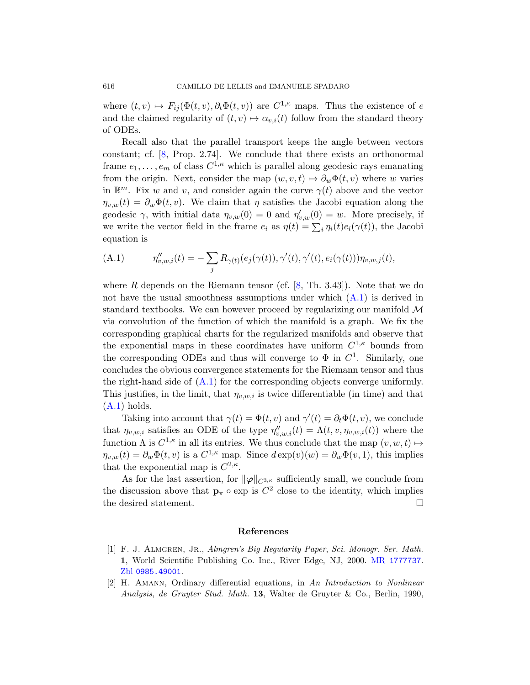where  $(t, v) \mapsto F_{ij}(\Phi(t, v), \partial_t \Phi(t, v))$  are  $C^{1,\kappa}$  maps. Thus the existence of e and the claimed regularity of  $(t, v) \mapsto \alpha_{v,i}(t)$  follow from the standard theory of ODEs.

<span id="page-39-1"></span>Recall also that the parallel transport keeps the angle between vectors constant; cf. [8, Prop. 2.74]. We conclude that there exists an orthonormal frame  $e_1, \ldots, e_m$  of class  $C^{1,\kappa}$  which is parallel along geodesic rays emanating from the origin. Next, consider the map  $(w, v, t) \mapsto \partial_w \Phi(t, v)$  where w varies in  $\mathbb{R}^m$ . Fix w and v, and consider again the curve  $\gamma(t)$  above and the vector  $\eta_{v,w}(t) = \partial_w \Phi(t, v)$ . We claim that  $\eta$  satisfies the Jacobi equation along the geodesic  $\gamma$ , with initial [d](#page-40-6)ata  $\eta_{v,w}(0) = 0$  $\eta_{v,w}(0) = 0$  and  $\eta'_{v,w}(0) = w$ . More precisely, if we write the vector field in the frame  $e_i$  as  $\eta(t) = \sum_i \eta_i(t) e_i(\gamma(t))$ , the Jacobi equation is

(A.1) 
$$
\eta''_{v,w,i}(t) = -\sum_j R_{\gamma(t)}(e_j(\gamma(t)), \gamma'(t), \gamma'(t), e_i(\gamma(t))) \eta_{v,w,j}(t),
$$

where  $R$  depends on the Riemann tensor (cf.  $[8, Th. 3.43]$ ). Note that we do not have the usual smoothness assumptions under which (A.1) is derived in [stan](#page-39-1)dard textbooks. We can however proceed by regularizing our manifold  $\mathcal M$ via convolution of the function of which the manifold is a graph. We fix the corresponding graphical charts for the regularized manifolds and observe that the exponential maps in these coordinates have uniform  $C^{1,\kappa}$  bounds from the corresponding ODEs and thus will converge to  $\Phi$  in  $C^1$ . Similarly, one concludes the obvious convergence statements for the Riemann tensor and thus the right-hand side of  $(A.1)$  for the corresponding objects converge uniformly. This justifies, in the limit, that  $\eta_{v,w,i}$  is twice differentiable (in time) and that  $(A.1)$  holds.

Taking into account that  $\gamma(t) = \Phi(t, v)$  and  $\gamma'(t) = \partial_t \Phi(t, v)$ , we conclude that  $\eta_{v,w,i}$  satisfies an ODE of the type  $\eta''_{v,w,i}(t) = \Lambda(t, v, \eta_{v,w,i}(t))$  where the function  $\Lambda$  is  $C^{1,\kappa}$  in all its entries. We thus conclude that the map  $(v, w, t) \mapsto$  $\eta_{v,w}(t) = \partial_w \Phi(t, v)$  is a  $C^{1,\kappa}$  map. Since  $d \exp(v)(w) = \partial_w \Phi(v, 1)$ , this implies that the exponential map is  $C^{2,\kappa}$ .

<span id="page-39-0"></span>As for the last assertion, for  $\|\varphi\|_{C^{3,\kappa}}$  sufficiently small, we conclude from the discussion above that  $\mathbf{p}_{\pi} \circ \exp$  is  $C^2$  [close to the](http://www.ams.org/mathscinet-getitem?mr=1777737) identity, which implies the desired statement.

#### References

- [1] F. J. ALMGREN, JR., Almgren's Big Regularity Paper, Sci. Monogr. Ser. Math. 1, World Scientific Publishing Co. Inc., River Edge, NJ, 2000. MR 1777737. Zbl 0985.49001.
- [2] H. Amann, Ordinary differential equations, in An Introduction to Nonlinear Analysis, de Gruyter Stud. Math. 13, Walter de Gruyter & Co., Berlin, 1990,